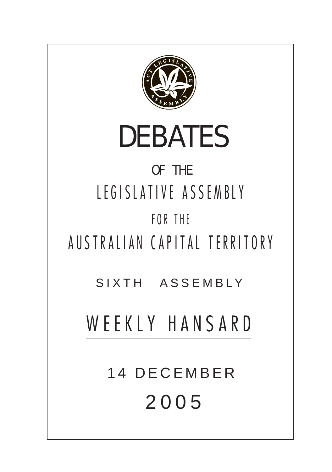

# DEBATES

## OF THE LEGISLATIVE ASSEMBLY FOR THE

AUSTRALIAN CAPITAL TERRITORY

SIXTH ASSEMBLY

## WEEKLY HANSARD

14 DECEMBER 200 5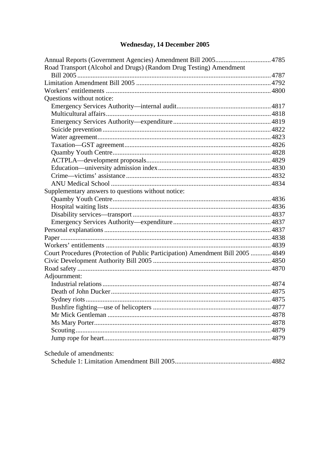## Wednesday, 14 December 2005

| Road Transport (Alcohol and Drugs) (Random Drug Testing) Amendment              |  |
|---------------------------------------------------------------------------------|--|
|                                                                                 |  |
|                                                                                 |  |
|                                                                                 |  |
| Questions without notice:                                                       |  |
|                                                                                 |  |
|                                                                                 |  |
|                                                                                 |  |
|                                                                                 |  |
|                                                                                 |  |
|                                                                                 |  |
|                                                                                 |  |
|                                                                                 |  |
|                                                                                 |  |
|                                                                                 |  |
|                                                                                 |  |
| Supplementary answers to questions without notice:                              |  |
|                                                                                 |  |
|                                                                                 |  |
|                                                                                 |  |
|                                                                                 |  |
|                                                                                 |  |
|                                                                                 |  |
|                                                                                 |  |
| Court Procedures (Protection of Public Participation) Amendment Bill 2005  4849 |  |
|                                                                                 |  |
|                                                                                 |  |
| Adjournment:                                                                    |  |
|                                                                                 |  |
|                                                                                 |  |
|                                                                                 |  |
|                                                                                 |  |
|                                                                                 |  |
|                                                                                 |  |
|                                                                                 |  |
|                                                                                 |  |
| Schedule of amendments:                                                         |  |
|                                                                                 |  |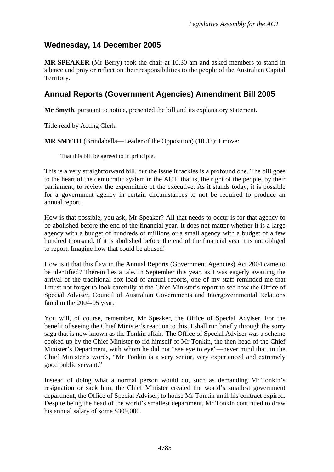## <span id="page-2-0"></span>**Wednesday, 14 December 2005**

**MR SPEAKER** (Mr Berry) took the chair at 10.30 am and asked members to stand in silence and pray or reflect on their responsibilities to the people of the Australian Capital Territory.

## **Annual Reports (Government Agencies) Amendment Bill 2005**

**Mr Smyth**, pursuant to notice, presented the bill and its explanatory statement.

Title read by Acting Clerk.

**MR SMYTH** (Brindabella—Leader of the Opposition) (10.33): I move:

That this bill be agreed to in principle.

This is a very straightforward bill, but the issue it tackles is a profound one. The bill goes to the heart of the democratic system in the ACT, that is, the right of the people, by their parliament, to review the expenditure of the executive. As it stands today, it is possible for a government agency in certain circumstances to not be required to produce an annual report.

How is that possible, you ask, Mr Speaker? All that needs to occur is for that agency to be abolished before the end of the financial year. It does not matter whether it is a large agency with a budget of hundreds of millions or a small agency with a budget of a few hundred thousand. If it is abolished before the end of the financial year it is not obliged to report. Imagine how that could be abused!

How is it that this flaw in the Annual Reports (Government Agencies) Act 2004 came to be identified? Therein lies a tale. In September this year, as I was eagerly awaiting the arrival of the traditional box-load of annual reports, one of my staff reminded me that I must not forget to look carefully at the Chief Minister's report to see how the Office of Special Adviser, Council of Australian Governments and Intergovernmental Relations fared in the 2004-05 year.

You will, of course, remember, Mr Speaker, the Office of Special Adviser. For the benefit of seeing the Chief Minister's reaction to this, I shall run briefly through the sorry saga that is now known as the Tonkin affair. The Office of Special Adviser was a scheme cooked up by the Chief Minister to rid himself of Mr Tonkin, the then head of the Chief Minister's Department, with whom he did not "see eye to eye"—never mind that, in the Chief Minister's words, "Mr Tonkin is a very senior, very experienced and extremely good public servant."

Instead of doing what a normal person would do, such as demanding Mr Tonkin's resignation or sack him, the Chief Minister created the world's smallest government department, the Office of Special Adviser, to house Mr Tonkin until his contract expired. Despite being the head of the world's smallest department, Mr Tonkin continued to draw his annual salary of some \$309,000.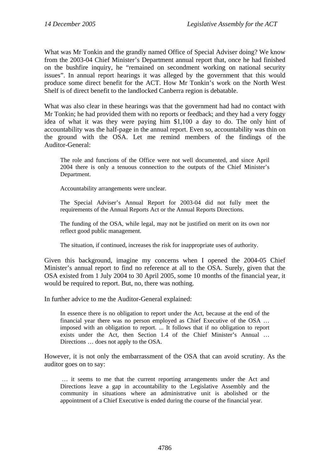What was Mr Tonkin and the grandly named Office of Special Adviser doing? We know from the 2003-04 Chief Minister's Department annual report that, once he had finished on the bushfire inquiry, he "remained on secondment working on national security issues". In annual report hearings it was alleged by the government that this would produce some direct benefit for the ACT. How Mr Tonkin's work on the North West Shelf is of direct benefit to the landlocked Canberra region is debatable.

What was also clear in these hearings was that the government had had no contact with Mr Tonkin; he had provided them with no reports or feedback; and they had a very foggy idea of what it was they were paying him \$1,100 a day to do. The only hint of accountability was the half-page in the annual report. Even so, accountability was thin on the ground with the OSA. Let me remind members of the findings of the Auditor-General:

The role and functions of the Office were not well documented, and since April 2004 there is only a tenuous connection to the outputs of the Chief Minister's Department.

Accountability arrangements were unclear.

The Special Adviser's Annual Report for 2003-04 did not fully meet the requirements of the Annual Reports Act or the Annual Reports Directions.

The funding of the OSA, while legal, may not be justified on merit on its own nor reflect good public management.

The situation, if continued, increases the risk for inappropriate uses of authority.

Given this background, imagine my concerns when I opened the 2004-05 Chief Minister's annual report to find no reference at all to the OSA. Surely, given that the OSA existed from 1 July 2004 to 30 April 2005, some 10 months of the financial year, it would be required to report. But, no, there was nothing.

In further advice to me the Auditor-General explained:

In essence there is no obligation to report under the Act, because at the end of the financial year there was no person employed as Chief Executive of the OSA … imposed with an obligation to report. ... It follows that if no obligation to report exists under the Act, then Section 1.4 of the Chief Minister's Annual … Directions … does not apply to the OSA.

However, it is not only the embarrassment of the OSA that can avoid scrutiny. As the auditor goes on to say:

 … it seems to me that the current reporting arrangements under the Act and Directions leave a gap in accountability to the Legislative Assembly and the community in situations where an administrative unit is abolished or the appointment of a Chief Executive is ended during the course of the financial year.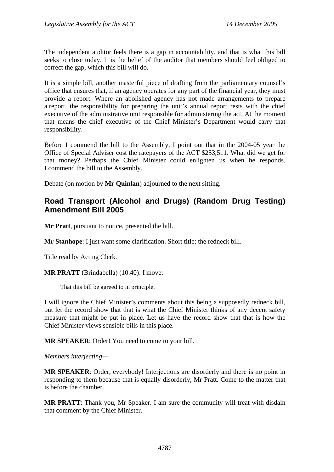<span id="page-4-0"></span>The independent auditor feels there is a gap in accountability, and that is what this bill seeks to close today. It is the belief of the auditor that members should feel obliged to correct the gap, which this bill will do.

It is a simple bill, another masterful piece of drafting from the parliamentary counsel's office that ensures that, if an agency operates for any part of the financial year, they must provide a report. Where an abolished agency has not made arrangements to prepare a report, the responsibility for preparing the unit's annual report rests with the chief executive of the administrative unit responsible for administering the act. At the moment that means the chief executive of the Chief Minister's Department would carry that responsibility.

Before I commend the bill to the Assembly, I point out that in the 2004-05 year the Office of Special Adviser cost the ratepayers of the ACT \$253,511. What did we get for that money? Perhaps the Chief Minister could enlighten us when he responds. I commend the bill to the Assembly.

Debate (on motion by **Mr Quinlan**) adjourned to the next sitting.

## **Road Transport (Alcohol and Drugs) (Random Drug Testing) Amendment Bill 2005**

**Mr Pratt**, pursuant to notice, presented the bill.

**Mr Stanhope**: I just want some clarification. Short title: the redneck bill.

Title read by Acting Clerk.

**MR PRATT** (Brindabella) (10.40): I move:

That this bill be agreed to in principle.

I will ignore the Chief Minister's comments about this being a supposedly redneck bill, but let the record show that that is what the Chief Minister thinks of any decent safety measure that might be put in place. Let us have the record show that that is how the Chief Minister views sensible bills in this place.

**MR SPEAKER**: Order! You need to come to your bill.

#### *Members interjecting—*

**MR SPEAKER**: Order, everybody! Interjections are disorderly and there is no point in responding to them because that is equally disorderly, Mr Pratt. Come to the matter that is before the chamber.

**MR PRATT**: Thank you, Mr Speaker. I am sure the community will treat with disdain that comment by the Chief Minister.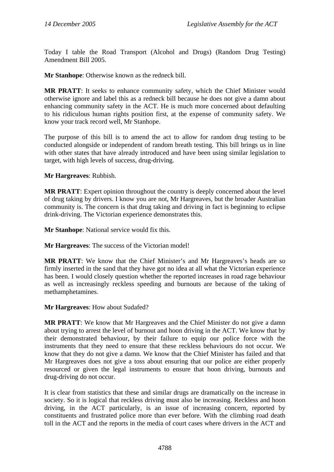Today I table the Road Transport (Alcohol and Drugs) (Random Drug Testing) Amendment Bill 2005.

**Mr Stanhope**: Otherwise known as the redneck bill.

**MR PRATT**: It seeks to enhance community safety, which the Chief Minister would otherwise ignore and label this as a redneck bill because he does not give a damn about enhancing community safety in the ACT. He is much more concerned about defaulting to his ridiculous human rights position first, at the expense of community safety. We know your track record well, Mr Stanhope.

The purpose of this bill is to amend the act to allow for random drug testing to be conducted alongside or independent of random breath testing. This bill brings us in line with other states that have already introduced and have been using similar legislation to target, with high levels of success, drug-driving.

**Mr Hargreaves**: Rubbish.

**MR PRATT**: Expert opinion throughout the country is deeply concerned about the level of drug taking by drivers. I know you are not, Mr Hargreaves, but the broader Australian community is. The concern is that drug taking and driving in fact is beginning to eclipse drink-driving. The Victorian experience demonstrates this.

**Mr Stanhope**: National service would fix this.

**Mr Hargreaves**: The success of the Victorian model!

**MR PRATT**: We know that the Chief Minister's and Mr Hargreaves's heads are so firmly inserted in the sand that they have got no idea at all what the Victorian experience has been. I would closely question whether the reported increases in road rage behaviour as well as increasingly reckless speeding and burnouts are because of the taking of methamphetamines.

**Mr Hargreaves**: How about Sudafed?

**MR PRATT**: We know that Mr Hargreaves and the Chief Minister do not give a damn about trying to arrest the level of burnout and hoon driving in the ACT. We know that by their demonstrated behaviour, by their failure to equip our police force with the instruments that they need to ensure that these reckless behaviours do not occur. We know that they do not give a damn. We know that the Chief Minister has failed and that Mr Hargreaves does not give a toss about ensuring that our police are either properly resourced or given the legal instruments to ensure that hoon driving, burnouts and drug-driving do not occur.

It is clear from statistics that these and similar drugs are dramatically on the increase in society. So it is logical that reckless driving must also be increasing. Reckless and hoon driving, in the ACT particularly, is an issue of increasing concern, reported by constituents and frustrated police more than ever before. With the climbing road death toll in the ACT and the reports in the media of court cases where drivers in the ACT and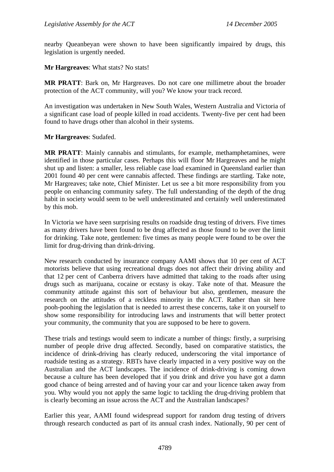nearby Queanbeyan were shown to have been significantly impaired by drugs, this legislation is urgently needed.

**Mr Hargreaves**: What stats? No stats!

**MR PRATT**: Bark on, Mr Hargreaves. Do not care one millimetre about the broader protection of the ACT community, will you? We know your track record.

An investigation was undertaken in New South Wales, Western Australia and Victoria of a significant case load of people killed in road accidents. Twenty-five per cent had been found to have drugs other than alcohol in their systems.

**Mr Hargreaves**: Sudafed.

**MR PRATT**: Mainly cannabis and stimulants, for example, methamphetamines, were identified in those particular cases. Perhaps this will floor Mr Hargreaves and he might shut up and listen: a smaller, less reliable case load examined in Queensland earlier than 2001 found 40 per cent were cannabis affected. These findings are startling. Take note, Mr Hargreaves; take note, Chief Minister. Let us see a bit more responsibility from you people on enhancing community safety. The full understanding of the depth of the drug habit in society would seem to be well underestimated and certainly well underestimated by this mob.

In Victoria we have seen surprising results on roadside drug testing of drivers. Five times as many drivers have been found to be drug affected as those found to be over the limit for drinking. Take note, gentlemen: five times as many people were found to be over the limit for drug-driving than drink-driving.

New research conducted by insurance company AAMI shows that 10 per cent of ACT motorists believe that using recreational drugs does not affect their driving ability and that 12 per cent of Canberra drivers have admitted that taking to the roads after using drugs such as marijuana, cocaine or ecstasy is okay. Take note of that. Measure the community attitude against this sort of behaviour but also, gentlemen, measure the research on the attitudes of a reckless minority in the ACT. Rather than sit here pooh-poohing the legislation that is needed to arrest these concerns, take it on yourself to show some responsibility for introducing laws and instruments that will better protect your community, the community that you are supposed to be here to govern.

These trials and testings would seem to indicate a number of things: firstly, a surprising number of people drive drug affected. Secondly, based on comparative statistics, the incidence of drink-driving has clearly reduced, underscoring the vital importance of roadside testing as a strategy. RBTs have clearly impacted in a very positive way on the Australian and the ACT landscapes. The incidence of drink-driving is coming down because a culture has been developed that if you drink and drive you have got a damn good chance of being arrested and of having your car and your licence taken away from you. Why would you not apply the same logic to tackling the drug-driving problem that is clearly becoming an issue across the ACT and the Australian landscapes?

Earlier this year, AAMI found widespread support for random drug testing of drivers through research conducted as part of its annual crash index. Nationally, 90 per cent of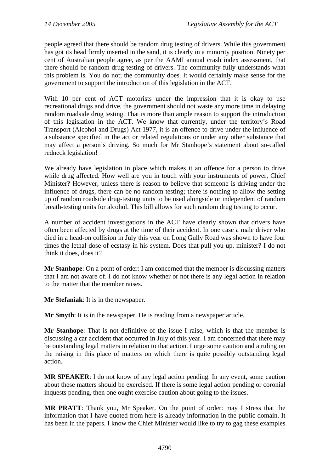people agreed that there should be random drug testing of drivers. While this government has got its head firmly inserted in the sand, it is clearly in a minority position. Ninety per cent of Australian people agree, as per the AAMI annual crash index assessment, that there should be random drug testing of drivers. The community fully understands what this problem is. You do not; the community does. It would certainly make sense for the government to support the introduction of this legislation in the ACT.

With 10 per cent of ACT motorists under the impression that it is okay to use recreational drugs and drive, the government should not waste any more time in delaying random roadside drug testing. That is more than ample reason to support the introduction of this legislation in the ACT. We know that currently, under the territory's Road Transport (Alcohol and Drugs) Act 1977, it is an offence to drive under the influence of a substance specified in the act or related regulations or under any other substance that may affect a person's driving. So much for Mr Stanhope's statement about so-called redneck legislation!

We already have legislation in place which makes it an offence for a person to drive while drug affected. How well are you in touch with your instruments of power. Chief Minister? However, unless there is reason to believe that someone is driving under the influence of drugs, there can be no random testing; there is nothing to allow the setting up of random roadside drug-testing units to be used alongside or independent of random breath-testing units for alcohol. This bill allows for such random drug testing to occur.

A number of accident investigations in the ACT have clearly shown that drivers have often been affected by drugs at the time of their accident. In one case a male driver who died in a head-on collision in July this year on Long Gully Road was shown to have four times the lethal dose of ecstasy in his system. Does that pull you up, minister? I do not think it does, does it?

**Mr Stanhope**: On a point of order: I am concerned that the member is discussing matters that I am not aware of. I do not know whether or not there is any legal action in relation to the matter that the member raises.

**Mr Stefaniak**: It is in the newspaper.

**Mr Smyth**: It is in the newspaper. He is reading from a newspaper article.

**Mr Stanhope**: That is not definitive of the issue I raise, which is that the member is discussing a car accident that occurred in July of this year. I am concerned that there may be outstanding legal matters in relation to that action. I urge some caution and a ruling on the raising in this place of matters on which there is quite possibly outstanding legal action.

**MR SPEAKER**: I do not know of any legal action pending. In any event, some caution about these matters should be exercised. If there is some legal action pending or coronial inquests pending, then one ought exercise caution about going to the issues.

**MR PRATT**: Thank you, Mr Speaker. On the point of order: may I stress that the information that I have quoted from here is already information in the public domain. It has been in the papers. I know the Chief Minister would like to try to gag these examples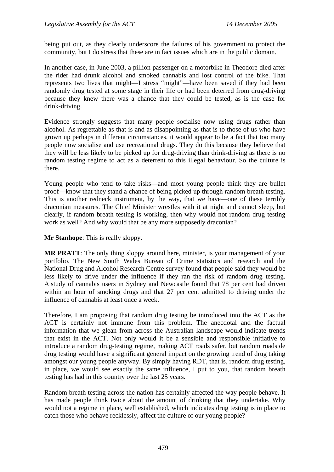being put out, as they clearly underscore the failures of his government to protect the community, but I do stress that these are in fact issues which are in the public domain.

In another case, in June 2003, a pillion passenger on a motorbike in Theodore died after the rider had drunk alcohol and smoked cannabis and lost control of the bike. That represents two lives that might—I stress "might"—have been saved if they had been randomly drug tested at some stage in their life or had been deterred from drug-driving because they knew there was a chance that they could be tested, as is the case for drink-driving.

Evidence strongly suggests that many people socialise now using drugs rather than alcohol. As regrettable as that is and as disappointing as that is to those of us who have grown up perhaps in different circumstances, it would appear to be a fact that too many people now socialise and use recreational drugs. They do this because they believe that they will be less likely to be picked up for drug-driving than drink-driving as there is no random testing regime to act as a deterrent to this illegal behaviour. So the culture is there.

Young people who tend to take risks—and most young people think they are bullet proof—know that they stand a chance of being picked up through random breath testing. This is another redneck instrument, by the way, that we have—one of these terribly draconian measures. The Chief Minister wrestles with it at night and cannot sleep, but clearly, if random breath testing is working, then why would not random drug testing work as well? And why would that be any more supposedly draconian?

**Mr Stanhope**: This is really sloppy.

**MR PRATT**: The only thing sloppy around here, minister, is your management of your portfolio. The New South Wales Bureau of Crime statistics and research and the National Drug and Alcohol Research Centre survey found that people said they would be less likely to drive under the influence if they ran the risk of random drug testing. A study of cannabis users in Sydney and Newcastle found that 78 per cent had driven within an hour of smoking drugs and that 27 per cent admitted to driving under the influence of cannabis at least once a week.

Therefore, I am proposing that random drug testing be introduced into the ACT as the ACT is certainly not immune from this problem. The anecdotal and the factual information that we glean from across the Australian landscape would indicate trends that exist in the ACT. Not only would it be a sensible and responsible initiative to introduce a random drug-testing regime, making ACT roads safer, but random roadside drug testing would have a significant general impact on the growing trend of drug taking amongst our young people anyway. By simply having RDT, that is, random drug testing, in place, we would see exactly the same influence, I put to you, that random breath testing has had in this country over the last 25 years.

Random breath testing across the nation has certainly affected the way people behave. It has made people think twice about the amount of drinking that they undertake. Why would not a regime in place, well established, which indicates drug testing is in place to catch those who behave recklessly, affect the culture of our young people?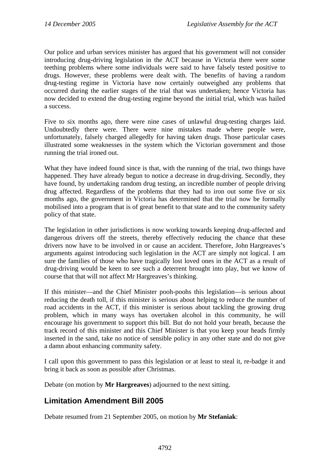<span id="page-9-0"></span>Our police and urban services minister has argued that his government will not consider introducing drug-driving legislation in the ACT because in Victoria there were some teething problems where some individuals were said to have falsely tested positive to drugs. However, these problems were dealt with. The benefits of having a random drug-testing regime in Victoria have now certainly outweighed any problems that occurred during the earlier stages of the trial that was undertaken; hence Victoria has now decided to extend the drug-testing regime beyond the initial trial, which was hailed a success.

Five to six months ago, there were nine cases of unlawful drug-testing charges laid. Undoubtedly there were. There were nine mistakes made where people were, unfortunately, falsely charged allegedly for having taken drugs. Those particular cases illustrated some weaknesses in the system which the Victorian government and those running the trial ironed out.

What they have indeed found since is that, with the running of the trial, two things have happened. They have already begun to notice a decrease in drug-driving. Secondly, they have found, by undertaking random drug testing, an incredible number of people driving drug affected. Regardless of the problems that they had to iron out some five or six months ago, the government in Victoria has determined that the trial now be formally mobilised into a program that is of great benefit to that state and to the community safety policy of that state.

The legislation in other jurisdictions is now working towards keeping drug-affected and dangerous drivers off the streets, thereby effectively reducing the chance that these drivers now have to be involved in or cause an accident. Therefore, John Hargreaves's arguments against introducing such legislation in the ACT are simply not logical. I am sure the families of those who have tragically lost loved ones in the ACT as a result of drug-driving would be keen to see such a deterrent brought into play, but we know of course that that will not affect Mr Hargreaves's thinking.

If this minister—and the Chief Minister pooh-poohs this legislation—is serious about reducing the death toll, if this minister is serious about helping to reduce the number of road accidents in the ACT, if this minister is serious about tackling the growing drug problem, which in many ways has overtaken alcohol in this community, he will encourage his government to support this bill. But do not hold your breath, because the track record of this minister and this Chief Minister is that you keep your heads firmly inserted in the sand, take no notice of sensible policy in any other state and do not give a damn about enhancing community safety.

I call upon this government to pass this legislation or at least to steal it, re-badge it and bring it back as soon as possible after Christmas.

Debate (on motion by **Mr Hargreaves**) adjourned to the next sitting.

## **Limitation Amendment Bill 2005**

Debate resumed from 21 September 2005, on motion by **Mr Stefaniak**: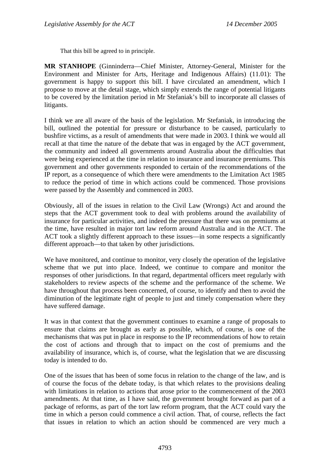That this bill be agreed to in principle.

**MR STANHOPE** (Ginninderra—Chief Minister, Attorney-General, Minister for the Environment and Minister for Arts, Heritage and Indigenous Affairs) (11.01): The government is happy to support this bill. I have circulated an amendment, which I propose to move at the detail stage, which simply extends the range of potential litigants to be covered by the limitation period in Mr Stefaniak's bill to incorporate all classes of litigants.

I think we are all aware of the basis of the legislation. Mr Stefaniak, in introducing the bill, outlined the potential for pressure or disturbance to be caused, particularly to bushfire victims, as a result of amendments that were made in 2003. I think we would all recall at that time the nature of the debate that was in engaged by the ACT government, the community and indeed all governments around Australia about the difficulties that were being experienced at the time in relation to insurance and insurance premiums. This government and other governments responded to certain of the recommendations of the IP report, as a consequence of which there were amendments to the Limitation Act 1985 to reduce the period of time in which actions could be commenced. Those provisions were passed by the Assembly and commenced in 2003.

Obviously, all of the issues in relation to the Civil Law (Wrongs) Act and around the steps that the ACT government took to deal with problems around the availability of insurance for particular activities, and indeed the pressure that there was on premiums at the time, have resulted in major tort law reform around Australia and in the ACT. The ACT took a slightly different approach to these issues—in some respects a significantly different approach—to that taken by other jurisdictions.

We have monitored, and continue to monitor, very closely the operation of the legislative scheme that we put into place. Indeed, we continue to compare and monitor the responses of other jurisdictions. In that regard, departmental officers meet regularly with stakeholders to review aspects of the scheme and the performance of the scheme. We have throughout that process been concerned, of course, to identify and then to avoid the diminution of the legitimate right of people to just and timely compensation where they have suffered damage.

It was in that context that the government continues to examine a range of proposals to ensure that claims are brought as early as possible, which, of course, is one of the mechanisms that was put in place in response to the IP recommendations of how to retain the cost of actions and through that to impact on the cost of premiums and the availability of insurance, which is, of course, what the legislation that we are discussing today is intended to do.

One of the issues that has been of some focus in relation to the change of the law, and is of course the focus of the debate today, is that which relates to the provisions dealing with limitations in relation to actions that arose prior to the commencement of the 2003 amendments. At that time, as I have said, the government brought forward as part of a package of reforms, as part of the tort law reform program, that the ACT could vary the time in which a person could commence a civil action. That, of course, reflects the fact that issues in relation to which an action should be commenced are very much a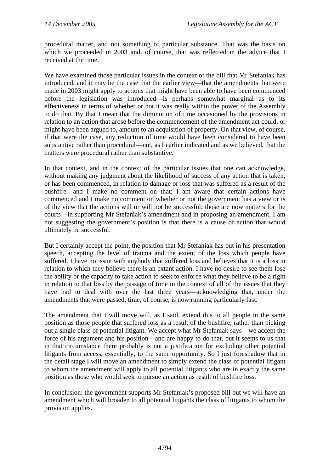procedural matter, and not something of particular substance. That was the basis on which we proceeded in 2003 and, of course, that was reflected in the advice that I received at the time.

We have examined those particular issues in the context of the bill that Mr Stefaniak has introduced, and it may be the case that the earlier view—that the amendments that were made in 2003 might apply to actions that might have been able to have been commenced before the legislation was introduced—is perhaps somewhat marginal as to its effectiveness in terms of whether or not it was really within the power of the Assembly to do that. By that I mean that the diminution of time occasioned by the provisions in relation to an action that arose before the commencement of the amendment act could, or might have been argued to, amount to an acquisition of property. On that view, of course, if that were the case, any reduction of time would have been considered to have been substantive rather than procedural—not, as I earlier indicated and as we believed, that the matters were procedural rather than substantive.

In that context, and in the context of the particular issues that one can acknowledge, without making any judgment about the likelihood of success of any action that is taken, or has been commenced, in relation to damage or loss that was suffered as a result of the bushfire—and I make no comment on that; I am aware that certain actions have commenced and I make no comment on whether or not the government has a view or is of the view that the actions will or will not be successful; those are now matters for the courts—in supporting Mr Stefaniak's amendment and in proposing an amendment, I am not suggesting the government's position is that there is a cause of action that would ultimately be successful.

But I certainly accept the point, the position that Mr Stefaniak has put in his presentation speech, accepting the level of trauma and the extent of the loss which people have suffered. I have no issue with anybody that suffered loss and believes that it is a loss in relation to which they believe there is an extant action. I have no desire to see them lose the ability or the capacity to take action to seek to enforce what they believe to be a right in relation to that loss by the passage of time in the context of all of the issues that they have had to deal with over the last three years—acknowledging that, under the amendments that were passed, time, of course, is now running particularly fast.

The amendment that I will move will, as I said, extend this to all people in the same position as those people that suffered loss as a result of the bushfire, rather than picking out a single class of potential litigant. We accept what Mr Stefaniak says—we accept the force of his argument and his position—and are happy to do that, but it seems to us that in that circumstance there probably is not a justification for excluding other potential litigants from access, essentially, to the same opportunity. So I just foreshadow that in the detail stage I will move an amendment to simply extend the class of potential litigant to whom the amendment will apply to all potential litigants who are in exactly the same position as those who would seek to pursue an action as result of bushfire loss.

In conclusion: the government supports Mr Stefaniak's proposed bill but we will have an amendment which will broaden to all potential litigants the class of litigants to whom the provision applies.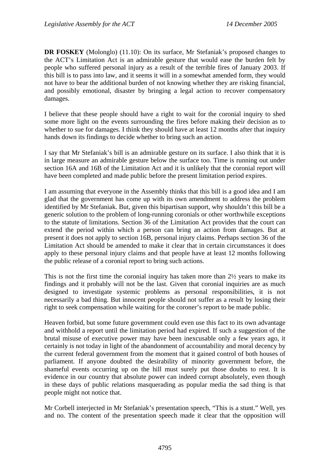**DR FOSKEY** (Molonglo) (11.10): On its surface, Mr Stefaniak's proposed changes to the ACT's Limitation Act is an admirable gesture that would ease the burden felt by people who suffered personal injury as a result of the terrible fires of January 2003. If this bill is to pass into law, and it seems it will in a somewhat amended form, they would not have to bear the additional burden of not knowing whether they are risking financial, and possibly emotional, disaster by bringing a legal action to recover compensatory damages.

I believe that these people should have a right to wait for the coronial inquiry to shed some more light on the events surrounding the fires before making their decision as to whether to sue for damages. I think they should have at least 12 months after that inquiry hands down its findings to decide whether to bring such an action.

I say that Mr Stefaniak's bill is an admirable gesture on its surface. I also think that it is in large measure an admirable gesture below the surface too. Time is running out under section 16A and 16B of the Limitation Act and it is unlikely that the coronial report will have been completed and made public before the present limitation period expires.

I am assuming that everyone in the Assembly thinks that this bill is a good idea and I am glad that the government has come up with its own amendment to address the problem identified by Mr Stefaniak. But, given this bipartisan support, why shouldn't this bill be a generic solution to the problem of long-running coronials or other worthwhile exceptions to the statute of limitations. Section 36 of the Limitation Act provides that the court can extend the period within which a person can bring an action from damages. But at present it does not apply to section 16B, personal injury claims. Perhaps section 36 of the Limitation Act should be amended to make it clear that in certain circumstances it does apply to these personal injury claims and that people have at least 12 months following the public release of a coronial report to bring such actions.

This is not the first time the coronial inquiry has taken more than  $2\frac{1}{2}$  years to make its findings and it probably will not be the last. Given that coronial inquiries are as much designed to investigate systemic problems as personal responsibilities, it is not necessarily a bad thing. But innocent people should not suffer as a result by losing their right to seek compensation while waiting for the coroner's report to be made public.

Heaven forbid, but some future government could even use this fact to its own advantage and withhold a report until the limitation period had expired. If such a suggestion of the brutal misuse of executive power may have been inexcusable only a few years ago, it certainly is not today in light of the abandonment of accountability and moral decency by the current federal government from the moment that it gained control of both houses of parliament. If anyone doubted the desirability of minority government before, the shameful events occurring up on the hill must surely put those doubts to rest. It is evidence in our country that absolute power can indeed corrupt absolutely, even though in these days of public relations masquerading as popular media the sad thing is that people might not notice that.

Mr Corbell interjected in Mr Stefaniak's presentation speech, "This is a stunt." Well, yes and no. The content of the presentation speech made it clear that the opposition will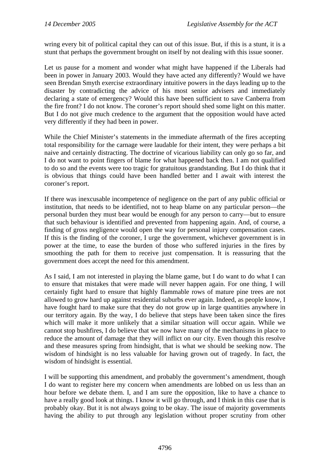wring every bit of political capital they can out of this issue. But, if this is a stunt, it is a stunt that perhaps the government brought on itself by not dealing with this issue sooner.

Let us pause for a moment and wonder what might have happened if the Liberals had been in power in January 2003. Would they have acted any differently? Would we have seen Brendan Smyth exercise extraordinary intuitive powers in the days leading up to the disaster by contradicting the advice of his most senior advisers and immediately declaring a state of emergency? Would this have been sufficient to save Canberra from the fire front? I do not know. The coroner's report should shed some light on this matter. But I do not give much credence to the argument that the opposition would have acted very differently if they had been in power.

While the Chief Minister's statements in the immediate aftermath of the fires accepting total responsibility for the carnage were laudable for their intent, they were perhaps a bit naive and certainly distracting. The doctrine of vicarious liability can only go so far, and I do not want to point fingers of blame for what happened back then. I am not qualified to do so and the events were too tragic for gratuitous grandstanding. But I do think that it is obvious that things could have been handled better and I await with interest the coroner's report.

If there was inexcusable incompetence of negligence on the part of any public official or institution, that needs to be identified, not to heap blame on any particular person—the personal burden they must bear would be enough for any person to carry—but to ensure that such behaviour is identified and prevented from happening again. And, of course, a finding of gross negligence would open the way for personal injury compensation cases. If this is the finding of the coroner, I urge the government, whichever government is in power at the time, to ease the burden of those who suffered injuries in the fires by smoothing the path for them to receive just compensation. It is reassuring that the government does accept the need for this amendment.

As I said, I am not interested in playing the blame game, but I do want to do what I can to ensure that mistakes that were made will never happen again. For one thing, I will certainly fight hard to ensure that highly flammable rows of mature pine trees are not allowed to grow hard up against residential suburbs ever again. Indeed, as people know, I have fought hard to make sure that they do not grow up in large quantities anywhere in our territory again. By the way, I do believe that steps have been taken since the fires which will make it more unlikely that a similar situation will occur again. While we cannot stop bushfires, I do believe that we now have many of the mechanisms in place to reduce the amount of damage that they will inflict on our city. Even though this resolve and these measures spring from hindsight, that is what we should be seeking now. The wisdom of hindsight is no less valuable for having grown out of tragedy. In fact, the wisdom of hindsight is essential.

I will be supporting this amendment, and probably the government's amendment, though I do want to register here my concern when amendments are lobbed on us less than an hour before we debate them. I, and I am sure the opposition, like to have a chance to have a really good look at things. I know it will go through, and I think in this case that is probably okay. But it is not always going to be okay. The issue of majority governments having the ability to put through any legislation without proper scrutiny from other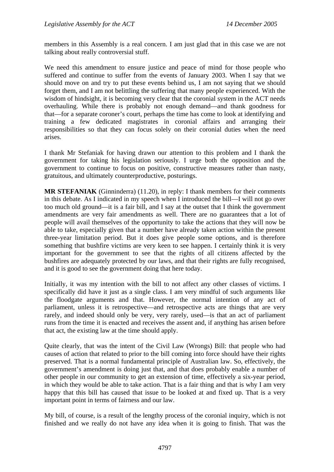members in this Assembly is a real concern. I am just glad that in this case we are not talking about really controversial stuff.

We need this amendment to ensure justice and peace of mind for those people who suffered and continue to suffer from the events of January 2003. When I say that we should move on and try to put these events behind us, I am not saying that we should forget them, and I am not belittling the suffering that many people experienced. With the wisdom of hindsight, it is becoming very clear that the coronial system in the ACT needs overhauling. While there is probably not enough demand—and thank goodness for that—for a separate coroner's court, perhaps the time has come to look at identifying and training a few dedicated magistrates in coronial affairs and arranging their responsibilities so that they can focus solely on their coronial duties when the need arises.

I thank Mr Stefaniak for having drawn our attention to this problem and I thank the government for taking his legislation seriously. I urge both the opposition and the government to continue to focus on positive, constructive measures rather than nasty, gratuitous, and ultimately counterproductive, posturings.

**MR STEFANIAK** (Ginninderra) (11.20), in reply: I thank members for their comments in this debate. As I indicated in my speech when I introduced the bill—I will not go over too much old ground—it is a fair bill, and I say at the outset that I think the government amendments are very fair amendments as well. There are no guarantees that a lot of people will avail themselves of the opportunity to take the actions that they will now be able to take, especially given that a number have already taken action within the present three-year limitation period. But it does give people some options, and is therefore something that bushfire victims are very keen to see happen. I certainly think it is very important for the government to see that the rights of all citizens affected by the bushfires are adequately protected by our laws, and that their rights are fully recognised, and it is good to see the government doing that here today.

Initially, it was my intention with the bill to not affect any other classes of victims. I specifically did have it just as a single class. I am very mindful of such arguments like the floodgate arguments and that. However, the normal intention of any act of parliament, unless it is retrospective—and retrospective acts are things that are very rarely, and indeed should only be very, very rarely, used—is that an act of parliament runs from the time it is enacted and receives the assent and, if anything has arisen before that act, the existing law at the time should apply.

Quite clearly, that was the intent of the Civil Law (Wrongs) Bill: that people who had causes of action that related to prior to the bill coming into force should have their rights preserved. That is a normal fundamental principle of Australian law. So, effectively, the government's amendment is doing just that, and that does probably enable a number of other people in our community to get an extension of time, effectively a six-year period, in which they would be able to take action. That is a fair thing and that is why I am very happy that this bill has caused that issue to be looked at and fixed up. That is a very important point in terms of fairness and our law.

My bill, of course, is a result of the lengthy process of the coronial inquiry, which is not finished and we really do not have any idea when it is going to finish. That was the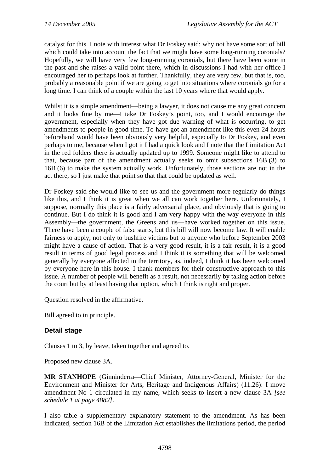catalyst for this. I note with interest what Dr Foskey said: why not have some sort of bill which could take into account the fact that we might have some long-running coronials? Hopefully, we will have very few long-running coronials, but there have been some in the past and she raises a valid point there, which in discussions I had with her office I encouraged her to perhaps look at further. Thankfully, they are very few, but that is, too, probably a reasonable point if we are going to get into situations where coronials go for a long time. I can think of a couple within the last 10 years where that would apply.

Whilst it is a simple amendment—being a lawyer, it does not cause me any great concern and it looks fine by me—I take Dr Foskey's point, too, and I would encourage the government, especially when they have got due warning of what is occurring, to get amendments to people in good time. To have got an amendment like this even 24 hours beforehand would have been obviously very helpful, especially to Dr Foskey, and even perhaps to me, because when I got it I had a quick look and I note that the Limitation Act in the red folders there is actually updated up to 1999. Someone might like to attend to that, because part of the amendment actually seeks to omit subsections 16B (3) to 16B (6) to make the system actually work. Unfortunately, those sections are not in the act there, so I just make that point so that that could be updated as well.

Dr Foskey said she would like to see us and the government more regularly do things like this, and I think it is great when we all can work together here. Unfortunately, I suppose, normally this place is a fairly adversarial place, and obviously that is going to continue. But I do think it is good and I am very happy with the way everyone in this Assembly—the government, the Greens and us—have worked together on this issue. There have been a couple of false starts, but this bill will now become law. It will enable fairness to apply, not only to bushfire victims but to anyone who before September 2003 might have a cause of action. That is a very good result, it is a fair result, it is a good result in terms of good legal process and I think it is something that will be welcomed generally by everyone affected in the territory, as, indeed, I think it has been welcomed by everyone here in this house. I thank members for their constructive approach to this issue. A number of people will benefit as a result, not necessarily by taking action before the court but by at least having that option, which I think is right and proper.

Question resolved in the affirmative.

Bill agreed to in principle.

#### **Detail stage**

Clauses 1 to 3, by leave, taken together and agreed to.

Proposed new clause 3A.

**MR STANHOPE** (Ginninderra—Chief Minister, Attorney-General, Minister for the Environment and Minister for Arts, Heritage and Indigenous Affairs) (11.26): I move amendment No 1 circulated in my name, which seeks to insert a new clause 3A *[see schedule 1 at page 4882]*.

I also table a supplementary explanatory statement to the amendment. As has been indicated, section 16B of the Limitation Act establishes the limitations period, the period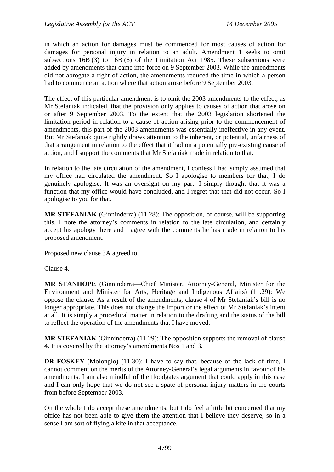in which an action for damages must be commenced for most causes of action for damages for personal injury in relation to an adult. Amendment 1 seeks to omit subsections 16B (3) to 16B (6) of the Limitation Act 1985. These subsections were added by amendments that came into force on 9 September 2003. While the amendments did not abrogate a right of action, the amendments reduced the time in which a person had to commence an action where that action arose before 9 September 2003.

The effect of this particular amendment is to omit the 2003 amendments to the effect, as Mr Stefaniak indicated, that the provision only applies to causes of action that arose on or after 9 September 2003. To the extent that the 2003 legislation shortened the limitation period in relation to a cause of action arising prior to the commencement of amendments, this part of the 2003 amendments was essentially ineffective in any event. But Mr Stefaniak quite rightly draws attention to the inherent, or potential, unfairness of that arrangement in relation to the effect that it had on a potentially pre-existing cause of action, and I support the comments that Mr Stefaniak made in relation to that.

In relation to the late circulation of the amendment, I confess I had simply assumed that my office had circulated the amendment. So I apologise to members for that; I do genuinely apologise. It was an oversight on my part. I simply thought that it was a function that my office would have concluded, and I regret that that did not occur. So I apologise to you for that.

**MR STEFANIAK** (Ginninderra) (11.28): The opposition, of course, will be supporting this. I note the attorney's comments in relation to the late circulation, and certainly accept his apology there and I agree with the comments he has made in relation to his proposed amendment.

Proposed new clause 3A agreed to.

Clause 4.

**MR STANHOPE** (Ginninderra—Chief Minister, Attorney-General, Minister for the Environment and Minister for Arts, Heritage and Indigenous Affairs) (11.29): We oppose the clause. As a result of the amendments, clause 4 of Mr Stefaniak's bill is no longer appropriate. This does not change the import or the effect of Mr Stefaniak's intent at all. It is simply a procedural matter in relation to the drafting and the status of the bill to reflect the operation of the amendments that I have moved.

**MR STEFANIAK** (Ginninderra) (11.29): The opposition supports the removal of clause 4. It is covered by the attorney's amendments Nos 1 and 3.

**DR FOSKEY** (Molonglo) (11.30): I have to say that, because of the lack of time, I cannot comment on the merits of the Attorney-General's legal arguments in favour of his amendments. I am also mindful of the floodgates argument that could apply in this case and I can only hope that we do not see a spate of personal injury matters in the courts from before September 2003.

On the whole I do accept these amendments, but I do feel a little bit concerned that my office has not been able to give them the attention that I believe they deserve, so in a sense I am sort of flying a kite in that acceptance.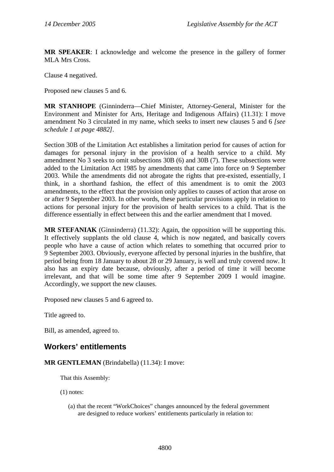<span id="page-17-0"></span>**MR SPEAKER**: I acknowledge and welcome the presence in the gallery of former MLA Mrs Cross.

Clause 4 negatived.

Proposed new clauses 5 and 6.

**MR STANHOPE** (Ginninderra—Chief Minister, Attorney-General, Minister for the Environment and Minister for Arts, Heritage and Indigenous Affairs) (11.31): I move amendment No 3 circulated in my name, which seeks to insert new clauses 5 and 6 *[see schedule 1 at page 4882]*.

Section 30B of the Limitation Act establishes a limitation period for causes of action for damages for personal injury in the provision of a health service to a child. My amendment No 3 seeks to omit subsections 30B (6) and 30B (7). These subsections were added to the Limitation Act 1985 by amendments that came into force on 9 September 2003. While the amendments did not abrogate the rights that pre-existed, essentially, I think, in a shorthand fashion, the effect of this amendment is to omit the 2003 amendments, to the effect that the provision only applies to causes of action that arose on or after 9 September 2003. In other words, these particular provisions apply in relation to actions for personal injury for the provision of health services to a child. That is the difference essentially in effect between this and the earlier amendment that I moved.

**MR STEFANIAK** (Ginninderra) (11.32): Again, the opposition will be supporting this. It effectively supplants the old clause 4, which is now negated, and basically covers people who have a cause of action which relates to something that occurred prior to 9 September 2003. Obviously, everyone affected by personal injuries in the bushfire, that period being from 18 January to about 28 or 29 January, is well and truly covered now. It also has an expiry date because, obviously, after a period of time it will become irrelevant, and that will be some time after 9 September 2009 I would imagine. Accordingly, we support the new clauses.

Proposed new clauses 5 and 6 agreed to.

Title agreed to.

Bill, as amended, agreed to.

### **Workers' entitlements**

**MR GENTLEMAN** (Brindabella) (11.34): I move:

That this Assembly:

(1) notes:

(a) that the recent "WorkChoices" changes announced by the federal government are designed to reduce workers' entitlements particularly in relation to: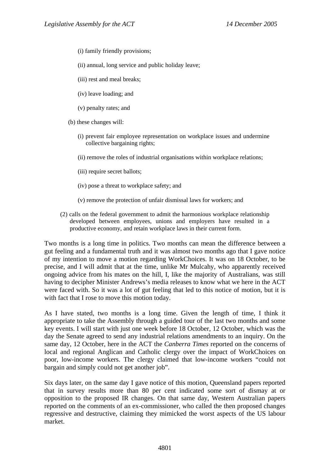- (i) family friendly provisions;
- (ii) annual, long service and public holiday leave;
- (iii) rest and meal breaks;
- (iv) leave loading; and
- (v) penalty rates; and
- (b) these changes will:
	- (i) prevent fair employee representation on workplace issues and undermine collective bargaining rights;
	- (ii) remove the roles of industrial organisations within workplace relations;
	- (iii) require secret ballots;
	- (iv) pose a threat to workplace safety; and
	- (v) remove the protection of unfair dismissal laws for workers; and
- (2) calls on the federal government to admit the harmonious workplace relationship developed between employees, unions and employers have resulted in a productive economy, and retain workplace laws in their current form.

Two months is a long time in politics. Two months can mean the difference between a gut feeling and a fundamental truth and it was almost two months ago that I gave notice of my intention to move a motion regarding WorkChoices. It was on 18 October, to be precise, and I will admit that at the time, unlike Mr Mulcahy, who apparently received ongoing advice from his mates on the hill, I, like the majority of Australians, was still having to decipher Minister Andrews's media releases to know what we here in the ACT were faced with. So it was a lot of gut feeling that led to this notice of motion, but it is with fact that I rose to move this motion today.

As I have stated, two months is a long time. Given the length of time, I think it appropriate to take the Assembly through a guided tour of the last two months and some key events. I will start with just one week before 18 October, 12 October, which was the day the Senate agreed to send any industrial relations amendments to an inquiry. On the same day, 12 October, here in the ACT the *Canberra Times* reported on the concerns of local and regional Anglican and Catholic clergy over the impact of WorkChoices on poor, low-income workers. The clergy claimed that low-income workers "could not bargain and simply could not get another job".

Six days later, on the same day I gave notice of this motion, Queensland papers reported that in survey results more than 80 per cent indicated some sort of dismay at or opposition to the proposed IR changes. On that same day, Western Australian papers reported on the comments of an ex-commissioner, who called the then proposed changes regressive and destructive, claiming they mimicked the worst aspects of the US labour market.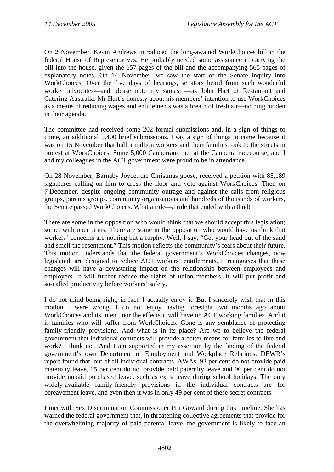On 2 November, Kevin Andrews introduced the long-awaited WorkChoices bill in the federal House of Representatives. He probably needed some assistance in carrying the bill into the house, given the 657 pages of the bill and the accompanying 565 pages of explanatory notes. On 14 November, we saw the start of the Senate inquiry into WorkChoices. Over the five days of hearings, senators heard from such wonderful worker advocates—and please note my sarcasm—as John Hart of Restaurant and Catering Australia. Mr Hart's honesty about his members' intention to use WorkChoices as a means of reducing wages and entitlements was a breath of fresh air—nothing hidden in their agenda.

The committee had received some 202 formal submissions and, in a sign of things to come, an additional 5,400 brief submissions. I say a sign of things to come because it was on 15 November that half a million workers and their families took to the streets in protest at WorkChoices. Some 5,000 Canberrans met at the Canberra racecourse, and I and my colleagues in the ACT government were proud to be in attendance.

On 28 November, Barnaby Joyce, the Christmas goose, received a petition with 85,189 signatures calling on him to cross the floor and vote against WorkChoices. Then on 7 December, despite ongoing community outrage and against the calls from religious groups, parents groups, community organisations and hundreds of thousands of workers, the Senate passed WorkChoices. What a ride—a ride that ended with a thud!

There are some in the opposition who would think that we should accept this legislation; some, with open arms. There are some in the opposition who would have us think that workers' concerns are nothing but a furphy. Well, I say, "Get your head out of the sand and smell the resentment." This motion reflects the community's fears about their future. This motion understands that the federal government's WorkChoices changes, now legislated, are designed to reduce ACT workers' entitlements. It recognises that these changes will have a devastating impact on the relationship between employees and employers. It will further reduce the rights of union members. It will put profit and so-called productivity before workers' safety.

I do not mind being right; in fact, I actually enjoy it. But I sincerely wish that in this motion I were wrong. I do not enjoy having foresight two months ago about WorkChoices and its intent, nor the effects it will have on ACT working families. And it is families who will suffer from WorkChoices. Gone is any semblance of protecting family-friendly provisions. And what is in its place? Are we to believe the federal government that individual contracts will provide a better means for families to live and work? I think not. And I am supported in my assertion by the finding of the federal government's own Department of Employment and Workplace Relations. DEWR's report found that, out of all individual contracts, AWAs, 92 per cent do not provide paid maternity leave, 95 per cent do not provide paid paternity leave and 96 per cent do not provide unpaid purchased leave, such as extra leave during school holidays. The only widely-available family-friendly provisions in the individual contracts are for bereavement leave, and even then it was in only 49 per cent of these secret contracts.

I met with Sex Discrimination Commissioner Pru Goward during this timeline. She has warned the federal government that, in threatening collective agreements that provide for the overwhelming majority of paid parental leave, the government is likely to face an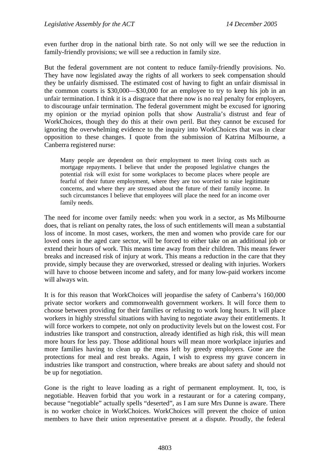even further drop in the national birth rate. So not only will we see the reduction in family-friendly provisions; we will see a reduction in family size.

But the federal government are not content to reduce family-friendly provisions. No. They have now legislated away the rights of all workers to seek compensation should they be unfairly dismissed. The estimated cost of having to fight an unfair dismissal in the common courts is \$30,000—\$30,000 for an employee to try to keep his job in an unfair termination. I think it is a disgrace that there now is no real penalty for employers, to discourage unfair termination. The federal government might be excused for ignoring my opinion or the myriad opinion polls that show Australia's distrust and fear of WorkChoices, though they do this at their own peril. But they cannot be excused for ignoring the overwhelming evidence to the inquiry into WorkChoices that was in clear opposition to these changes. I quote from the submission of Katrina Milbourne, a Canberra registered nurse:

Many people are dependent on their employment to meet living costs such as mortgage repayments. I believe that under the proposed legislative changes the potential risk will exist for some workplaces to become places where people are fearful of their future employment, where they are too worried to raise legitimate concerns, and where they are stressed about the future of their family income. In such circumstances I believe that employees will place the need for an income over family needs.

The need for income over family needs: when you work in a sector, as Ms Milbourne does, that is reliant on penalty rates, the loss of such entitlements will mean a substantial loss of income. In most cases, workers, the men and women who provide care for our loved ones in the aged care sector, will be forced to either take on an additional job or extend their hours of work. This means time away from their children. This means fewer breaks and increased risk of injury at work. This means a reduction in the care that they provide, simply because they are overworked, stressed or dealing with injuries. Workers will have to choose between income and safety, and for many low-paid workers income will always win.

It is for this reason that WorkChoices will jeopardise the safety of Canberra's 160,000 private sector workers and commonwealth government workers. It will force them to choose between providing for their families or refusing to work long hours. It will place workers in highly stressful situations with having to negotiate away their entitlements. It will force workers to compete, not only on productivity levels but on the lowest cost. For industries like transport and construction, already identified as high risk, this will mean more hours for less pay. Those additional hours will mean more workplace injuries and more families having to clean up the mess left by greedy employers. Gone are the protections for meal and rest breaks. Again, I wish to express my grave concern in industries like transport and construction, where breaks are about safety and should not be up for negotiation.

Gone is the right to leave loading as a right of permanent employment. It, too, is negotiable. Heaven forbid that you work in a restaurant or for a catering company, because "negotiable" actually spells "deserted", as I am sure Mrs Dunne is aware. There is no worker choice in WorkChoices. WorkChoices will prevent the choice of union members to have their union representative present at a dispute. Proudly, the federal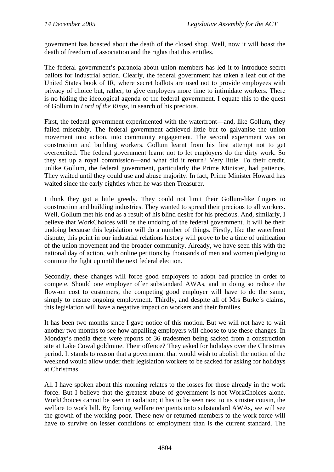government has boasted about the death of the closed shop. Well, now it will boast the death of freedom of association and the rights that this entitles.

The federal government's paranoia about union members has led it to introduce secret ballots for industrial action. Clearly, the federal government has taken a leaf out of the United States book of IR, where secret ballots are used not to provide employees with privacy of choice but, rather, to give employers more time to intimidate workers. There is no hiding the ideological agenda of the federal government. I equate this to the quest of Gollum in *Lord of the Rings*, in search of his precious.

First, the federal government experimented with the waterfront—and, like Gollum, they failed miserably. The federal government achieved little but to galvanise the union movement into action, into community engagement. The second experiment was on construction and building workers. Gollum learnt from his first attempt not to get overexcited. The federal government learnt not to let employers do the dirty work. So they set up a royal commission—and what did it return? Very little. To their credit, unlike Gollum, the federal government, particularly the Prime Minister, had patience. They waited until they could use and abuse majority. In fact, Prime Minister Howard has waited since the early eighties when he was then Treasurer.

I think they got a little greedy. They could not limit their Gollum-like fingers to construction and building industries. They wanted to spread their precious to all workers. Well, Gollum met his end as a result of his blind desire for his precious. And, similarly, I believe that WorkChoices will be the undoing of the federal government. It will be their undoing because this legislation will do a number of things. Firstly, like the waterfront dispute, this point in our industrial relations history will prove to be a time of unification of the union movement and the broader community. Already, we have seen this with the national day of action, with online petitions by thousands of men and women pledging to continue the fight up until the next federal election.

Secondly, these changes will force good employers to adopt bad practice in order to compete. Should one employer offer substandard AWAs, and in doing so reduce the flow-on cost to customers, the competing good employer will have to do the same, simply to ensure ongoing employment. Thirdly, and despite all of Mrs Burke's claims, this legislation will have a negative impact on workers and their families.

It has been two months since I gave notice of this motion. But we will not have to wait another two months to see how appalling employers will choose to use these changes. In Monday's media there were reports of 36 tradesmen being sacked from a construction site at Lake Cowal goldmine. Their offence? They asked for holidays over the Christmas period. It stands to reason that a government that would wish to abolish the notion of the weekend would allow under their legislation workers to be sacked for asking for holidays at Christmas.

All I have spoken about this morning relates to the losses for those already in the work force. But I believe that the greatest abuse of government is not WorkChoices alone. WorkChoices cannot be seen in isolation; it has to be seen next to its sinister cousin, the welfare to work bill. By forcing welfare recipients onto substandard AWAs, we will see the growth of the working poor. These new or returned members to the work force will have to survive on lesser conditions of employment than is the current standard. The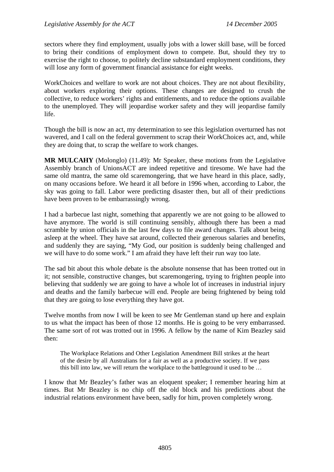sectors where they find employment, usually jobs with a lower skill base, will be forced to bring their conditions of employment down to compete. But, should they try to exercise the right to choose, to politely decline substandard employment conditions, they will lose any form of government financial assistance for eight weeks.

WorkChoices and welfare to work are not about choices. They are not about flexibility, about workers exploring their options. These changes are designed to crush the collective, to reduce workers' rights and entitlements, and to reduce the options available to the unemployed. They will jeopardise worker safety and they will jeopardise family life.

Though the bill is now an act, my determination to see this legislation overturned has not wavered, and I call on the federal government to scrap their WorkChoices act, and, while they are doing that, to scrap the welfare to work changes.

**MR MULCAHY** (Molonglo) (11.49): Mr Speaker, these motions from the Legislative Assembly branch of UnionsACT are indeed repetitive and tiresome. We have had the same old mantra, the same old scaremongering, that we have heard in this place, sadly, on many occasions before. We heard it all before in 1996 when, according to Labor, the sky was going to fall. Labor were predicting disaster then, but all of their predictions have been proven to be embarrassingly wrong.

I had a barbecue last night, something that apparently we are not going to be allowed to have anymore. The world is still continuing sensibly, although there has been a mad scramble by union officials in the last few days to file award changes. Talk about being asleep at the wheel. They have sat around, collected their generous salaries and benefits, and suddenly they are saying, "My God, our position is suddenly being challenged and we will have to do some work." I am afraid they have left their run way too late.

The sad bit about this whole debate is the absolute nonsense that has been trotted out in it; not sensible, constructive changes, but scaremongering, trying to frighten people into believing that suddenly we are going to have a whole lot of increases in industrial injury and deaths and the family barbecue will end. People are being frightened by being told that they are going to lose everything they have got.

Twelve months from now I will be keen to see Mr Gentleman stand up here and explain to us what the impact has been of those 12 months. He is going to be very embarrassed. The same sort of rot was trotted out in 1996. A fellow by the name of Kim Beazley said then:

The Workplace Relations and Other Legislation Amendment Bill strikes at the heart of the desire by all Australians for a fair as well as a productive society. If we pass this bill into law, we will return the workplace to the battleground it used to be …

I know that Mr Beazley's father was an eloquent speaker; I remember hearing him at times. But Mr Beazley is no chip off the old block and his predictions about the industrial relations environment have been, sadly for him, proven completely wrong.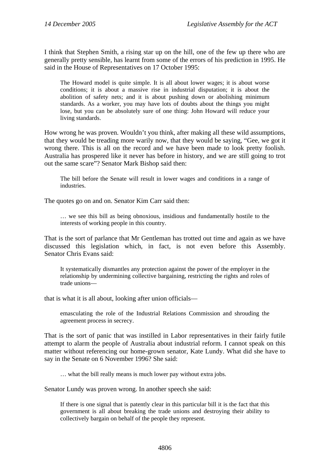I think that Stephen Smith, a rising star up on the hill, one of the few up there who are generally pretty sensible, has learnt from some of the errors of his prediction in 1995. He said in the House of Representatives on 17 October 1995:

The Howard model is quite simple. It is all about lower wages; it is about worse conditions; it is about a massive rise in industrial disputation; it is about the abolition of safety nets; and it is about pushing down or abolishing minimum standards. As a worker, you may have lots of doubts about the things you might lose, but you can be absolutely sure of one thing: John Howard will reduce your living standards.

How wrong he was proven. Wouldn't you think, after making all these wild assumptions, that they would be treading more warily now, that they would be saying, "Gee, we got it wrong there. This is all on the record and we have been made to look pretty foolish. Australia has prospered like it never has before in history, and we are still going to trot out the same scare"? Senator Mark Bishop said then:

The bill before the Senate will result in lower wages and conditions in a range of industries.

The quotes go on and on. Senator Kim Carr said then:

… we see this bill as being obnoxious, insidious and fundamentally hostile to the interests of working people in this country.

That is the sort of parlance that Mr Gentleman has trotted out time and again as we have discussed this legislation which, in fact, is not even before this Assembly. Senator Chris Evans said:

It systematically dismantles any protection against the power of the employer in the relationship by undermining collective bargaining, restricting the rights and roles of trade unions—

that is what it is all about, looking after union officials—

emasculating the role of the Industrial Relations Commission and shrouding the agreement process in secrecy.

That is the sort of panic that was instilled in Labor representatives in their fairly futile attempt to alarm the people of Australia about industrial reform. I cannot speak on this matter without referencing our home-grown senator, Kate Lundy. What did she have to say in the Senate on 6 November 1996? She said:

… what the bill really means is much lower pay without extra jobs.

Senator Lundy was proven wrong. In another speech she said:

If there is one signal that is patently clear in this particular bill it is the fact that this government is all about breaking the trade unions and destroying their ability to collectively bargain on behalf of the people they represent.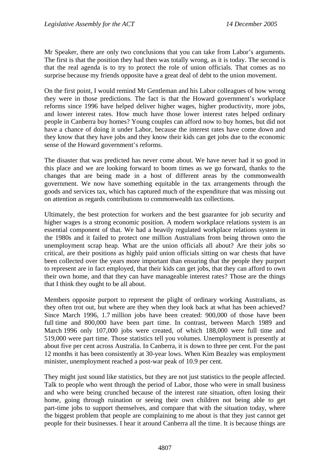Mr Speaker, there are only two conclusions that you can take from Labor's arguments. The first is that the position they had then was totally wrong, as it is today. The second is that the real agenda is to try to protect the role of union officials. That comes as no surprise because my friends opposite have a great deal of debt to the union movement.

On the first point, I would remind Mr Gentleman and his Labor colleagues of how wrong they were in those predictions. The fact is that the Howard government's workplace reforms since 1996 have helped deliver higher wages, higher productivity, more jobs, and lower interest rates. How much have those lower interest rates helped ordinary people in Canberra buy homes? Young couples can afford now to buy homes, but did not have a chance of doing it under Labor, because the interest rates have come down and they know that they have jobs and they know their kids can get jobs due to the economic sense of the Howard government's reforms.

The disaster that was predicted has never come about. We have never had it so good in this place and we are looking forward to boom times as we go forward, thanks to the changes that are being made in a host of different areas by the commonwealth government. We now have something equitable in the tax arrangements through the goods and services tax, which has captured much of the expenditure that was missing out on attention as regards contributions to commonwealth tax collections.

Ultimately, the best protection for workers and the best guarantee for job security and higher wages is a strong economic position. A modern workplace relations system is an essential component of that. We had a heavily regulated workplace relations system in the 1980s and it failed to protect one million Australians from being thrown onto the unemployment scrap heap. What are the union officials all about? Are their jobs so critical, are their positions as highly paid union officials sitting on war chests that have been collected over the years more important than ensuring that the people they purport to represent are in fact employed, that their kids can get jobs, that they can afford to own their own home, and that they can have manageable interest rates? Those are the things that I think they ought to be all about.

Members opposite purport to represent the plight of ordinary working Australians, as they often trot out, but where are they when they look back at what has been achieved? Since March 1996, 1.7 million jobs have been created: 900,000 of those have been full time and 800,000 have been part time. In contrast, between March 1989 and March 1996 only 107,000 jobs were created, of which 188,000 were full time and 519,000 were part time. Those statistics tell you volumes. Unemployment is presently at about five per cent across Australia. In Canberra, it is down to three per cent. For the past 12 months it has been consistently at 30-year lows. When Kim Beazley was employment minister, unemployment reached a post-war peak of 10.9 per cent.

They might just sound like statistics, but they are not just statistics to the people affected. Talk to people who went through the period of Labor, those who were in small business and who were being crunched because of the interest rate situation, often losing their home, going through ruination or seeing their own children not being able to get part-time jobs to support themselves, and compare that with the situation today, where the biggest problem that people are complaining to me about is that they just cannot get people for their businesses. I hear it around Canberra all the time. It is because things are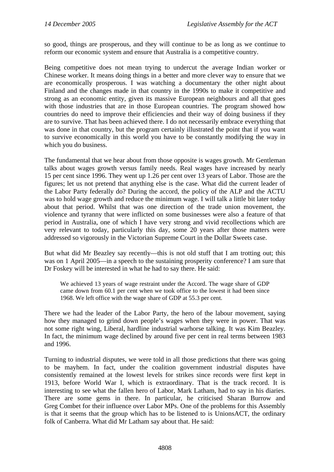so good, things are prosperous, and they will continue to be as long as we continue to reform our economic system and ensure that Australia is a competitive country.

Being competitive does not mean trying to undercut the average Indian worker or Chinese worker. It means doing things in a better and more clever way to ensure that we are economically prosperous. I was watching a documentary the other night about Finland and the changes made in that country in the 1990s to make it competitive and strong as an economic entity, given its massive European neighbours and all that goes with those industries that are in those European countries. The program showed how countries do need to improve their efficiencies and their way of doing business if they are to survive. That has been achieved there. I do not necessarily embrace everything that was done in that country, but the program certainly illustrated the point that if you want to survive economically in this world you have to be constantly modifying the way in which you do business.

The fundamental that we hear about from those opposite is wages growth. Mr Gentleman talks about wages growth versus family needs. Real wages have increased by nearly 15 per cent since 1996. They went up 1.26 per cent over 13 years of Labor. Those are the figures; let us not pretend that anything else is the case. What did the current leader of the Labor Party federally do? During the accord, the policy of the ALP and the ACTU was to hold wage growth and reduce the minimum wage. I will talk a little bit later today about that period. Whilst that was one direction of the trade union movement, the violence and tyranny that were inflicted on some businesses were also a feature of that period in Australia, one of which I have very strong and vivid recollections which are very relevant to today, particularly this day, some 20 years after those matters were addressed so vigorously in the Victorian Supreme Court in the Dollar Sweets case.

But what did Mr Beazley say recently—this is not old stuff that I am trotting out; this was on 1 April 2005—in a speech to the sustaining prosperity conference? I am sure that Dr Foskey will be interested in what he had to say there. He said:

We achieved 13 years of wage restraint under the Accord. The wage share of GDP came down from 60.1 per cent when we took office to the lowest it had been since 1968. We left office with the wage share of GDP at 55.3 per cent.

There we had the leader of the Labor Party, the hero of the labour movement, saying how they managed to grind down people's wages when they were in power. That was not some right wing, Liberal, hardline industrial warhorse talking. It was Kim Beazley. In fact, the minimum wage declined by around five per cent in real terms between 1983 and 1996.

Turning to industrial disputes, we were told in all those predictions that there was going to be mayhem. In fact, under the coalition government industrial disputes have consistently remained at the lowest levels for strikes since records were first kept in 1913, before World War I, which is extraordinary. That is the track record. It is interesting to see what the fallen hero of Labor, Mark Latham, had to say in his diaries. There are some gems in there. In particular, he criticised Sharan Burrow and Greg Combet for their influence over Labor MPs. One of the problems for this Assembly is that it seems that the group which has to be listened to is UnionsACT, the ordinary folk of Canberra. What did Mr Latham say about that. He said: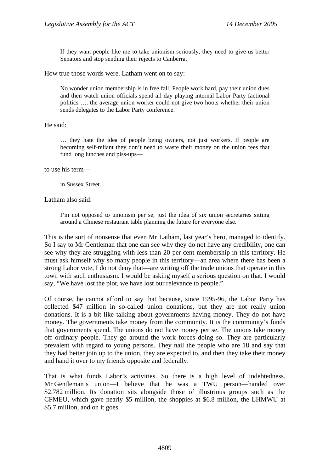If they want people like me to take unionism seriously, they need to give us better Senators and stop sending their rejects to Canberra.

How true those words were. Latham went on to say:

No wonder union membership is in free fall. People work hard, pay their union dues and then watch union officials spend all day playing internal Labor Party factional politics …. the average union worker could not give two hoots whether their union sends delegates to the Labor Party conference.

#### He said:

… they hate the idea of people being owners, not just workers. If people are becoming self-reliant they don't need to waste their money on the union fees that fund long lunches and piss-ups—

to use his term—

in Sussex Street.

Latham also said:

I'm not opposed to unionism per se, just the idea of six union secretaries sitting around a Chinese restaurant table planning the future for everyone else.

This is the sort of nonsense that even Mr Latham, last year's hero, managed to identify. So I say to Mr Gentleman that one can see why they do not have any credibility, one can see why they are struggling with less than 20 per cent membership in this territory. He must ask himself why so many people in this territory—an area where there has been a strong Labor vote, I do not deny that—are writing off the trade unions that operate in this town with such enthusiasm. I would be asking myself a serious question on that. I would say, "We have lost the plot, we have lost our relevance to people."

Of course, he cannot afford to say that because, since 1995-96, the Labor Party has collected \$47 million in so-called union donations, but they are not really union donations. It is a bit like talking about governments having money. They do not have money. The governments take money from the community. It is the community's funds that governments spend. The unions do not have money per se. The unions take money off ordinary people. They go around the work forces doing so. They are particularly prevalent with regard to young persons. They nail the people who are 18 and say that they had better join up to the union, they are expected to, and then they take their money and hand it over to my friends opposite and federally.

That is what funds Labor's activities. So there is a high level of indebtedness. Mr Gentleman's union—I believe that he was a TWU person—handed over \$2.782 million. Its donation sits alongside those of illustrious groups such as the CFMEU, which gave nearly \$5 million, the shoppies at \$6.8 million, the LHMWU at \$5.7 million, and on it goes.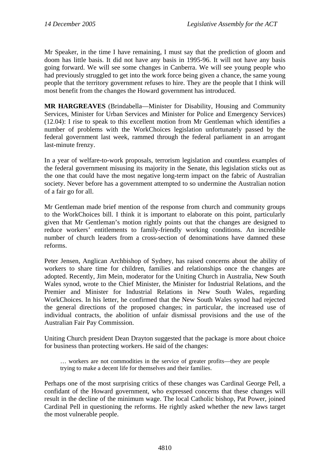Mr Speaker, in the time I have remaining, I must say that the prediction of gloom and doom has little basis. It did not have any basis in 1995-96. It will not have any basis going forward. We will see some changes in Canberra. We will see young people who had previously struggled to get into the work force being given a chance, the same young people that the territory government refuses to hire. They are the people that I think will most benefit from the changes the Howard government has introduced.

**MR HARGREAVES** (Brindabella—Minister for Disability, Housing and Community Services, Minister for Urban Services and Minister for Police and Emergency Services) (12.04): I rise to speak to this excellent motion from Mr Gentleman which identifies a number of problems with the WorkChoices legislation unfortunately passed by the federal government last week, rammed through the federal parliament in an arrogant last-minute frenzy.

In a year of welfare-to-work proposals, terrorism legislation and countless examples of the federal government misusing its majority in the Senate, this legislation sticks out as the one that could have the most negative long-term impact on the fabric of Australian society. Never before has a government attempted to so undermine the Australian notion of a fair go for all.

Mr Gentleman made brief mention of the response from church and community groups to the WorkChoices bill. I think it is important to elaborate on this point, particularly given that Mr Gentleman's motion rightly points out that the changes are designed to reduce workers' entitlements to family-friendly working conditions. An incredible number of church leaders from a cross-section of denominations have damned these reforms.

Peter Jensen, Anglican Archbishop of Sydney, has raised concerns about the ability of workers to share time for children, families and relationships once the changes are adopted. Recently, Jim Mein, moderator for the Uniting Church in Australia, New South Wales synod, wrote to the Chief Minister, the Minister for Industrial Relations, and the Premier and Minister for Industrial Relations in New South Wales, regarding WorkChoices. In his letter, he confirmed that the New South Wales synod had rejected the general directions of the proposed changes; in particular, the increased use of individual contracts, the abolition of unfair dismissal provisions and the use of the Australian Fair Pay Commission.

Uniting Church president Dean Drayton suggested that the package is more about choice for business than protecting workers. He said of the changes:

… workers are not commodities in the service of greater profits—they are people trying to make a decent life for themselves and their families.

Perhaps one of the most surprising critics of these changes was Cardinal George Pell, a confidant of the Howard government, who expressed concerns that these changes will result in the decline of the minimum wage. The local Catholic bishop, Pat Power, joined Cardinal Pell in questioning the reforms. He rightly asked whether the new laws target the most vulnerable people.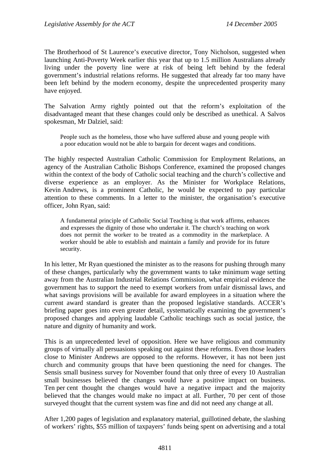The Brotherhood of St Laurence's executive director, Tony Nicholson, suggested when launching Anti-Poverty Week earlier this year that up to 1.5 million Australians already living under the poverty line were at risk of being left behind by the federal government's industrial relations reforms. He suggested that already far too many have been left behind by the modern economy, despite the unprecedented prosperity many have enjoyed.

The Salvation Army rightly pointed out that the reform's exploitation of the disadvantaged meant that these changes could only be described as unethical. A Salvos spokesman, Mr Dalziel, said:

People such as the homeless, those who have suffered abuse and young people with a poor education would not be able to bargain for decent wages and conditions.

The highly respected Australian Catholic Commission for Employment Relations, an agency of the Australian Catholic Bishops Conference, examined the proposed changes within the context of the body of Catholic social teaching and the church's collective and diverse experience as an employer. As the Minister for Workplace Relations, Kevin Andrews, is a prominent Catholic, he would be expected to pay particular attention to these comments. In a letter to the minister, the organisation's executive officer, John Ryan, said:

A fundamental principle of Catholic Social Teaching is that work affirms, enhances and expresses the dignity of those who undertake it. The church's teaching on work does not permit the worker to be treated as a commodity in the marketplace. A worker should be able to establish and maintain a family and provide for its future security.

In his letter, Mr Ryan questioned the minister as to the reasons for pushing through many of these changes, particularly why the government wants to take minimum wage setting away from the Australian Industrial Relations Commission, what empirical evidence the government has to support the need to exempt workers from unfair dismissal laws, and what savings provisions will be available for award employees in a situation where the current award standard is greater than the proposed legislative standards. ACCER's briefing paper goes into even greater detail, systematically examining the government's proposed changes and applying laudable Catholic teachings such as social justice, the nature and dignity of humanity and work.

This is an unprecedented level of opposition. Here we have religious and community groups of virtually all persuasions speaking out against these reforms. Even those leaders close to Minister Andrews are opposed to the reforms. However, it has not been just church and community groups that have been questioning the need for changes. The Sensis small business survey for November found that only three of every 10 Australian small businesses believed the changes would have a positive impact on business. Ten per cent thought the changes would have a negative impact and the majority believed that the changes would make no impact at all. Further, 70 per cent of those surveyed thought that the current system was fine and did not need any change at all.

After 1,200 pages of legislation and explanatory material, guillotined debate, the slashing of workers' rights, \$55 million of taxpayers' funds being spent on advertising and a total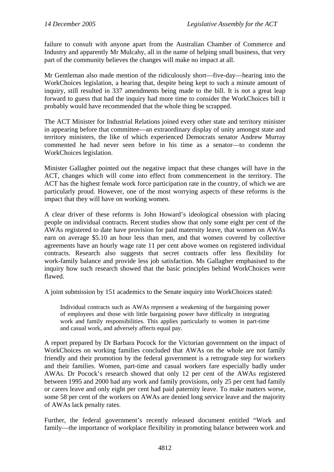failure to consult with anyone apart from the Australian Chamber of Commerce and Industry and apparently Mr Mulcahy, all in the name of helping small business, that very part of the community believes the changes will make no impact at all.

Mr Gentleman also made mention of the ridiculously short—five-day—hearing into the WorkChoices legislation, a hearing that, despite being kept to such a minute amount of inquiry, still resulted in 337 amendments being made to the bill. It is not a great leap forward to guess that had the inquiry had more time to consider the WorkChoices bill it probably would have recommended that the whole thing be scrapped.

The ACT Minister for Industrial Relations joined every other state and territory minister in appearing before that committee—an extraordinary display of unity amongst state and territory ministers, the like of which experienced Democrats senator Andrew Murray commented he had never seen before in his time as a senator—to condemn the WorkChoices legislation.

Minister Gallagher pointed out the negative impact that these changes will have in the ACT, changes which will come into effect from commencement in the territory. The ACT has the highest female work force participation rate in the country, of which we are particularly proud. However, one of the most worrying aspects of these reforms is the impact that they will have on working women.

A clear driver of these reforms is John Howard's ideological obsession with placing people on individual contracts. Recent studies show that only some eight per cent of the AWAs registered to date have provision for paid maternity leave, that women on AWAs earn on average \$5.10 an hour less than men, and that women covered by collective agreements have an hourly wage rate 11 per cent above women on registered individual contracts. Research also suggests that secret contracts offer less flexibility for work-family balance and provide less job satisfaction. Ms Gallagher emphasised to the inquiry how such research showed that the basic principles behind WorkChoices were flawed.

A joint submission by 151 academics to the Senate inquiry into WorkChoices stated:

Individual contracts such as AWAs represent a weakening of the bargaining power of employees and those with little bargaining power have difficulty in integrating work and family responsibilities. This applies particularly to women in part-time and casual work, and adversely affects equal pay.

A report prepared by Dr Barbara Pocock for the Victorian government on the impact of WorkChoices on working families concluded that AWAs on the whole are not family friendly and their promotion by the federal government is a retrograde step for workers and their families. Women, part-time and casual workers fare especially badly under AWAs. Dr Pocock's research showed that only 12 per cent of the AWAs registered between 1995 and 2000 had any work and family provisions, only 25 per cent had family or carers leave and only eight per cent had paid paternity leave. To make matters worse, some 58 per cent of the workers on AWAs are denied long service leave and the majority of AWAs lack penalty rates.

Further, the federal government's recently released document entitled "Work and family—the importance of workplace flexibility in promoting balance between work and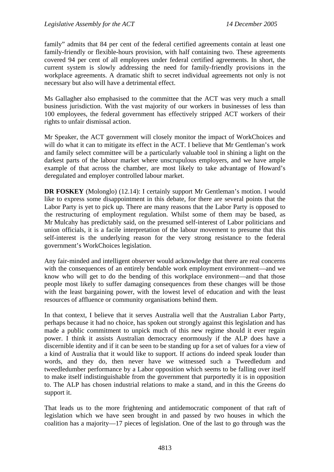family" admits that 84 per cent of the federal certified agreements contain at least one family-friendly or flexible-hours provision, with half containing two. These agreements covered 94 per cent of all employees under federal certified agreements. In short, the current system is slowly addressing the need for family-friendly provisions in the workplace agreements. A dramatic shift to secret individual agreements not only is not necessary but also will have a detrimental effect.

Ms Gallagher also emphasised to the committee that the ACT was very much a small business jurisdiction. With the vast majority of our workers in businesses of less than 100 employees, the federal government has effectively stripped ACT workers of their rights to unfair dismissal action.

Mr Speaker, the ACT government will closely monitor the impact of WorkChoices and will do what it can to mitigate its effect in the ACT. I believe that Mr Gentleman's work and family select committee will be a particularly valuable tool in shining a light on the darkest parts of the labour market where unscrupulous employers, and we have ample example of that across the chamber, are most likely to take advantage of Howard's deregulated and employer controlled labour market.

**DR FOSKEY** (Molonglo) (12.14): I certainly support Mr Gentleman's motion. I would like to express some disappointment in this debate, for there are several points that the Labor Party is yet to pick up. There are many reasons that the Labor Party is opposed to the restructuring of employment regulation. Whilst some of them may be based, as Mr Mulcahy has predictably said, on the presumed self-interest of Labor politicians and union officials, it is a facile interpretation of the labour movement to presume that this self-interest is the underlying reason for the very strong resistance to the federal government's WorkChoices legislation.

Any fair-minded and intelligent observer would acknowledge that there are real concerns with the consequences of an entirely bendable work employment environment—and we know who will get to do the bending of this workplace environment—and that those people most likely to suffer damaging consequences from these changes will be those with the least bargaining power, with the lowest level of education and with the least resources of affluence or community organisations behind them.

In that context, I believe that it serves Australia well that the Australian Labor Party, perhaps because it had no choice, has spoken out strongly against this legislation and has made a public commitment to unpick much of this new regime should it ever regain power. I think it assists Australian democracy enormously if the ALP does have a discernible identity and if it can be seen to be standing up for a set of values for a view of a kind of Australia that it would like to support. If actions do indeed speak louder than words, and they do, then never have we witnessed such a Tweedledum and tweedledumber performance by a Labor opposition which seems to be falling over itself to make itself indistinguishable from the government that purportedly it is in opposition to. The ALP has chosen industrial relations to make a stand, and in this the Greens do support it.

That leads us to the more frightening and antidemocratic component of that raft of legislation which we have seen brought in and passed by two houses in which the coalition has a majority—17 pieces of legislation. One of the last to go through was the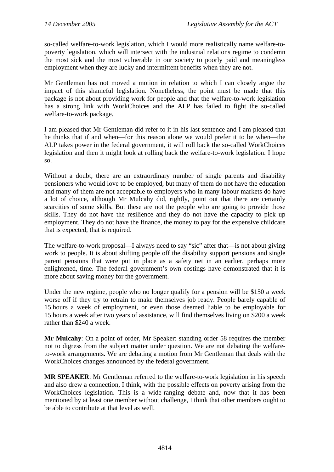so-called welfare-to-work legislation, which I would more realistically name welfare-topoverty legislation, which will intersect with the industrial relations regime to condemn the most sick and the most vulnerable in our society to poorly paid and meaningless employment when they are lucky and intermittent benefits when they are not.

Mr Gentleman has not moved a motion in relation to which I can closely argue the impact of this shameful legislation. Nonetheless, the point must be made that this package is not about providing work for people and that the welfare-to-work legislation has a strong link with WorkChoices and the ALP has failed to fight the so-called welfare-to-work package.

I am pleased that Mr Gentleman did refer to it in his last sentence and I am pleased that he thinks that if and when—for this reason alone we would prefer it to be when—the ALP takes power in the federal government, it will roll back the so-called WorkChoices legislation and then it might look at rolling back the welfare-to-work legislation. I hope so.

Without a doubt, there are an extraordinary number of single parents and disability pensioners who would love to be employed, but many of them do not have the education and many of them are not acceptable to employers who in many labour markets do have a lot of choice, although Mr Mulcahy did, rightly, point out that there are certainly scarcities of some skills. But these are not the people who are going to provide those skills. They do not have the resilience and they do not have the capacity to pick up employment. They do not have the finance, the money to pay for the expensive childcare that is expected, that is required.

The welfare-to-work proposal—I always need to say "sic" after that—is not about giving work to people. It is about shifting people off the disability support pensions and single parent pensions that were put in place as a safety net in an earlier, perhaps more enlightened, time. The federal government's own costings have demonstrated that it is more about saving money for the government.

Under the new regime, people who no longer qualify for a pension will be \$150 a week worse off if they try to retrain to make themselves job ready. People barely capable of 15 hours a week of employment, or even those deemed liable to be employable for 15 hours a week after two years of assistance, will find themselves living on \$200 a week rather than \$240 a week.

**Mr Mulcahy**: On a point of order, Mr Speaker: standing order 58 requires the member not to digress from the subject matter under question. We are not debating the welfareto-work arrangements. We are debating a motion from Mr Gentleman that deals with the WorkChoices changes announced by the federal government.

**MR SPEAKER**: Mr Gentleman referred to the welfare-to-work legislation in his speech and also drew a connection, I think, with the possible effects on poverty arising from the WorkChoices legislation. This is a wide-ranging debate and, now that it has been mentioned by at least one member without challenge, I think that other members ought to be able to contribute at that level as well.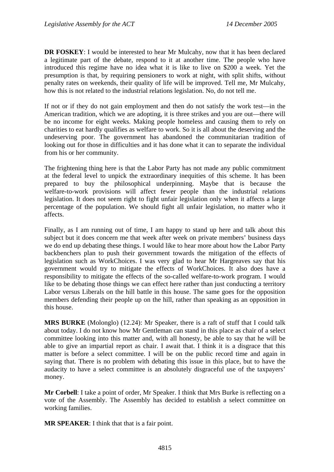**DR FOSKEY**: I would be interested to hear Mr Mulcahy, now that it has been declared a legitimate part of the debate, respond to it at another time. The people who have introduced this regime have no idea what it is like to live on \$200 a week. Yet the presumption is that, by requiring pensioners to work at night, with split shifts, without penalty rates on weekends, their quality of life will be improved. Tell me, Mr Mulcahy, how this is not related to the industrial relations legislation. No, do not tell me.

If not or if they do not gain employment and then do not satisfy the work test—in the American tradition, which we are adopting, it is three strikes and you are out—there will be no income for eight weeks. Making people homeless and causing them to rely on charities to eat hardly qualifies as welfare to work. So it is all about the deserving and the undeserving poor. The government has abandoned the communitarian tradition of looking out for those in difficulties and it has done what it can to separate the individual from his or her community.

The frightening thing here is that the Labor Party has not made any public commitment at the federal level to unpick the extraordinary inequities of this scheme. It has been prepared to buy the philosophical underpinning. Maybe that is because the welfare-to-work provisions will affect fewer people than the industrial relations legislation. It does not seem right to fight unfair legislation only when it affects a large percentage of the population. We should fight all unfair legislation, no matter who it affects.

Finally, as I am running out of time, I am happy to stand up here and talk about this subject but it does concern me that week after week on private members' business days we do end up debating these things. I would like to hear more about how the Labor Party backbenchers plan to push their government towards the mitigation of the effects of legislation such as WorkChoices. I was very glad to hear Mr Hargreaves say that his government would try to mitigate the effects of WorkChoices. It also does have a responsibility to mitigate the effects of the so-called welfare-to-work program. I would like to be debating those things we can effect here rather than just conducting a territory Labor versus Liberals on the hill battle in this house. The same goes for the opposition members defending their people up on the hill, rather than speaking as an opposition in this house.

**MRS BURKE** (Molonglo) (12.24): Mr Speaker, there is a raft of stuff that I could talk about today. I do not know how Mr Gentleman can stand in this place as chair of a select committee looking into this matter and, with all honesty, be able to say that he will be able to give an impartial report as chair. I await that. I think it is a disgrace that this matter is before a select committee. I will be on the public record time and again in saying that. There is no problem with debating this issue in this place, but to have the audacity to have a select committee is an absolutely disgraceful use of the taxpayers' money.

**Mr Corbell**: I take a point of order, Mr Speaker. I think that Mrs Burke is reflecting on a vote of the Assembly. The Assembly has decided to establish a select committee on working families.

**MR SPEAKER**: I think that that is a fair point.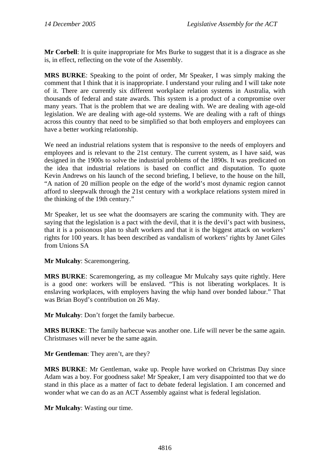**Mr Corbell**: It is quite inappropriate for Mrs Burke to suggest that it is a disgrace as she is, in effect, reflecting on the vote of the Assembly.

**MRS BURKE**: Speaking to the point of order, Mr Speaker, I was simply making the comment that I think that it is inappropriate. I understand your ruling and I will take note of it. There are currently six different workplace relation systems in Australia, with thousands of federal and state awards. This system is a product of a compromise over many years. That is the problem that we are dealing with. We are dealing with age-old legislation. We are dealing with age-old systems. We are dealing with a raft of things across this country that need to be simplified so that both employers and employees can have a better working relationship.

We need an industrial relations system that is responsive to the needs of employers and employees and is relevant to the 21st century. The current system, as I have said, was designed in the 1900s to solve the industrial problems of the 1890s. It was predicated on the idea that industrial relations is based on conflict and disputation. To quote Kevin Andrews on his launch of the second briefing, I believe, to the house on the hill, "A nation of 20 million people on the edge of the world's most dynamic region cannot afford to sleepwalk through the 21st century with a workplace relations system mired in the thinking of the 19th century."

Mr Speaker, let us see what the doomsayers are scaring the community with. They are saying that the legislation is a pact with the devil, that it is the devil's pact with business, that it is a poisonous plan to shaft workers and that it is the biggest attack on workers' rights for 100 years. It has been described as vandalism of workers' rights by Janet Giles from Unions SA

**Mr Mulcahy**: Scaremongering.

**MRS BURKE**: Scaremongering, as my colleague Mr Mulcahy says quite rightly. Here is a good one: workers will be enslaved. "This is not liberating workplaces. It is enslaving workplaces, with employers having the whip hand over bonded labour." That was Brian Boyd's contribution on 26 May.

**Mr Mulcahy**: Don't forget the family barbecue.

**MRS BURKE**: The family barbecue was another one. Life will never be the same again. Christmases will never be the same again.

**Mr Gentleman**: They aren't, are they?

**MRS BURKE**: Mr Gentleman, wake up. People have worked on Christmas Day since Adam was a boy. For goodness sake! Mr Speaker, I am very disappointed too that we do stand in this place as a matter of fact to debate federal legislation. I am concerned and wonder what we can do as an ACT Assembly against what is federal legislation.

**Mr Mulcahy**: Wasting our time.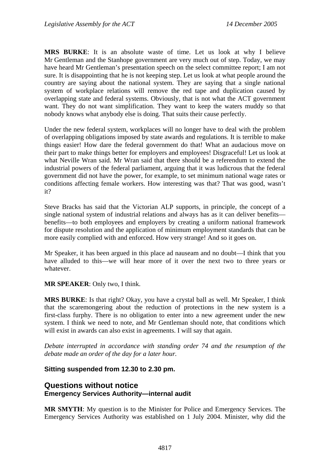<span id="page-34-0"></span>**MRS BURKE**: It is an absolute waste of time. Let us look at why I believe Mr Gentleman and the Stanhope government are very much out of step. Today, we may have heard Mr Gentleman's presentation speech on the select committee report; I am not sure. It is disappointing that he is not keeping step. Let us look at what people around the country are saying about the national system. They are saying that a single national system of workplace relations will remove the red tape and duplication caused by overlapping state and federal systems. Obviously, that is not what the ACT government want. They do not want simplification. They want to keep the waters muddy so that nobody knows what anybody else is doing. That suits their cause perfectly.

Under the new federal system, workplaces will no longer have to deal with the problem of overlapping obligations imposed by state awards and regulations. It is terrible to make things easier! How dare the federal government do that! What an audacious move on their part to make things better for employers and employees! Disgraceful! Let us look at what Neville Wran said. Mr Wran said that there should be a referendum to extend the industrial powers of the federal parliament, arguing that it was ludicrous that the federal government did not have the power, for example, to set minimum national wage rates or conditions affecting female workers. How interesting was that? That was good, wasn't it?

Steve Bracks has said that the Victorian ALP supports, in principle, the concept of a single national system of industrial relations and always has as it can deliver benefits benefits—to both employees and employers by creating a uniform national framework for dispute resolution and the application of minimum employment standards that can be more easily complied with and enforced. How very strange! And so it goes on.

Mr Speaker, it has been argued in this place ad nauseam and no doubt—I think that you have alluded to this—we will hear more of it over the next two to three years or whatever.

**MR SPEAKER**: Only two, I think.

**MRS BURKE**: Is that right? Okay, you have a crystal ball as well. Mr Speaker, I think that the scaremongering about the reduction of protections in the new system is a first-class furphy. There is no obligation to enter into a new agreement under the new system. I think we need to note, and Mr Gentleman should note, that conditions which will exist in awards can also exist in agreements. I will say that again.

*Debate interrupted in accordance with standing order 74 and the resumption of the debate made an order of the day for a later hour.* 

#### **Sitting suspended from 12.30 to 2.30 pm.**

### **Questions without notice Emergency Services Authority—internal audit**

**MR SMYTH**: My question is to the Minister for Police and Emergency Services. The Emergency Services Authority was established on 1 July 2004. Minister, why did the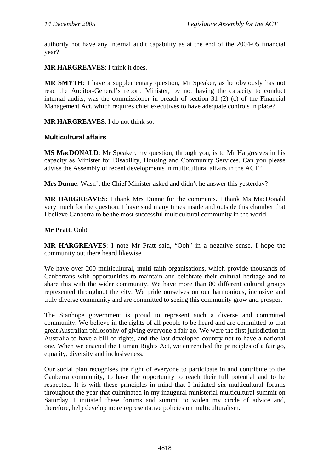<span id="page-35-0"></span>authority not have any internal audit capability as at the end of the 2004-05 financial year?

**MR HARGREAVES**: I think it does.

**MR SMYTH**: I have a supplementary question, Mr Speaker, as he obviously has not read the Auditor-General's report. Minister, by not having the capacity to conduct internal audits, was the commissioner in breach of section 31 (2) (c) of the Financial Management Act, which requires chief executives to have adequate controls in place?

**MR HARGREAVES**: I do not think so.

#### **Multicultural affairs**

**MS MacDONALD:** Mr Speaker, my question, through you, is to Mr Hargreaves in his capacity as Minister for Disability, Housing and Community Services. Can you please advise the Assembly of recent developments in multicultural affairs in the ACT?

**Mrs Dunne**: Wasn't the Chief Minister asked and didn't he answer this yesterday?

**MR HARGREAVES**: I thank Mrs Dunne for the comments. I thank Ms MacDonald very much for the question. I have said many times inside and outside this chamber that I believe Canberra to be the most successful multicultural community in the world.

#### **Mr Pratt**: Ooh!

**MR HARGREAVES**: I note Mr Pratt said, "Ooh" in a negative sense. I hope the community out there heard likewise.

We have over 200 multicultural, multi-faith organisations, which provide thousands of Canberrans with opportunities to maintain and celebrate their cultural heritage and to share this with the wider community. We have more than 80 different cultural groups represented throughout the city. We pride ourselves on our harmonious, inclusive and truly diverse community and are committed to seeing this community grow and prosper.

The Stanhope government is proud to represent such a diverse and committed community. We believe in the rights of all people to be heard and are committed to that great Australian philosophy of giving everyone a fair go. We were the first jurisdiction in Australia to have a bill of rights, and the last developed country not to have a national one. When we enacted the Human Rights Act, we entrenched the principles of a fair go, equality, diversity and inclusiveness.

Our social plan recognises the right of everyone to participate in and contribute to the Canberra community, to have the opportunity to reach their full potential and to be respected. It is with these principles in mind that I initiated six multicultural forums throughout the year that culminated in my inaugural ministerial multicultural summit on Saturday. I initiated these forums and summit to widen my circle of advice and, therefore, help develop more representative policies on multiculturalism.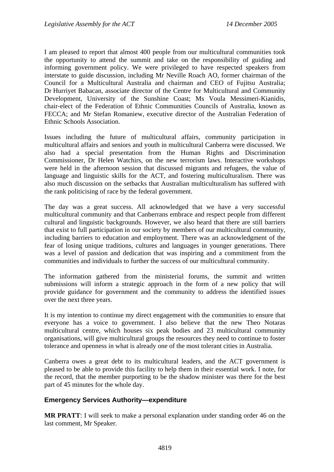I am pleased to report that almost 400 people from our multicultural communities took the opportunity to attend the summit and take on the responsibility of guiding and informing government policy. We were privileged to have respected speakers from interstate to guide discussion, including Mr Neville Roach AO, former chairman of the Council for a Multicultural Australia and chairman and CEO of Fujitsu Australia; Dr Hurriyet Babacan, associate director of the Centre for Multicultural and Community Development, University of the Sunshine Coast; Ms Voula Messimeri-Kianidis, chair-elect of the Federation of Ethnic Communities Councils of Australia, known as FECCA; and Mr Stefan Romaniew, executive director of the Australian Federation of Ethnic Schools Association.

Issues including the future of multicultural affairs, community participation in multicultural affairs and seniors and youth in multicultural Canberra were discussed. We also had a special presentation from the Human Rights and Discrimination Commissioner, Dr Helen Watchirs, on the new terrorism laws. Interactive workshops were held in the afternoon session that discussed migrants and refugees, the value of language and linguistic skills for the ACT, and fostering multiculturalism. There was also much discussion on the setbacks that Australian multiculturalism has suffered with the rank politicising of race by the federal government.

The day was a great success. All acknowledged that we have a very successful multicultural community and that Canberrans embrace and respect people from different cultural and linguistic backgrounds. However, we also heard that there are still barriers that exist to full participation in our society by members of our multicultural community, including barriers to education and employment. There was an acknowledgment of the fear of losing unique traditions, cultures and languages in younger generations. There was a level of passion and dedication that was inspiring and a commitment from the communities and individuals to further the success of our multicultural community.

The information gathered from the ministerial forums, the summit and written submissions will inform a strategic approach in the form of a new policy that will provide guidance for government and the community to address the identified issues over the next three years.

It is my intention to continue my direct engagement with the communities to ensure that everyone has a voice to government. I also believe that the new Theo Notaras multicultural centre, which houses six peak bodies and 23 multicultural community organisations, will give multicultural groups the resources they need to continue to foster tolerance and openness in what is already one of the most tolerant cities in Australia.

Canberra owes a great debt to its multicultural leaders, and the ACT government is pleased to be able to provide this facility to help them in their essential work. I note, for the record, that the member purporting to be the shadow minister was there for the best part of 45 minutes for the whole day.

#### **Emergency Services Authority—expenditure**

**MR PRATT**: I will seek to make a personal explanation under standing order 46 on the last comment, Mr Speaker.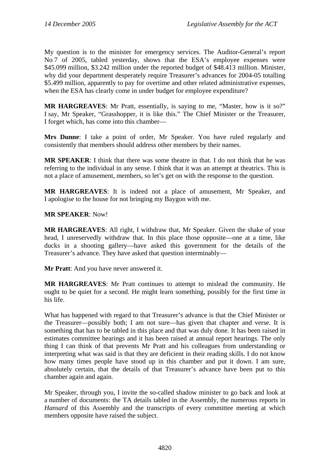My question is to the minister for emergency services. The Auditor-General's report No 7 of 2005, tabled yesterday, shows that the ESA's employee expenses were \$45.099 million, \$3.242 million under the reported budget of \$48.413 million. Minister, why did your department desperately require Treasurer's advances for 2004-05 totalling \$5.499 million, apparently to pay for overtime and other related administrative expenses, when the ESA has clearly come in under budget for employee expenditure?

**MR HARGREAVES**: Mr Pratt, essentially, is saying to me, "Master, how is it so?" I say, Mr Speaker, "Grasshopper, it is like this." The Chief Minister or the Treasurer, I forget which, has come into this chamber—

**Mrs Dunne**: I take a point of order, Mr Speaker. You have ruled regularly and consistently that members should address other members by their names.

**MR SPEAKER**: I think that there was some theatre in that. I do not think that he was referring to the individual in any sense. I think that it was an attempt at theatrics. This is not a place of amusement, members, so let's get on with the response to the question.

**MR HARGREAVES**: It is indeed not a place of amusement, Mr Speaker, and I apologise to the house for not bringing my Baygon with me.

#### **MR SPEAKER**: Now!

**MR HARGREAVES**: All right, I withdraw that, Mr Speaker. Given the shake of your head, I unreservedly withdraw that. In this place those opposite—one at a time, like ducks in a shooting gallery—have asked this government for the details of the Treasurer's advance. They have asked that question interminably—

**Mr Pratt**: And you have never answered it.

**MR HARGREAVES**: Mr Pratt continues to attempt to mislead the community. He ought to be quiet for a second. He might learn something, possibly for the first time in his life.

What has happened with regard to that Treasurer's advance is that the Chief Minister or the Treasurer—possibly both; I am not sure—has given that chapter and verse. It is something that has to be tabled in this place and that was duly done. It has been raised in estimates committee hearings and it has been raised at annual report hearings. The only thing I can think of that prevents Mr Pratt and his colleagues from understanding or interpreting what was said is that they are deficient in their reading skills. I do not know how many times people have stood up in this chamber and put it down. I am sure, absolutely certain, that the details of that Treasurer's advance have been put to this chamber again and again.

Mr Speaker, through you, I invite the so-called shadow minister to go back and look at a number of documents: the TA details tabled in the Assembly, the numerous reports in *Hansard* of this Assembly and the transcripts of every committee meeting at which members opposite have raised the subject.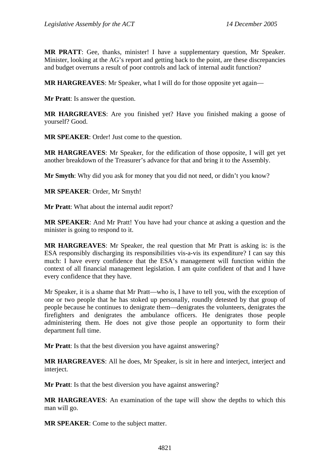**MR PRATT**: Gee, thanks, minister! I have a supplementary question, Mr Speaker. Minister, looking at the AG's report and getting back to the point, are these discrepancies and budget overruns a result of poor controls and lack of internal audit function?

**MR HARGREAVES**: Mr Speaker, what I will do for those opposite yet again—

**Mr Pratt**: Is answer the question.

**MR HARGREAVES**: Are you finished yet? Have you finished making a goose of yourself? Good.

**MR SPEAKER**: Order! Just come to the question.

**MR HARGREAVES**: Mr Speaker, for the edification of those opposite, I will get yet another breakdown of the Treasurer's advance for that and bring it to the Assembly.

**Mr Smyth**: Why did you ask for money that you did not need, or didn't you know?

**MR SPEAKER**: Order, Mr Smyth!

**Mr Pratt**: What about the internal audit report?

**MR SPEAKER**: And Mr Pratt! You have had your chance at asking a question and the minister is going to respond to it.

**MR HARGREAVES**: Mr Speaker, the real question that Mr Pratt is asking is: is the ESA responsibly discharging its responsibilities vis-a-vis its expenditure? I can say this much: I have every confidence that the ESA's management will function within the context of all financial management legislation. I am quite confident of that and I have every confidence that they have.

Mr Speaker, it is a shame that Mr Pratt—who is, I have to tell you, with the exception of one or two people that he has stoked up personally, roundly detested by that group of people because he continues to denigrate them—denigrates the volunteers, denigrates the firefighters and denigrates the ambulance officers. He denigrates those people administering them. He does not give those people an opportunity to form their department full time.

**Mr Pratt**: Is that the best diversion you have against answering?

**MR HARGREAVES**: All he does, Mr Speaker, is sit in here and interject, interject and interject.

**Mr Pratt**: Is that the best diversion you have against answering?

**MR HARGREAVES**: An examination of the tape will show the depths to which this man will go.

**MR SPEAKER**: Come to the subject matter.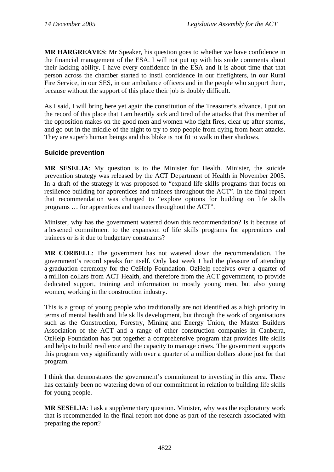**MR HARGREAVES**: Mr Speaker, his question goes to whether we have confidence in the financial management of the ESA. I will not put up with his snide comments about their lacking ability. I have every confidence in the ESA and it is about time that that person across the chamber started to instil confidence in our firefighters, in our Rural Fire Service, in our SES, in our ambulance officers and in the people who support them, because without the support of this place their job is doubly difficult.

As I said, I will bring here yet again the constitution of the Treasurer's advance. I put on the record of this place that I am heartily sick and tired of the attacks that this member of the opposition makes on the good men and women who fight fires, clear up after storms, and go out in the middle of the night to try to stop people from dying from heart attacks. They are superb human beings and this bloke is not fit to walk in their shadows.

### **Suicide prevention**

**MR SESELJA**: My question is to the Minister for Health. Minister, the suicide prevention strategy was released by the ACT Department of Health in November 2005. In a draft of the strategy it was proposed to "expand life skills programs that focus on resilience building for apprentices and trainees throughout the ACT". In the final report that recommendation was changed to "explore options for building on life skills programs … for apprentices and trainees throughout the ACT".

Minister, why has the government watered down this recommendation? Is it because of a lessened commitment to the expansion of life skills programs for apprentices and trainees or is it due to budgetary constraints?

**MR CORBELL**: The government has not watered down the recommendation. The government's record speaks for itself. Only last week I had the pleasure of attending a graduation ceremony for the OzHelp Foundation. OzHelp receives over a quarter of a million dollars from ACT Health, and therefore from the ACT government, to provide dedicated support, training and information to mostly young men, but also young women, working in the construction industry.

This is a group of young people who traditionally are not identified as a high priority in terms of mental health and life skills development, but through the work of organisations such as the Construction, Forestry, Mining and Energy Union, the Master Builders Association of the ACT and a range of other construction companies in Canberra, OzHelp Foundation has put together a comprehensive program that provides life skills and helps to build resilience and the capacity to manage crises. The government supports this program very significantly with over a quarter of a million dollars alone just for that program.

I think that demonstrates the government's commitment to investing in this area. There has certainly been no watering down of our commitment in relation to building life skills for young people.

**MR SESELJA**: I ask a supplementary question. Minister, why was the exploratory work that is recommended in the final report not done as part of the research associated with preparing the report?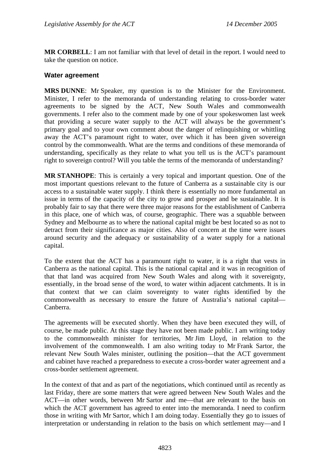**MR CORBELL**: I am not familiar with that level of detail in the report. I would need to take the question on notice.

#### **Water agreement**

**MRS DUNNE**: Mr Speaker, my question is to the Minister for the Environment. Minister, I refer to the memoranda of understanding relating to cross-border water agreements to be signed by the ACT, New South Wales and commonwealth governments. I refer also to the comment made by one of your spokeswomen last week that providing a secure water supply to the ACT will always be the government's primary goal and to your own comment about the danger of relinquishing or whittling away the ACT's paramount right to water, over which it has been given sovereign control by the commonwealth. What are the terms and conditions of these memoranda of understanding, specifically as they relate to what you tell us is the ACT's paramount right to sovereign control? Will you table the terms of the memoranda of understanding?

**MR STANHOPE**: This is certainly a very topical and important question. One of the most important questions relevant to the future of Canberra as a sustainable city is our access to a sustainable water supply. I think there is essentially no more fundamental an issue in terms of the capacity of the city to grow and prosper and be sustainable. It is probably fair to say that there were three major reasons for the establishment of Canberra in this place, one of which was, of course, geographic. There was a squabble between Sydney and Melbourne as to where the national capital might be best located so as not to detract from their significance as major cities. Also of concern at the time were issues around security and the adequacy or sustainability of a water supply for a national capital.

To the extent that the ACT has a paramount right to water, it is a right that vests in Canberra as the national capital. This is the national capital and it was in recognition of that that land was acquired from New South Wales and along with it sovereignty, essentially, in the broad sense of the word, to water within adjacent catchments. It is in that context that we can claim sovereignty to water rights identified by the commonwealth as necessary to ensure the future of Australia's national capital— Canberra.

The agreements will be executed shortly. When they have been executed they will, of course, be made public. At this stage they have not been made public. I am writing today to the commonwealth minister for territories, Mr Jim Lloyd, in relation to the involvement of the commonwealth. I am also writing today to Mr Frank Sartor, the relevant New South Wales minister, outlining the position—that the ACT government and cabinet have reached a preparedness to execute a cross-border water agreement and a cross-border settlement agreement.

In the context of that and as part of the negotiations, which continued until as recently as last Friday, there are some matters that were agreed between New South Wales and the ACT—in other words, between Mr Sartor and me—that are relevant to the basis on which the ACT government has agreed to enter into the memoranda. I need to confirm those in writing with Mr Sartor, which I am doing today. Essentially they go to issues of interpretation or understanding in relation to the basis on which settlement may—and I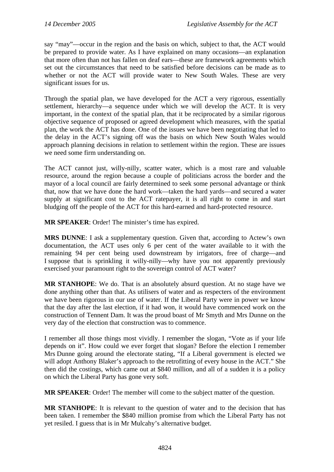say "may"—occur in the region and the basis on which, subject to that, the ACT would be prepared to provide water. As I have explained on many occasions—an explanation that more often than not has fallen on deaf ears—these are framework agreements which set out the circumstances that need to be satisfied before decisions can be made as to whether or not the ACT will provide water to New South Wales. These are very significant issues for us.

Through the spatial plan, we have developed for the ACT a very rigorous, essentially settlement, hierarchy—a sequence under which we will develop the ACT. It is very important, in the context of the spatial plan, that it be reciprocated by a similar rigorous objective sequence of proposed or agreed development which measures, with the spatial plan, the work the ACT has done. One of the issues we have been negotiating that led to the delay in the ACT's signing off was the basis on which New South Wales would approach planning decisions in relation to settlement within the region. These are issues we need some firm understanding on.

The ACT cannot just, willy-nilly, scatter water, which is a most rare and valuable resource, around the region because a couple of politicians across the border and the mayor of a local council are fairly determined to seek some personal advantage or think that, now that we have done the hard work—taken the hard yards—and secured a water supply at significant cost to the ACT ratepayer, it is all right to come in and start bludging off the people of the ACT for this hard-earned and hard-protected resource.

**MR SPEAKER**: Order! The minister's time has expired.

**MRS DUNNE**: I ask a supplementary question. Given that, according to Actew's own documentation, the ACT uses only 6 per cent of the water available to it with the remaining 94 per cent being used downstream by irrigators, free of charge—and I suppose that is sprinkling it willy-nilly—why have you not apparently previously exercised your paramount right to the sovereign control of ACT water?

**MR STANHOPE**: We do. That is an absolutely absurd question. At no stage have we done anything other than that. As utilisers of water and as respecters of the environment we have been rigorous in our use of water. If the Liberal Party were in power we know that the day after the last election, if it had won, it would have commenced work on the construction of Tennent Dam. It was the proud boast of Mr Smyth and Mrs Dunne on the very day of the election that construction was to commence.

I remember all those things most vividly. I remember the slogan, "Vote as if your life depends on it". How could we ever forget that slogan? Before the election I remember Mrs Dunne going around the electorate stating, "If a Liberal government is elected we will adopt Anthony Blaker's approach to the retrofitting of every house in the ACT." She then did the costings, which came out at \$840 million, and all of a sudden it is a policy on which the Liberal Party has gone very soft.

**MR SPEAKER:** Order! The member will come to the subject matter of the question.

**MR STANHOPE**: It is relevant to the question of water and to the decision that has been taken. I remember the \$840 million promise from which the Liberal Party has not yet resiled. I guess that is in Mr Mulcahy's alternative budget.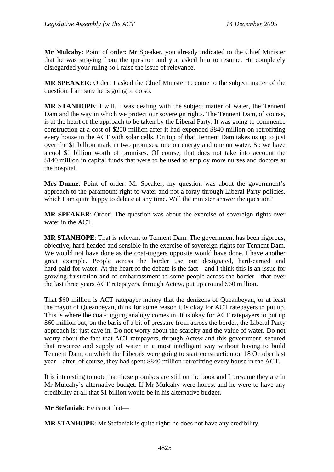**Mr Mulcahy**: Point of order: Mr Speaker, you already indicated to the Chief Minister that he was straying from the question and you asked him to resume. He completely disregarded your ruling so I raise the issue of relevance.

**MR SPEAKER**: Order! I asked the Chief Minister to come to the subject matter of the question. I am sure he is going to do so.

**MR STANHOPE**: I will. I was dealing with the subject matter of water, the Tennent Dam and the way in which we protect our sovereign rights. The Tennent Dam, of course, is at the heart of the approach to be taken by the Liberal Party. It was going to commence construction at a cost of \$250 million after it had expended \$840 million on retrofitting every house in the ACT with solar cells. On top of that Tennent Dam takes us up to just over the \$1 billion mark in two promises, one on energy and one on water. So we have a cool \$1 billion worth of promises. Of course, that does not take into account the \$140 million in capital funds that were to be used to employ more nurses and doctors at the hospital.

**Mrs Dunne**: Point of order: Mr Speaker, my question was about the government's approach to the paramount right to water and not a foray through Liberal Party policies, which I am quite happy to debate at any time. Will the minister answer the question?

**MR SPEAKER**: Order! The question was about the exercise of sovereign rights over water in the ACT.

**MR STANHOPE**: That is relevant to Tennent Dam. The government has been rigorous, objective, hard headed and sensible in the exercise of sovereign rights for Tennent Dam. We would not have done as the coat-tuggers opposite would have done. I have another great example. People across the border use our designated, hard-earned and hard-paid-for water. At the heart of the debate is the fact—and I think this is an issue for growing frustration and of embarrassment to some people across the border—that over the last three years ACT ratepayers, through Actew, put up around \$60 million.

That \$60 million is ACT ratepayer money that the denizens of Queanbeyan, or at least the mayor of Queanbeyan, think for some reason it is okay for ACT ratepayers to put up. This is where the coat-tugging analogy comes in. It is okay for ACT ratepayers to put up \$60 million but, on the basis of a bit of pressure from across the border, the Liberal Party approach is: just cave in. Do not worry about the scarcity and the value of water. Do not worry about the fact that ACT ratepayers, through Actew and this government, secured that resource and supply of water in a most intelligent way without having to build Tennent Dam, on which the Liberals were going to start construction on 18 October last year—after, of course, they had spent \$840 million retrofitting every house in the ACT.

It is interesting to note that these promises are still on the book and I presume they are in Mr Mulcahy's alternative budget. If Mr Mulcahy were honest and he were to have any credibility at all that \$1 billion would be in his alternative budget.

**Mr Stefaniak**: He is not that—

**MR STANHOPE**: Mr Stefaniak is quite right; he does not have any credibility.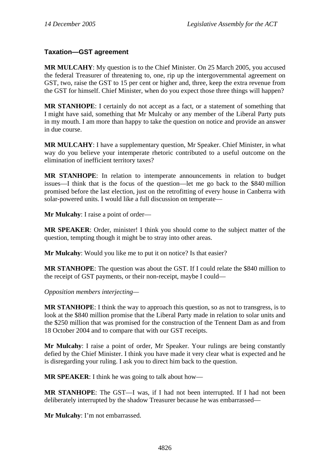### **Taxation—GST agreement**

**MR MULCAHY**: My question is to the Chief Minister. On 25 March 2005, you accused the federal Treasurer of threatening to, one, rip up the intergovernmental agreement on GST, two, raise the GST to 15 per cent or higher and, three, keep the extra revenue from the GST for himself. Chief Minister, when do you expect those three things will happen?

**MR STANHOPE**: I certainly do not accept as a fact, or a statement of something that I might have said, something that Mr Mulcahy or any member of the Liberal Party puts in my mouth. I am more than happy to take the question on notice and provide an answer in due course.

**MR MULCAHY**: I have a supplementary question, Mr Speaker. Chief Minister, in what way do you believe your intemperate rhetoric contributed to a useful outcome on the elimination of inefficient territory taxes?

**MR STANHOPE**: In relation to intemperate announcements in relation to budget issues—I think that is the focus of the question—let me go back to the \$840 million promised before the last election, just on the retrofitting of every house in Canberra with solar-powered units. I would like a full discussion on temperate—

**Mr Mulcahy**: I raise a point of order—

**MR SPEAKER**: Order, minister! I think you should come to the subject matter of the question, tempting though it might be to stray into other areas.

**Mr Mulcahy**: Would you like me to put it on notice? Is that easier?

**MR STANHOPE**: The question was about the GST. If I could relate the \$840 million to the receipt of GST payments, or their non-receipt, maybe I could—

*Opposition members interjecting—*

**MR STANHOPE**: I think the way to approach this question, so as not to transgress, is to look at the \$840 million promise that the Liberal Party made in relation to solar units and the \$250 million that was promised for the construction of the Tennent Dam as and from 18 October 2004 and to compare that with our GST receipts.

**Mr Mulcahy**: I raise a point of order, Mr Speaker. Your rulings are being constantly defied by the Chief Minister. I think you have made it very clear what is expected and he is disregarding your ruling. I ask you to direct him back to the question.

**MR SPEAKER**: I think he was going to talk about how—

**MR STANHOPE**: The GST—I was, if I had not been interrupted. If I had not been deliberately interrupted by the shadow Treasurer because he was embarrassed—

**Mr Mulcahy**: I'm not embarrassed.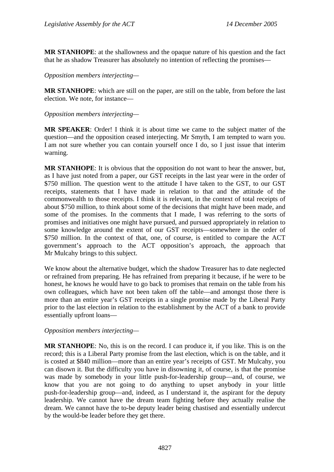**MR STANHOPE**: at the shallowness and the opaque nature of his question and the fact that he as shadow Treasurer has absolutely no intention of reflecting the promises—

*Opposition members interjecting—* 

**MR STANHOPE**: which are still on the paper, are still on the table, from before the last election. We note, for instance—

*Opposition members interjecting—* 

**MR SPEAKER**: Order! I think it is about time we came to the subject matter of the question—and the opposition ceased interjecting. Mr Smyth, I am tempted to warn you. I am not sure whether you can contain yourself once I do, so I just issue that interim warning.

**MR STANHOPE**: It is obvious that the opposition do not want to hear the answer, but, as I have just noted from a paper, our GST receipts in the last year were in the order of \$750 million. The question went to the attitude I have taken to the GST, to our GST receipts, statements that I have made in relation to that and the attitude of the commonwealth to those receipts. I think it is relevant, in the context of total receipts of about \$750 million, to think about some of the decisions that might have been made, and some of the promises. In the comments that I made, I was referring to the sorts of promises and initiatives one might have pursued, and pursued appropriately in relation to some knowledge around the extent of our GST receipts—somewhere in the order of \$750 million. In the context of that, one, of course, is entitled to compare the ACT government's approach to the ACT opposition's approach, the approach that Mr Mulcahy brings to this subject.

We know about the alternative budget, which the shadow Treasurer has to date neglected or refrained from preparing. He has refrained from preparing it because, if he were to be honest, he knows he would have to go back to promises that remain on the table from his own colleagues, which have not been taken off the table—and amongst those there is more than an entire year's GST receipts in a single promise made by the Liberal Party prior to the last election in relation to the establishment by the ACT of a bank to provide essentially upfront loans—

*Opposition members interjecting—* 

**MR STANHOPE**: No, this is on the record. I can produce it, if you like. This is on the record; this is a Liberal Party promise from the last election, which is on the table, and it is costed at \$840 million—more than an entire year's receipts of GST. Mr Mulcahy, you can disown it. But the difficulty you have in disowning it, of course, is that the promise was made by somebody in your little push-for-leadership group—and, of course, we know that you are not going to do anything to upset anybody in your little push-for-leadership group—and, indeed, as I understand it, the aspirant for the deputy leadership. We cannot have the dream team fighting before they actually realise the dream. We cannot have the to-be deputy leader being chastised and essentially undercut by the would-be leader before they get there.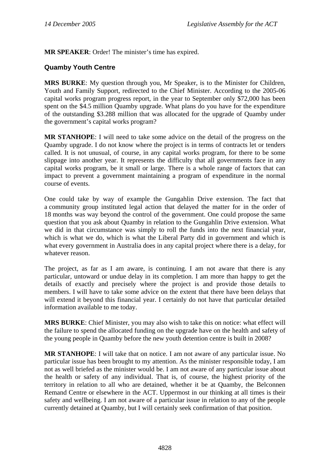**MR SPEAKER**: Order! The minister's time has expired.

### **Quamby Youth Centre**

**MRS BURKE**: My question through you, Mr Speaker, is to the Minister for Children, Youth and Family Support, redirected to the Chief Minister. According to the 2005-06 capital works program progress report, in the year to September only \$72,000 has been spent on the \$4.5 million Quamby upgrade. What plans do you have for the expenditure of the outstanding \$3.288 million that was allocated for the upgrade of Quamby under the government's capital works program?

**MR STANHOPE**: I will need to take some advice on the detail of the progress on the Quamby upgrade. I do not know where the project is in terms of contracts let or tenders called. It is not unusual, of course, in any capital works program, for there to be some slippage into another year. It represents the difficulty that all governments face in any capital works program, be it small or large. There is a whole range of factors that can impact to prevent a government maintaining a program of expenditure in the normal course of events.

One could take by way of example the Gungahlin Drive extension. The fact that a community group instituted legal action that delayed the matter for in the order of 18 months was way beyond the control of the government. One could propose the same question that you ask about Quamby in relation to the Gungahlin Drive extension. What we did in that circumstance was simply to roll the funds into the next financial year, which is what we do, which is what the Liberal Party did in government and which is what every government in Australia does in any capital project where there is a delay, for whatever reason.

The project, as far as I am aware, is continuing. I am not aware that there is any particular, untoward or undue delay in its completion. I am more than happy to get the details of exactly and precisely where the project is and provide those details to members. I will have to take some advice on the extent that there have been delays that will extend it beyond this financial year. I certainly do not have that particular detailed information available to me today.

**MRS BURKE**: Chief Minister, you may also wish to take this on notice: what effect will the failure to spend the allocated funding on the upgrade have on the health and safety of the young people in Quamby before the new youth detention centre is built in 2008?

**MR STANHOPE:** I will take that on notice. I am not aware of any particular issue. No particular issue has been brought to my attention. As the minister responsible today, I am not as well briefed as the minister would be. I am not aware of any particular issue about the health or safety of any individual. That is, of course, the highest priority of the territory in relation to all who are detained, whether it be at Quamby, the Belconnen Remand Centre or elsewhere in the ACT. Uppermost in our thinking at all times is their safety and wellbeing. I am not aware of a particular issue in relation to any of the people currently detained at Quamby, but I will certainly seek confirmation of that position.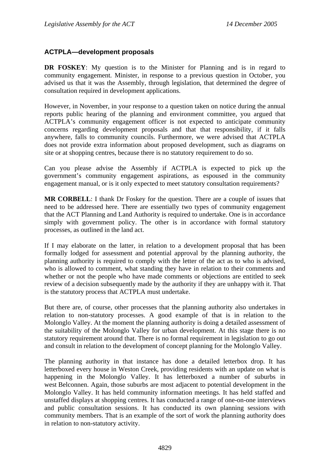#### **ACTPLA—development proposals**

**DR FOSKEY:** My question is to the Minister for Planning and is in regard to community engagement. Minister, in response to a previous question in October, you advised us that it was the Assembly, through legislation, that determined the degree of consultation required in development applications.

However, in November, in your response to a question taken on notice during the annual reports public hearing of the planning and environment committee, you argued that ACTPLA's community engagement officer is not expected to anticipate community concerns regarding development proposals and that that responsibility, if it falls anywhere, falls to community councils. Furthermore, we were advised that ACTPLA does not provide extra information about proposed development, such as diagrams on site or at shopping centres, because there is no statutory requirement to do so.

Can you please advise the Assembly if ACTPLA is expected to pick up the government's community engagement aspirations, as espoused in the community engagement manual, or is it only expected to meet statutory consultation requirements?

**MR CORBELL**: I thank Dr Foskey for the question. There are a couple of issues that need to be addressed here. There are essentially two types of community engagement that the ACT Planning and Land Authority is required to undertake. One is in accordance simply with government policy. The other is in accordance with formal statutory processes, as outlined in the land act.

If I may elaborate on the latter, in relation to a development proposal that has been formally lodged for assessment and potential approval by the planning authority, the planning authority is required to comply with the letter of the act as to who is advised, who is allowed to comment, what standing they have in relation to their comments and whether or not the people who have made comments or objections are entitled to seek review of a decision subsequently made by the authority if they are unhappy with it. That is the statutory process that ACTPLA must undertake.

But there are, of course, other processes that the planning authority also undertakes in relation to non-statutory processes. A good example of that is in relation to the Molonglo Valley. At the moment the planning authority is doing a detailed assessment of the suitability of the Molonglo Valley for urban development. At this stage there is no statutory requirement around that. There is no formal requirement in legislation to go out and consult in relation to the development of concept planning for the Molonglo Valley.

The planning authority in that instance has done a detailed letterbox drop. It has letterboxed every house in Weston Creek, providing residents with an update on what is happening in the Molonglo Valley. It has letterboxed a number of suburbs in west Belconnen. Again, those suburbs are most adjacent to potential development in the Molonglo Valley. It has held community information meetings. It has held staffed and unstaffed displays at shopping centres. It has conducted a range of one-on-one interviews and public consultation sessions. It has conducted its own planning sessions with community members. That is an example of the sort of work the planning authority does in relation to non-statutory activity.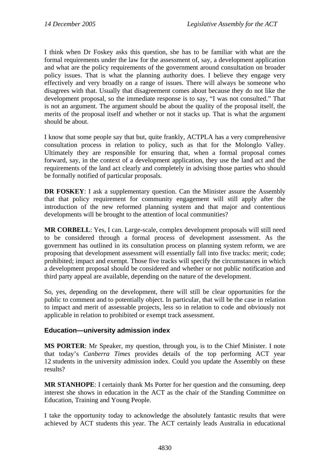I think when Dr Foskey asks this question, she has to be familiar with what are the formal requirements under the law for the assessment of, say, a development application and what are the policy requirements of the government around consultation on broader policy issues. That is what the planning authority does. I believe they engage very effectively and very broadly on a range of issues. There will always be someone who disagrees with that. Usually that disagreement comes about because they do not like the development proposal, so the immediate response is to say, "I was not consulted." That is not an argument. The argument should be about the quality of the proposal itself, the merits of the proposal itself and whether or not it stacks up. That is what the argument should be about.

I know that some people say that but, quite frankly, ACTPLA has a very comprehensive consultation process in relation to policy, such as that for the Molonglo Valley. Ultimately they are responsible for ensuring that, when a formal proposal comes forward, say, in the context of a development application, they use the land act and the requirements of the land act clearly and completely in advising those parties who should be formally notified of particular proposals.

**DR FOSKEY**: I ask a supplementary question. Can the Minister assure the Assembly that that policy requirement for community engagement will still apply after the introduction of the new reformed planning system and that major and contentious developments will be brought to the attention of local communities?

**MR CORBELL**: Yes, I can. Large-scale, complex development proposals will still need to be considered through a formal process of development assessment. As the government has outlined in its consultation process on planning system reform, we are proposing that development assessment will essentially fall into five tracks: merit; code; prohibited; impact and exempt. Those five tracks will specify the circumstances in which a development proposal should be considered and whether or not public notification and third party appeal are available, depending on the nature of the development.

So, yes, depending on the development, there will still be clear opportunities for the public to comment and to potentially object. In particular, that will be the case in relation to impact and merit of assessable projects, less so in relation to code and obviously not applicable in relation to prohibited or exempt track assessment.

### **Education—university admission index**

**MS PORTER**: Mr Speaker, my question, through you, is to the Chief Minister. I note that today's *Canberra Times* provides details of the top performing ACT year 12 students in the university admission index. Could you update the Assembly on these results?

**MR STANHOPE**: I certainly thank Ms Porter for her question and the consuming, deep interest she shows in education in the ACT as the chair of the Standing Committee on Education, Training and Young People.

I take the opportunity today to acknowledge the absolutely fantastic results that were achieved by ACT students this year. The ACT certainly leads Australia in educational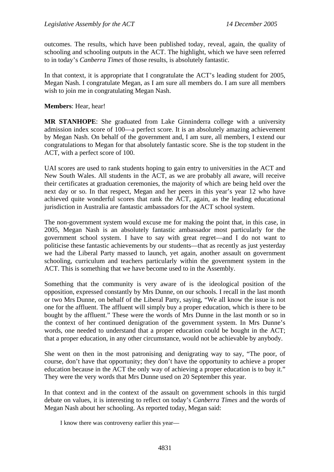outcomes. The results, which have been published today, reveal, again, the quality of schooling and schooling outputs in the ACT. The highlight, which we have seen referred to in today's *Canberra Times* of those results, is absolutely fantastic.

In that context, it is appropriate that I congratulate the ACT's leading student for 2005, Megan Nash. I congratulate Megan, as I am sure all members do. I am sure all members wish to join me in congratulating Megan Nash.

**Members**: Hear, hear!

**MR STANHOPE**: She graduated from Lake Ginninderra college with a university admission index score of 100—a perfect score. It is an absolutely amazing achievement by Megan Nash. On behalf of the government and, I am sure, all members, I extend our congratulations to Megan for that absolutely fantastic score. She is the top student in the ACT, with a perfect score of 100.

UAI scores are used to rank students hoping to gain entry to universities in the ACT and New South Wales. All students in the ACT, as we are probably all aware, will receive their certificates at graduation ceremonies, the majority of which are being held over the next day or so. In that respect, Megan and her peers in this year's year 12 who have achieved quite wonderful scores that rank the ACT, again, as the leading educational jurisdiction in Australia are fantastic ambassadors for the ACT school system.

The non-government system would excuse me for making the point that, in this case, in 2005, Megan Nash is an absolutely fantastic ambassador most particularly for the government school system. I have to say with great regret—and I do not want to politicise these fantastic achievements by our students—that as recently as just yesterday we had the Liberal Party massed to launch, yet again, another assault on government schooling, curriculum and teachers particularly within the government system in the ACT. This is something that we have become used to in the Assembly.

Something that the community is very aware of is the ideological position of the opposition, expressed constantly by Mrs Dunne, on our schools. I recall in the last month or two Mrs Dunne, on behalf of the Liberal Party, saying, "We all know the issue is not one for the affluent. The affluent will simply buy a proper education, which is there to be bought by the affluent." These were the words of Mrs Dunne in the last month or so in the context of her continued denigration of the government system. In Mrs Dunne's words, one needed to understand that a proper education could be bought in the ACT; that a proper education, in any other circumstance, would not be achievable by anybody.

She went on then in the most patronising and denigrating way to say, "The poor, of course, don't have that opportunity; they don't have the opportunity to achieve a proper education because in the ACT the only way of achieving a proper education is to buy it." They were the very words that Mrs Dunne used on 20 September this year.

In that context and in the context of the assault on government schools in this turgid debate on values, it is interesting to reflect on today's *Canberra Times* and the words of Megan Nash about her schooling. As reported today, Megan said:

I know there was controversy earlier this year—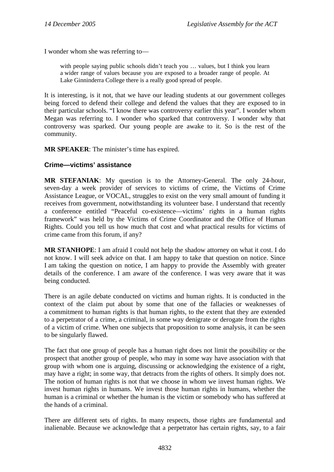I wonder whom she was referring to—

with people saying public schools didn't teach you ... values, but I think you learn a wider range of values because you are exposed to a broader range of people. At Lake Ginninderra College there is a really good spread of people.

It is interesting, is it not, that we have our leading students at our government colleges being forced to defend their college and defend the values that they are exposed to in their particular schools. "I know there was controversy earlier this year". I wonder whom Megan was referring to. I wonder who sparked that controversy. I wonder why that controversy was sparked. Our young people are awake to it. So is the rest of the community.

**MR SPEAKER**: The minister's time has expired.

#### **Crime—victims' assistance**

**MR STEFANIAK**: My question is to the Attorney-General. The only 24-hour, seven-day a week provider of services to victims of crime, the Victims of Crime Assistance League, or VOCAL, struggles to exist on the very small amount of funding it receives from government, notwithstanding its volunteer base. I understand that recently a conference entitled "Peaceful co-existence—victims' rights in a human rights framework" was held by the Victims of Crime Coordinator and the Office of Human Rights. Could you tell us how much that cost and what practical results for victims of crime came from this forum, if any?

**MR STANHOPE**: I am afraid I could not help the shadow attorney on what it cost. I do not know. I will seek advice on that. I am happy to take that question on notice. Since I am taking the question on notice, I am happy to provide the Assembly with greater details of the conference. I am aware of the conference. I was very aware that it was being conducted.

There is an agile debate conducted on victims and human rights. It is conducted in the context of the claim put about by some that one of the fallacies or weaknesses of a commitment to human rights is that human rights, to the extent that they are extended to a perpetrator of a crime, a criminal, in some way denigrate or derogate from the rights of a victim of crime. When one subjects that proposition to some analysis, it can be seen to be singularly flawed.

The fact that one group of people has a human right does not limit the possibility or the prospect that another group of people, who may in some way have association with that group with whom one is arguing, discussing or acknowledging the existence of a right, may have a right; in some way, that detracts from the rights of others. It simply does not. The notion of human rights is not that we choose in whom we invest human rights. We invest human rights in humans. We invest those human rights in humans, whether the human is a criminal or whether the human is the victim or somebody who has suffered at the hands of a criminal.

There are different sets of rights. In many respects, those rights are fundamental and inalienable. Because we acknowledge that a perpetrator has certain rights, say, to a fair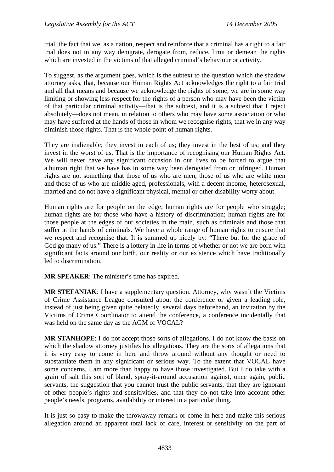trial, the fact that we, as a nation, respect and reinforce that a criminal has a right to a fair trial does not in any way denigrate, derogate from, reduce, limit or demean the rights which are invested in the victims of that alleged criminal's behaviour or activity.

To suggest, as the argument goes, which is the subtext to the question which the shadow attorney asks, that, because our Human Rights Act acknowledges the right to a fair trial and all that means and because we acknowledge the rights of some, we are in some way limiting or showing less respect for the rights of a person who may have been the victim of that particular criminal activity—that is the subtext, and it is a subtext that I reject absolutely—does not mean, in relation to others who may have some association or who may have suffered at the hands of those in whom we recognise rights, that we in any way diminish those rights. That is the whole point of human rights.

They are inalienable; they invest in each of us; they invest in the best of us; and they invest in the worst of us. That is the importance of recognising our Human Rights Act. We will never have any significant occasion in our lives to be forced to argue that a human right that we have has in some way been derogated from or infringed. Human rights are not something that those of us who are men, those of us who are white men and those of us who are middle aged, professionals, with a decent income, heterosexual, married and do not have a significant physical, mental or other disability worry about.

Human rights are for people on the edge; human rights are for people who struggle; human rights are for those who have a history of discrimination; human rights are for those people at the edges of our societies in the main, such as criminals and those that suffer at the hands of criminals. We have a whole range of human rights to ensure that we respect and recognise that. It is summed up nicely by: "There but for the grace of God go many of us." There is a lottery in life in terms of whether or not we are born with significant facts around our birth, our reality or our existence which have traditionally led to discrimination.

**MR SPEAKER**: The minister's time has expired.

**MR STEFANIAK**: I have a supplementary question. Attorney, why wasn't the Victims of Crime Assistance League consulted about the conference or given a leading role, instead of just being given quite belatedly, several days beforehand, an invitation by the Victims of Crime Coordinator to attend the conference, a conference incidentally that was held on the same day as the AGM of VOCAL?

**MR STANHOPE**: I do not accept those sorts of allegations. I do not know the basis on which the shadow attorney justifies his allegations. They are the sorts of allegations that it is very easy to come in here and throw around without any thought or need to substantiate them in any significant or serious way. To the extent that VOCAL have some concerns, I am more than happy to have those investigated. But I do take with a grain of salt this sort of bland, spray-it-around accusation against, once again, public servants, the suggestion that you cannot trust the public servants, that they are ignorant of other people's rights and sensitivities, and that they do not take into account other people's needs, programs, availability or interest in a particular thing.

It is just so easy to make the throwaway remark or come in here and make this serious allegation around an apparent total lack of care, interest or sensitivity on the part of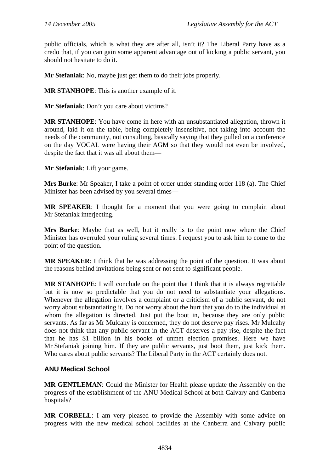public officials, which is what they are after all, isn't it? The Liberal Party have as a credo that, if you can gain some apparent advantage out of kicking a public servant, you should not hesitate to do it.

**Mr Stefaniak**: No, maybe just get them to do their jobs properly.

**MR STANHOPE**: This is another example of it.

**Mr Stefaniak**: Don't you care about victims?

**MR STANHOPE**: You have come in here with an unsubstantiated allegation, thrown it around, laid it on the table, being completely insensitive, not taking into account the needs of the community, not consulting, basically saying that they pulled on a conference on the day VOCAL were having their AGM so that they would not even be involved, despite the fact that it was all about them—

**Mr Stefaniak**: Lift your game.

**Mrs Burke**: Mr Speaker, I take a point of order under standing order 118 (a). The Chief Minister has been advised by you several times—

**MR SPEAKER**: I thought for a moment that you were going to complain about Mr Stefaniak interjecting.

**Mrs Burke**: Maybe that as well, but it really is to the point now where the Chief Minister has overruled your ruling several times. I request you to ask him to come to the point of the question.

**MR SPEAKER**: I think that he was addressing the point of the question. It was about the reasons behind invitations being sent or not sent to significant people.

**MR STANHOPE**: I will conclude on the point that I think that it is always regrettable but it is now so predictable that you do not need to substantiate your allegations. Whenever the allegation involves a complaint or a criticism of a public servant, do not worry about substantiating it. Do not worry about the hurt that you do to the individual at whom the allegation is directed. Just put the boot in, because they are only public servants. As far as Mr Mulcahy is concerned, they do not deserve pay rises. Mr Mulcahy does not think that any public servant in the ACT deserves a pay rise, despite the fact that he has \$1 billion in his books of unmet election promises. Here we have Mr Stefaniak joining him. If they are public servants, just boot them, just kick them. Who cares about public servants? The Liberal Party in the ACT certainly does not.

### **ANU Medical School**

**MR GENTLEMAN**: Could the Minister for Health please update the Assembly on the progress of the establishment of the ANU Medical School at both Calvary and Canberra hospitals?

**MR CORBELL**: I am very pleased to provide the Assembly with some advice on progress with the new medical school facilities at the Canberra and Calvary public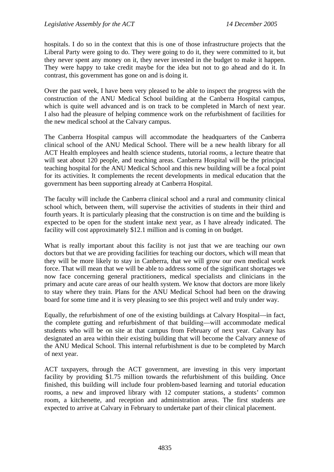hospitals. I do so in the context that this is one of those infrastructure projects that the Liberal Party were going to do. They were going to do it, they were committed to it, but they never spent any money on it, they never invested in the budget to make it happen. They were happy to take credit maybe for the idea but not to go ahead and do it. In contrast, this government has gone on and is doing it.

Over the past week, I have been very pleased to be able to inspect the progress with the construction of the ANU Medical School building at the Canberra Hospital campus, which is quite well advanced and is on track to be completed in March of next year. I also had the pleasure of helping commence work on the refurbishment of facilities for the new medical school at the Calvary campus.

The Canberra Hospital campus will accommodate the headquarters of the Canberra clinical school of the ANU Medical School. There will be a new health library for all ACT Health employees and health science students, tutorial rooms, a lecture theatre that will seat about 120 people, and teaching areas. Canberra Hospital will be the principal teaching hospital for the ANU Medical School and this new building will be a focal point for its activities. It complements the recent developments in medical education that the government has been supporting already at Canberra Hospital.

The faculty will include the Canberra clinical school and a rural and community clinical school which, between them, will supervise the activities of students in their third and fourth years. It is particularly pleasing that the construction is on time and the building is expected to be open for the student intake next year, as I have already indicated. The facility will cost approximately \$12.1 million and is coming in on budget.

What is really important about this facility is not just that we are teaching our own doctors but that we are providing facilities for teaching our doctors, which will mean that they will be more likely to stay in Canberra, that we will grow our own medical work force. That will mean that we will be able to address some of the significant shortages we now face concerning general practitioners, medical specialists and clinicians in the primary and acute care areas of our health system. We know that doctors are more likely to stay where they train. Plans for the ANU Medical School had been on the drawing board for some time and it is very pleasing to see this project well and truly under way.

Equally, the refurbishment of one of the existing buildings at Calvary Hospital—in fact, the complete gutting and refurbishment of that building—will accommodate medical students who will be on site at that campus from February of next year. Calvary has designated an area within their existing building that will become the Calvary annexe of the ANU Medical School. This internal refurbishment is due to be completed by March of next year.

ACT taxpayers, through the ACT government, are investing in this very important facility by providing \$1.75 million towards the refurbishment of this building. Once finished, this building will include four problem-based learning and tutorial education rooms, a new and improved library with 12 computer stations, a students' common room, a kitchenette, and reception and administration areas. The first students are expected to arrive at Calvary in February to undertake part of their clinical placement.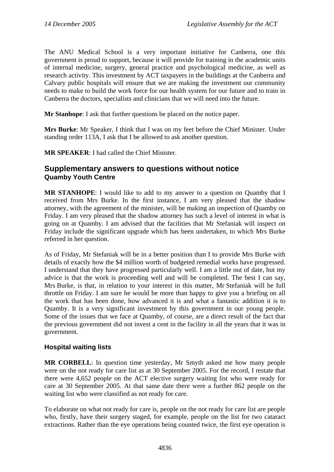The ANU Medical School is a very important initiative for Canberra, one this government is proud to support, because it will provide for training in the academic units of internal medicine, surgery, general practice and psychological medicine, as well as research activity. This investment by ACT taxpayers in the buildings at the Canberra and Calvary public hospitals will ensure that we are making the investment our community needs to make to build the work force for our health system for our future and to train in Canberra the doctors, specialists and clinicians that we will need into the future.

**Mr Stanhope:** I ask that further questions be placed on the notice paper.

**Mrs Burke**: Mr Speaker, I think that I was on my feet before the Chief Minister. Under standing order 113A, I ask that I be allowed to ask another question.

**MR SPEAKER**: I had called the Chief Minister.

### **Supplementary answers to questions without notice Quamby Youth Centre**

**MR STANHOPE**: I would like to add to my answer to a question on Quamby that I received from Mrs Burke. In the first instance, I am very pleased that the shadow attorney, with the agreement of the minister, will be making an inspection of Quamby on Friday. I am very pleased that the shadow attorney has such a level of interest in what is going on at Quamby. I am advised that the facilities that Mr Stefaniak will inspect on Friday include the significant upgrade which has been undertaken, to which Mrs Burke referred in her question.

As of Friday, Mr Stefaniak will be in a better position than I to provide Mrs Burke with details of exactly how the \$4 million worth of budgeted remedial works have progressed. I understand that they have progressed particularly well. I am a little out of date, but my advice is that the work is proceeding well and will be completed. The best I can say, Mrs Burke, is that, in relation to your interest in this matter, Mr Stefaniak will be full throttle on Friday. I am sure he would be more than happy to give you a briefing on all the work that has been done, how advanced it is and what a fantastic addition it is to Quamby. It is a very significant investment by this government in our young people. Some of the issues that we face at Quamby, of course, are a direct result of the fact that the previous government did not invest a cent in the facility in all the years that it was in government.

### **Hospital waiting lists**

**MR CORBELL**: In question time yesterday, Mr Smyth asked me how many people were on the not ready for care list as at 30 September 2005. For the record, I restate that there were 4,652 people on the ACT elective surgery waiting list who were ready for care at 30 September 2005. At that same date there were a further 862 people on the waiting list who were classified as not ready for care.

To elaborate on what not ready for care is, people on the not ready for care list are people who, firstly, have their surgery staged, for example, people on the list for two cataract extractions. Rather than the eye operations being counted twice, the first eye operation is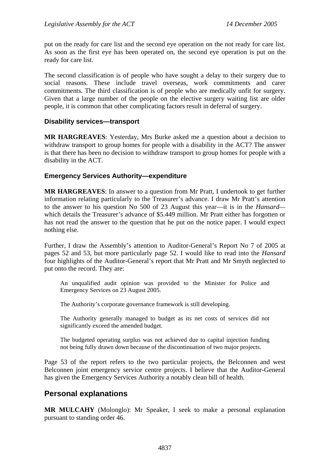put on the ready for care list and the second eye operation on the not ready for care list. As soon as the first eye has been operated on, the second eye operation is put on the ready for care list.

The second classification is of people who have sought a delay to their surgery due to social reasons. These include travel overseas, work commitments and carer commitments. The third classification is of people who are medically unfit for surgery. Given that a large number of the people on the elective surgery waiting list are older people, it is common that other complicating factors result in deferral of surgery.

#### **Disability services—transport**

**MR HARGREAVES**: Yesterday, Mrs Burke asked me a question about a decision to withdraw transport to group homes for people with a disability in the ACT? The answer is that there has been no decision to withdraw transport to group homes for people with a disability in the ACT.

#### **Emergency Services Authority—expenditure**

**MR HARGREAVES**: In answer to a question from Mr Pratt, I undertook to get further information relating particularly to the Treasurer's advance. I draw Mr Pratt's attention to the answer to his question No 500 of 23 August this year—it is in the *Hansard* which details the Treasurer's advance of \$5.449 million. Mr Pratt either has forgotten or has not read the answer to the question that he put on the notice paper. I would expect nothing else.

Further, I draw the Assembly's attention to Auditor-General's Report No 7 of 2005 at pages 52 and 53, but more particularly page 52. I would like to read into the *Hansard* four highlights of the Auditor-General's report that Mr Pratt and Mr Smyth neglected to put onto the record. They are:

An unqualified audit opinion was provided to the Minister for Police and Emergency Services on 23 August 2005.

The Authority's corporate governance framework is still developing.

The Authority generally managed to budget as its net costs of services did not significantly exceed the amended budget.

The budgeted operating surplus was not achieved due to capital injection funding not being fully drawn down because of the discontinuation of two major projects.

Page 53 of the report refers to the two particular projects, the Belconnen and west Belconnen joint emergency service centre projects. I believe that the Auditor-General has given the Emergency Services Authority a notably clean bill of health.

### **Personal explanations**

**MR MULCAHY** (Molonglo): Mr Speaker, I seek to make a personal explanation pursuant to standing order 46.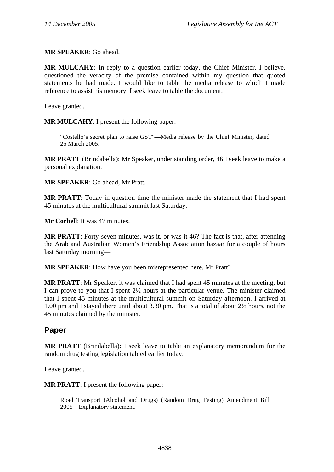**MR SPEAKER**: Go ahead.

**MR MULCAHY**: In reply to a question earlier today, the Chief Minister, I believe, questioned the veracity of the premise contained within my question that quoted statements he had made. I would like to table the media release to which I made reference to assist his memory. I seek leave to table the document.

Leave granted.

**MR MULCAHY**: I present the following paper:

"Costello's secret plan to raise GST"—Media release by the Chief Minister, dated 25 March 2005.

**MR PRATT** (Brindabella): Mr Speaker, under standing order, 46 I seek leave to make a personal explanation.

**MR SPEAKER**: Go ahead, Mr Pratt.

**MR PRATT**: Today in question time the minister made the statement that I had spent 45 minutes at the multicultural summit last Saturday.

**Mr Corbell**: It was 47 minutes.

**MR PRATT**: Forty-seven minutes, was it, or was it 46? The fact is that, after attending the Arab and Australian Women's Friendship Association bazaar for a couple of hours last Saturday morning—

**MR SPEAKER**: How have you been misrepresented here, Mr Pratt?

**MR PRATT**: Mr Speaker, it was claimed that I had spent 45 minutes at the meeting, but I can prove to you that I spent 2½ hours at the particular venue. The minister claimed that I spent 45 minutes at the multicultural summit on Saturday afternoon. I arrived at 1.00 pm and I stayed there until about 3.30 pm. That is a total of about 2½ hours, not the 45 minutes claimed by the minister.

### **Paper**

**MR PRATT** (Brindabella): I seek leave to table an explanatory memorandum for the random drug testing legislation tabled earlier today.

Leave granted.

**MR PRATT**: I present the following paper:

Road Transport (Alcohol and Drugs) (Random Drug Testing) Amendment Bill 2005—Explanatory statement.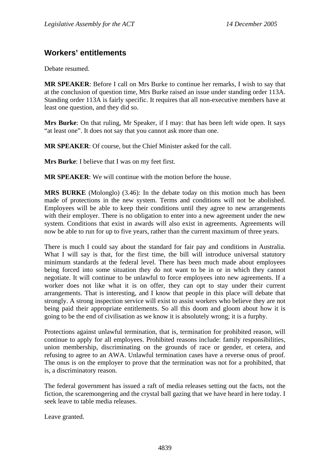## **Workers' entitlements**

Debate resumed.

**MR SPEAKER**: Before I call on Mrs Burke to continue her remarks, I wish to say that at the conclusion of question time, Mrs Burke raised an issue under standing order 113A. Standing order 113A is fairly specific. It requires that all non-executive members have at least one question, and they did so.

**Mrs Burke**: On that ruling, Mr Speaker, if I may: that has been left wide open. It says "at least one". It does not say that you cannot ask more than one.

**MR SPEAKER**: Of course, but the Chief Minister asked for the call.

**Mrs Burke**: I believe that I was on my feet first.

**MR SPEAKER**: We will continue with the motion before the house.

**MRS BURKE** (Molonglo) (3.46): In the debate today on this motion much has been made of protections in the new system. Terms and conditions will not be abolished. Employees will be able to keep their conditions until they agree to new arrangements with their employer. There is no obligation to enter into a new agreement under the new system. Conditions that exist in awards will also exist in agreements. Agreements will now be able to run for up to five years, rather than the current maximum of three years.

There is much I could say about the standard for fair pay and conditions in Australia. What I will say is that, for the first time, the bill will introduce universal statutory minimum standards at the federal level. There has been much made about employees being forced into some situation they do not want to be in or in which they cannot negotiate. It will continue to be unlawful to force employees into new agreements. If a worker does not like what it is on offer, they can opt to stay under their current arrangements. That is interesting, and I know that people in this place will debate that strongly. A strong inspection service will exist to assist workers who believe they are not being paid their appropriate entitlements. So all this doom and gloom about how it is going to be the end of civilisation as we know it is absolutely wrong; it is a furphy.

Protections against unlawful termination, that is, termination for prohibited reason, will continue to apply for all employees. Prohibited reasons include: family responsibilities, union membership, discriminating on the grounds of race or gender, et cetera, and refusing to agree to an AWA. Unlawful termination cases have a reverse onus of proof. The onus is on the employer to prove that the termination was not for a prohibited, that is, a discriminatory reason.

The federal government has issued a raft of media releases setting out the facts, not the fiction, the scaremongering and the crystal ball gazing that we have heard in here today. I seek leave to table media releases.

Leave granted.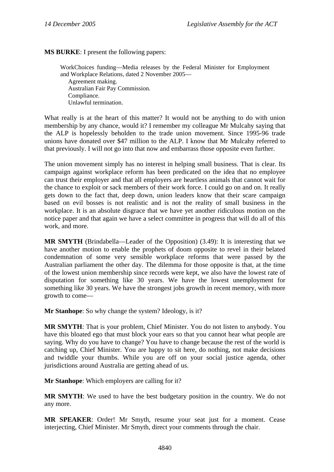**MS BURKE**: I present the following papers:

WorkChoices funding—Media releases by the Federal Minister for Employment and Workplace Relations, dated 2 November 2005— Agreement making. Australian Fair Pay Commission. Compliance. Unlawful termination.

What really is at the heart of this matter? It would not be anything to do with union membership by any chance, would it? I remember my colleague Mr Mulcahy saying that the ALP is hopelessly beholden to the trade union movement. Since 1995-96 trade unions have donated over \$47 million to the ALP. I know that Mr Mulcahy referred to that previously. I will not go into that now and embarrass those opposite even further.

The union movement simply has no interest in helping small business. That is clear. Its campaign against workplace reform has been predicated on the idea that no employee can trust their employer and that all employers are heartless animals that cannot wait for the chance to exploit or sack members of their work force. I could go on and on. It really gets down to the fact that, deep down, union leaders know that their scare campaign based on evil bosses is not realistic and is not the reality of small business in the workplace. It is an absolute disgrace that we have yet another ridiculous motion on the notice paper and that again we have a select committee in progress that will do all of this work, and more.

**MR SMYTH** (Brindabella—Leader of the Opposition) (3.49): It is interesting that we have another motion to enable the prophets of doom opposite to revel in their belated condemnation of some very sensible workplace reforms that were passed by the Australian parliament the other day. The dilemma for those opposite is that, at the time of the lowest union membership since records were kept, we also have the lowest rate of disputation for something like 30 years. We have the lowest unemployment for something like 30 years. We have the strongest jobs growth in recent memory, with more growth to come—

**Mr Stanhope**: So why change the system? Ideology, is it?

**MR SMYTH**: That is your problem, Chief Minister. You do not listen to anybody. You have this bloated ego that must block your ears so that you cannot hear what people are saying. Why do you have to change? You have to change because the rest of the world is catching up, Chief Minister. You are happy to sit here, do nothing, not make decisions and twiddle your thumbs. While you are off on your social justice agenda, other jurisdictions around Australia are getting ahead of us.

**Mr Stanhope**: Which employers are calling for it?

**MR SMYTH**: We used to have the best budgetary position in the country. We do not any more.

**MR SPEAKER**: Order! Mr Smyth, resume your seat just for a moment. Cease interjecting, Chief Minister. Mr Smyth, direct your comments through the chair.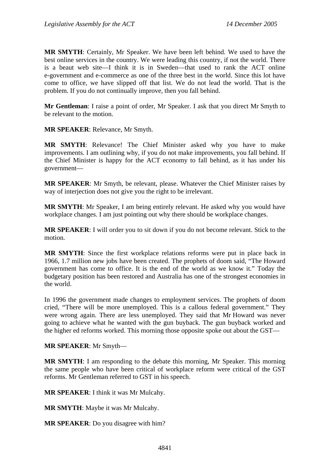**MR SMYTH**: Certainly, Mr Speaker. We have been left behind. We used to have the best online services in the country. We were leading this country, if not the world. There is a beaut web site—I think it is in Sweden—that used to rank the ACT online e-government and e-commerce as one of the three best in the world. Since this lot have come to office, we have slipped off that list. We do not lead the world. That is the problem. If you do not continually improve, then you fall behind.

**Mr Gentleman**: I raise a point of order, Mr Speaker. I ask that you direct Mr Smyth to be relevant to the motion.

**MR SPEAKER**: Relevance, Mr Smyth.

**MR SMYTH**: Relevance! The Chief Minister asked why you have to make improvements. I am outlining why, if you do not make improvements, you fall behind. If the Chief Minister is happy for the ACT economy to fall behind, as it has under his government—

**MR SPEAKER**: Mr Smyth, be relevant, please. Whatever the Chief Minister raises by way of interjection does not give you the right to be irrelevant.

**MR SMYTH**: Mr Speaker, I am being entirely relevant. He asked why you would have workplace changes. I am just pointing out why there should be workplace changes.

**MR SPEAKER**: I will order you to sit down if you do not become relevant. Stick to the motion.

**MR SMYTH**: Since the first workplace relations reforms were put in place back in 1966, 1.7 million new jobs have been created. The prophets of doom said, "The Howard government has come to office. It is the end of the world as we know it." Today the budgetary position has been restored and Australia has one of the strongest economies in the world.

In 1996 the government made changes to employment services. The prophets of doom cried, "There will be more unemployed. This is a callous federal government." They were wrong again. There are less unemployed. They said that Mr Howard was never going to achieve what he wanted with the gun buyback. The gun buyback worked and the higher ed reforms worked. This morning those opposite spoke out about the GST—

**MR SPEAKER**: Mr Smyth—

**MR SMYTH**: I am responding to the debate this morning, Mr Speaker. This morning the same people who have been critical of workplace reform were critical of the GST reforms. Mr Gentleman referred to GST in his speech.

**MR SPEAKER**: I think it was Mr Mulcahy.

**MR SMYTH**: Maybe it was Mr Mulcahy.

**MR SPEAKER**: Do you disagree with him?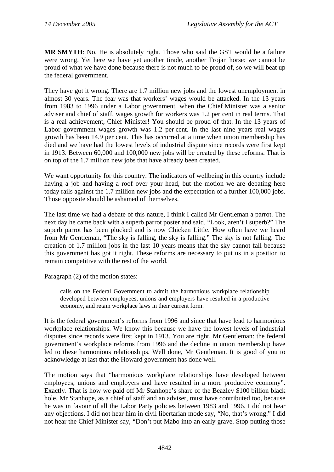**MR SMYTH**: No. He is absolutely right. Those who said the GST would be a failure were wrong. Yet here we have yet another tirade, another Trojan horse: we cannot be proud of what we have done because there is not much to be proud of, so we will beat up the federal government.

They have got it wrong. There are 1.7 million new jobs and the lowest unemployment in almost 30 years. The fear was that workers' wages would be attacked. In the 13 years from 1983 to 1996 under a Labor government, when the Chief Minister was a senior adviser and chief of staff, wages growth for workers was 1.2 per cent in real terms. That is a real achievement, Chief Minister! You should be proud of that. In the 13 years of Labor government wages growth was 1.2 per cent. In the last nine years real wages growth has been 14.9 per cent. This has occurred at a time when union membership has died and we have had the lowest levels of industrial dispute since records were first kept in 1913. Between 60,000 and 100,000 new jobs will be created by these reforms. That is on top of the 1.7 million new jobs that have already been created.

We want opportunity for this country. The indicators of wellbeing in this country include having a job and having a roof over your head, but the motion we are debating here today rails against the 1.7 million new jobs and the expectation of a further 100,000 jobs. Those opposite should be ashamed of themselves.

The last time we had a debate of this nature, I think I called Mr Gentleman a parrot. The next day he came back with a superb parrot poster and said, "Look, aren't I superb?" The superb parrot has been plucked and is now Chicken Little. How often have we heard from Mr Gentleman, "The sky is falling, the sky is falling." The sky is not falling. The creation of 1.7 million jobs in the last 10 years means that the sky cannot fall because this government has got it right. These reforms are necessary to put us in a position to remain competitive with the rest of the world.

Paragraph (2) of the motion states:

calls on the Federal Government to admit the harmonious workplace relationship developed between employees, unions and employers have resulted in a productive economy, and retain workplace laws in their current form.

It is the federal government's reforms from 1996 and since that have lead to harmonious workplace relationships. We know this because we have the lowest levels of industrial disputes since records were first kept in 1913. You are right, Mr Gentleman: the federal government's workplace reforms from 1996 and the decline in union membership have led to these harmonious relationships. Well done, Mr Gentleman. It is good of you to acknowledge at last that the Howard government has done well.

The motion says that "harmonious workplace relationships have developed between employees, unions and employers and have resulted in a more productive economy". Exactly. That is how we paid off Mr Stanhope's share of the Beazley \$100 billion black hole. Mr Stanhope, as a chief of staff and an adviser, must have contributed too, because he was in favour of all the Labor Party policies between 1983 and 1996. I did not hear any objections. I did not hear him in civil libertarian mode say, "No, that's wrong." I did not hear the Chief Minister say, "Don't put Mabo into an early grave. Stop putting those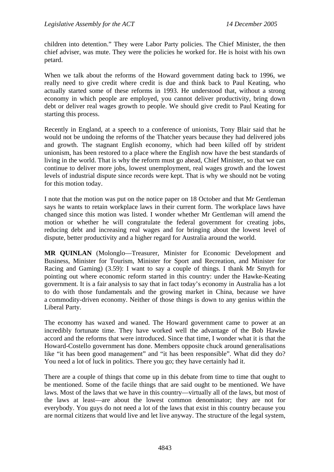children into detention." They were Labor Party policies. The Chief Minister, the then chief adviser, was mute. They were the policies he worked for. He is hoist with his own petard.

When we talk about the reforms of the Howard government dating back to 1996, we really need to give credit where credit is due and think back to Paul Keating, who actually started some of these reforms in 1993. He understood that, without a strong economy in which people are employed, you cannot deliver productivity, bring down debt or deliver real wages growth to people. We should give credit to Paul Keating for starting this process.

Recently in England, at a speech to a conference of unionists, Tony Blair said that he would not be undoing the reforms of the Thatcher years because they had delivered jobs and growth. The stagnant English economy, which had been killed off by strident unionism, has been restored to a place where the English now have the best standards of living in the world. That is why the reform must go ahead, Chief Minister, so that we can continue to deliver more jobs, lowest unemployment, real wages growth and the lowest levels of industrial dispute since records were kept. That is why we should not be voting for this motion today.

I note that the motion was put on the notice paper on 18 October and that Mr Gentleman says he wants to retain workplace laws in their current form. The workplace laws have changed since this motion was listed. I wonder whether Mr Gentleman will amend the motion or whether he will congratulate the federal government for creating jobs, reducing debt and increasing real wages and for bringing about the lowest level of dispute, better productivity and a higher regard for Australia around the world.

**MR QUINLAN** (Molonglo—Treasurer, Minister for Economic Development and Business, Minister for Tourism, Minister for Sport and Recreation, and Minister for Racing and Gaming) (3.59): I want to say a couple of things. I thank Mr Smyth for pointing out where economic reform started in this country: under the Hawke-Keating government. It is a fair analysis to say that in fact today's economy in Australia has a lot to do with those fundamentals and the growing market in China, because we have a commodity-driven economy. Neither of those things is down to any genius within the Liberal Party.

The economy has waxed and waned. The Howard government came to power at an incredibly fortunate time. They have worked well the advantage of the Bob Hawke accord and the reforms that were introduced. Since that time, I wonder what it is that the Howard-Costello government has done. Members opposite chuck around generalisations like "it has been good management" and "it has been responsible". What did they do? You need a lot of luck in politics. There you go; they have certainly had it.

There are a couple of things that come up in this debate from time to time that ought to be mentioned. Some of the facile things that are said ought to be mentioned. We have laws. Most of the laws that we have in this country—virtually all of the laws, but most of the laws at least—are about the lowest common denominator; they are not for everybody. You guys do not need a lot of the laws that exist in this country because you are normal citizens that would live and let live anyway. The structure of the legal system,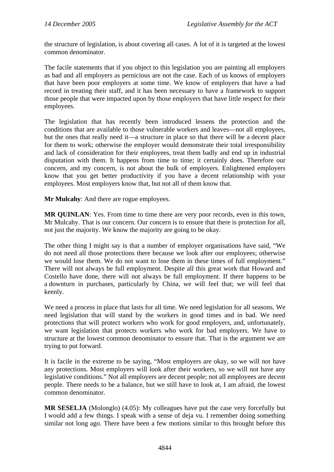the structure of legislation, is about covering all cases. A lot of it is targeted at the lowest common denominator.

The facile statements that if you object to this legislation you are painting all employers as bad and all employers as pernicious are not the case. Each of us knows of employers that have been poor employers at some time. We know of employers that have a bad record in treating their staff, and it has been necessary to have a framework to support those people that were impacted upon by those employers that have little respect for their employees.

The legislation that has recently been introduced lessens the protection and the conditions that are available to those vulnerable workers and leaves—not all employees, but the ones that really need it—a structure in place so that there will be a decent place for them to work; otherwise the employer would demonstrate their total irresponsibility and lack of consideration for their employees, treat them badly and end up in industrial disputation with them. It happens from time to time; it certainly does. Therefore our concern, and my concern, is not about the bulk of employers. Enlightened employers know that you get better productivity if you have a decent relationship with your employees. Most employers know that, but not all of them know that.

**Mr Mulcahy**: And there are rogue employees.

**MR QUINLAN**: Yes. From time to time there are very poor records, even in this town, Mr Mulcahy. That is our concern. Our concern is to ensure that there is protection for all, not just the majority. We know the majority are going to be okay.

The other thing I might say is that a number of employer organisations have said, "We do not need all those protections there because we look after our employees; otherwise we would lose them. We do not want to lose them in these times of full employment." There will not always be full employment. Despite all this great work that Howard and Costello have done, there will not always be full employment. If there happens to be a downturn in purchases, particularly by China, we will feel that; we will feel that keenly.

We need a process in place that lasts for all time. We need legislation for all seasons. We need legislation that will stand by the workers in good times and in bad. We need protections that will protect workers who work for good employers, and, unfortunately, we want legislation that protects workers who work for bad employers. We have to structure at the lowest common denominator to ensure that. That is the argument we are trying to put forward.

It is facile in the extreme to be saying, "Most employers are okay, so we will not have any protections. Most employers will look after their workers, so we will not have any legislative conditions." Not all employers are decent people; not all employees are decent people. There needs to be a balance, but we still have to look at, I am afraid, the lowest common denominator.

**MR SESELJA** (Molonglo) (4.05): My colleagues have put the case very forcefully but I would add a few things. I speak with a sense of deja vu. I remember doing something similar not long ago. There have been a few motions similar to this brought before this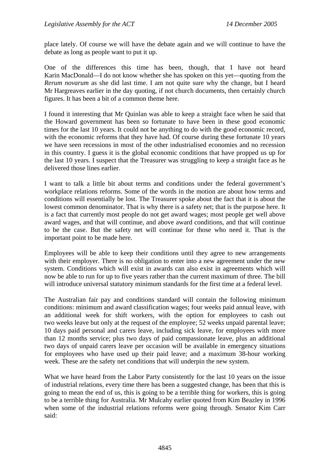place lately. Of course we will have the debate again and we will continue to have the debate as long as people want to put it up.

One of the differences this time has been, though, that I have not heard Karin MacDonald—I do not know whether she has spoken on this yet—quoting from the *Rerum novarum* as she did last time. I am not quite sure why the change, but I heard Mr Hargreaves earlier in the day quoting, if not church documents, then certainly church figures. It has been a bit of a common theme here.

I found it interesting that Mr Quinlan was able to keep a straight face when he said that the Howard government has been so fortunate to have been in these good economic times for the last 10 years. It could not be anything to do with the good economic record, with the economic reforms that they have had. Of course during these fortunate 10 years we have seen recessions in most of the other industrialised economies and no recession in this country. I guess it is the global economic conditions that have propped us up for the last 10 years. I suspect that the Treasurer was struggling to keep a straight face as he delivered those lines earlier.

I want to talk a little bit about terms and conditions under the federal government's workplace relations reforms. Some of the words in the motion are about how terms and conditions will essentially be lost. The Treasurer spoke about the fact that it is about the lowest common denominator. That is why there is a safety net; that is the purpose here. It is a fact that currently most people do not get award wages; most people get well above award wages, and that will continue, and above award conditions, and that will continue to be the case. But the safety net will continue for those who need it. That is the important point to be made here.

Employees will be able to keep their conditions until they agree to new arrangements with their employer. There is no obligation to enter into a new agreement under the new system. Conditions which will exist in awards can also exist in agreements which will now be able to run for up to five years rather than the current maximum of three. The bill will introduce universal statutory minimum standards for the first time at a federal level.

The Australian fair pay and conditions standard will contain the following minimum conditions: minimum and award classification wages; four weeks paid annual leave, with an additional week for shift workers, with the option for employees to cash out two weeks leave but only at the request of the employee; 52 weeks unpaid parental leave; 10 days paid personal and carers leave, including sick leave, for employees with more than 12 months service; plus two days of paid compassionate leave, plus an additional two days of unpaid carers leave per occasion will be available in emergency situations for employees who have used up their paid leave; and a maximum 38-hour working week. These are the safety net conditions that will underpin the new system.

What we have heard from the Labor Party consistently for the last 10 years on the issue of industrial relations, every time there has been a suggested change, has been that this is going to mean the end of us, this is going to be a terrible thing for workers, this is going to be a terrible thing for Australia. Mr Mulcahy earlier quoted from Kim Beazley in 1996 when some of the industrial relations reforms were going through. Senator Kim Carr said: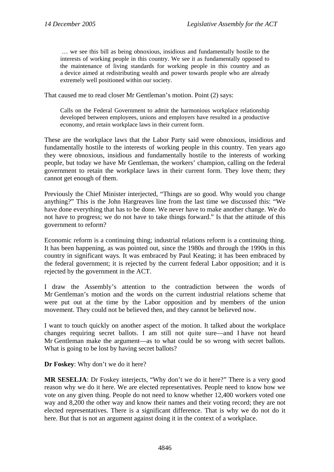… we see this bill as being obnoxious, insidious and fundamentally hostile to the interests of working people in this country. We see it as fundamentally opposed to the maintenance of living standards for working people in this country and as a device aimed at redistributing wealth and power towards people who are already extremely well positioned within our society.

That caused me to read closer Mr Gentleman's motion. Point (2) says:

Calls on the Federal Government to admit the harmonious workplace relationship developed between employees, unions and employers have resulted in a productive economy, and retain workplace laws in their current form.

These are the workplace laws that the Labor Party said were obnoxious, insidious and fundamentally hostile to the interests of working people in this country. Ten years ago they were obnoxious, insidious and fundamentally hostile to the interests of working people, but today we have Mr Gentleman, the workers' champion, calling on the federal government to retain the workplace laws in their current form. They love them; they cannot get enough of them.

Previously the Chief Minister interjected, "Things are so good. Why would you change anything?" This is the John Hargreaves line from the last time we discussed this: "We have done everything that has to be done. We never have to make another change. We do not have to progress; we do not have to take things forward." Is that the attitude of this government to reform?

Economic reform is a continuing thing; industrial relations reform is a continuing thing. It has been happening, as was pointed out, since the 1980s and through the 1990s in this country in significant ways. It was embraced by Paul Keating; it has been embraced by the federal government; it is rejected by the current federal Labor opposition; and it is rejected by the government in the ACT.

I draw the Assembly's attention to the contradiction between the words of Mr Gentleman's motion and the words on the current industrial relations scheme that were put out at the time by the Labor opposition and by members of the union movement. They could not be believed then, and they cannot be believed now.

I want to touch quickly on another aspect of the motion. It talked about the workplace changes requiring secret ballots. I am still not quite sure—and I have not heard Mr Gentleman make the argument—as to what could be so wrong with secret ballots. What is going to be lost by having secret ballots?

**Dr Foskey**: Why don't we do it here?

**MR SESELJA:** Dr Foskey interjects, "Why don't we do it here?" There is a very good reason why we do it here. We are elected representatives. People need to know how we vote on any given thing. People do not need to know whether 12,400 workers voted one way and 8,200 the other way and know their names and their voting record; they are not elected representatives. There is a significant difference. That is why we do not do it here. But that is not an argument against doing it in the context of a workplace.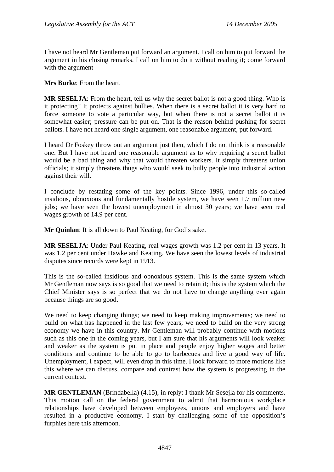I have not heard Mr Gentleman put forward an argument. I call on him to put forward the argument in his closing remarks. I call on him to do it without reading it; come forward with the argument—

**Mrs Burke**: From the heart.

**MR SESELJA**: From the heart, tell us why the secret ballot is not a good thing. Who is it protecting? It protects against bullies. When there is a secret ballot it is very hard to force someone to vote a particular way, but when there is not a secret ballot it is somewhat easier; pressure can be put on. That is the reason behind pushing for secret ballots. I have not heard one single argument, one reasonable argument, put forward.

I heard Dr Foskey throw out an argument just then, which I do not think is a reasonable one. But I have not heard one reasonable argument as to why requiring a secret ballot would be a bad thing and why that would threaten workers. It simply threatens union officials; it simply threatens thugs who would seek to bully people into industrial action against their will.

I conclude by restating some of the key points. Since 1996, under this so-called insidious, obnoxious and fundamentally hostile system, we have seen 1.7 million new jobs; we have seen the lowest unemployment in almost 30 years; we have seen real wages growth of 14.9 per cent.

**Mr Quinlan**: It is all down to Paul Keating, for God's sake.

**MR SESELJA**: Under Paul Keating, real wages growth was 1.2 per cent in 13 years. It was 1.2 per cent under Hawke and Keating. We have seen the lowest levels of industrial disputes since records were kept in 1913.

This is the so-called insidious and obnoxious system. This is the same system which Mr Gentleman now says is so good that we need to retain it; this is the system which the Chief Minister says is so perfect that we do not have to change anything ever again because things are so good.

We need to keep changing things; we need to keep making improvements; we need to build on what has happened in the last few years; we need to build on the very strong economy we have in this country. Mr Gentleman will probably continue with motions such as this one in the coming years, but I am sure that his arguments will look weaker and weaker as the system is put in place and people enjoy higher wages and better conditions and continue to be able to go to barbecues and live a good way of life. Unemployment, I expect, will even drop in this time. I look forward to more motions like this where we can discuss, compare and contrast how the system is progressing in the current context.

**MR GENTLEMAN** (Brindabella) (4.15), in reply: I thank Mr Sesejla for his comments. This motion call on the federal government to admit that harmonious workplace relationships have developed between employees, unions and employers and have resulted in a productive economy. I start by challenging some of the opposition's furphies here this afternoon.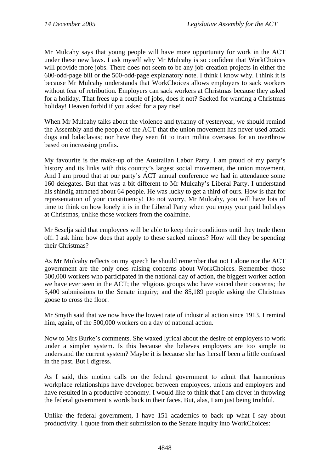Mr Mulcahy says that young people will have more opportunity for work in the ACT under these new laws. I ask myself why Mr Mulcahy is so confident that WorkChoices will provide more jobs. There does not seem to be any job-creation projects in either the 600-odd-page bill or the 500-odd-page explanatory note. I think I know why. I think it is because Mr Mulcahy understands that WorkChoices allows employers to sack workers without fear of retribution. Employers can sack workers at Christmas because they asked for a holiday. That frees up a couple of jobs, does it not? Sacked for wanting a Christmas holiday! Heaven forbid if you asked for a pay rise!

When Mr Mulcahy talks about the violence and tyranny of yesteryear, we should remind the Assembly and the people of the ACT that the union movement has never used attack dogs and balaclavas; nor have they seen fit to train militia overseas for an overthrow based on increasing profits.

My favourite is the make-up of the Australian Labor Party. I am proud of my party's history and its links with this country's largest social movement, the union movement. And I am proud that at our party's ACT annual conference we had in attendance some 160 delegates. But that was a bit different to Mr Mulcahy's Liberal Party. I understand his shindig attracted about 64 people. He was lucky to get a third of ours. How is that for representation of your constituency! Do not worry, Mr Mulcahy, you will have lots of time to think on how lonely it is in the Liberal Party when you enjoy your paid holidays at Christmas, unlike those workers from the coalmine.

Mr Seselja said that employees will be able to keep their conditions until they trade them off. I ask him: how does that apply to these sacked miners? How will they be spending their Christmas?

As Mr Mulcahy reflects on my speech he should remember that not I alone nor the ACT government are the only ones raising concerns about WorkChoices. Remember those 500,000 workers who participated in the national day of action, the biggest worker action we have ever seen in the ACT; the religious groups who have voiced their concerns; the 5,400 submissions to the Senate inquiry; and the 85,189 people asking the Christmas goose to cross the floor.

Mr Smyth said that we now have the lowest rate of industrial action since 1913. I remind him, again, of the 500,000 workers on a day of national action.

Now to Mrs Burke's comments. She waxed lyrical about the desire of employers to work under a simpler system. Is this because she believes employers are too simple to understand the current system? Maybe it is because she has herself been a little confused in the past. But I digress.

As I said, this motion calls on the federal government to admit that harmonious workplace relationships have developed between employees, unions and employers and have resulted in a productive economy. I would like to think that I am clever in throwing the federal government's words back in their faces. But, alas, I am just being truthful.

Unlike the federal government, I have 151 academics to back up what I say about productivity. I quote from their submission to the Senate inquiry into WorkChoices: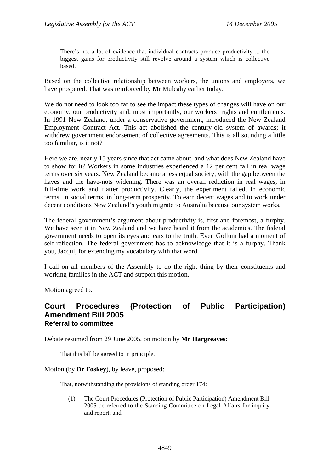There's not a lot of evidence that individual contracts produce productivity ... the biggest gains for productivity still revolve around a system which is collective based.

Based on the collective relationship between workers, the unions and employers, we have prospered. That was reinforced by Mr Mulcahy earlier today.

We do not need to look too far to see the impact these types of changes will have on our economy, our productivity and, most importantly, our workers' rights and entitlements. In 1991 New Zealand, under a conservative government, introduced the New Zealand Employment Contract Act. This act abolished the century-old system of awards; it withdrew government endorsement of collective agreements. This is all sounding a little too familiar, is it not?

Here we are, nearly 15 years since that act came about, and what does New Zealand have to show for it? Workers in some industries experienced a 12 per cent fall in real wage terms over six years. New Zealand became a less equal society, with the gap between the haves and the have-nots widening. There was an overall reduction in real wages, in full-time work and flatter productivity. Clearly, the experiment failed, in economic terms, in social terms, in long-term prosperity. To earn decent wages and to work under decent conditions New Zealand's youth migrate to Australia because our system works.

The federal government's argument about productivity is, first and foremost, a furphy. We have seen it in New Zealand and we have heard it from the academics. The federal government needs to open its eyes and ears to the truth. Even Gollum had a moment of self-reflection. The federal government has to acknowledge that it is a furphy. Thank you, Jacqui, for extending my vocabulary with that word.

I call on all members of the Assembly to do the right thing by their constituents and working families in the ACT and support this motion.

Motion agreed to.

### **Court Procedures (Protection of Public Participation) Amendment Bill 2005 Referral to committee**

Debate resumed from 29 June 2005, on motion by **Mr Hargreaves**:

That this bill be agreed to in principle.

Motion (by **Dr Foskey**), by leave, proposed:

That, notwithstanding the provisions of standing order 174:

(1) The Court Procedures (Protection of Public Participation) Amendment Bill 2005 be referred to the Standing Committee on Legal Affairs for inquiry and report; and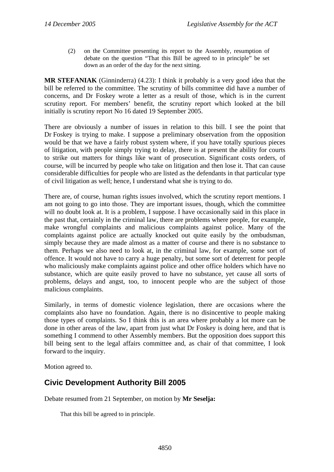(2) on the Committee presenting its report to the Assembly, resumption of debate on the question "That this Bill be agreed to in principle" be set down as an order of the day for the next sitting.

**MR STEFANIAK** (Ginninderra) (4.23): I think it probably is a very good idea that the bill be referred to the committee. The scrutiny of bills committee did have a number of concerns, and Dr Foskey wrote a letter as a result of those, which is in the current scrutiny report. For members' benefit, the scrutiny report which looked at the bill initially is scrutiny report No 16 dated 19 September 2005.

There are obviously a number of issues in relation to this bill. I see the point that Dr Foskey is trying to make. I suppose a preliminary observation from the opposition would be that we have a fairly robust system where, if you have totally spurious pieces of litigation, with people simply trying to delay, there is at present the ability for courts to strike out matters for things like want of prosecution. Significant costs orders, of course, will be incurred by people who take on litigation and then lose it. That can cause considerable difficulties for people who are listed as the defendants in that particular type of civil litigation as well; hence, I understand what she is trying to do.

There are, of course, human rights issues involved, which the scrutiny report mentions. I am not going to go into those. They are important issues, though, which the committee will no doubt look at. It is a problem, I suppose. I have occasionally said in this place in the past that, certainly in the criminal law, there are problems where people, for example, make wrongful complaints and malicious complaints against police. Many of the complaints against police are actually knocked out quite easily by the ombudsman, simply because they are made almost as a matter of course and there is no substance to them. Perhaps we also need to look at, in the criminal law, for example, some sort of offence. It would not have to carry a huge penalty, but some sort of deterrent for people who maliciously make complaints against police and other office holders which have no substance, which are quite easily proved to have no substance, yet cause all sorts of problems, delays and angst, too, to innocent people who are the subject of those malicious complaints.

Similarly, in terms of domestic violence legislation, there are occasions where the complaints also have no foundation. Again, there is no disincentive to people making those types of complaints. So I think this is an area where probably a lot more can be done in other areas of the law, apart from just what Dr Foskey is doing here, and that is something I commend to other Assembly members. But the opposition does support this bill being sent to the legal affairs committee and, as chair of that committee, I look forward to the inquiry.

Motion agreed to.

# **Civic Development Authority Bill 2005**

Debate resumed from 21 September, on motion by **Mr Seselja:** 

That this bill be agreed to in principle.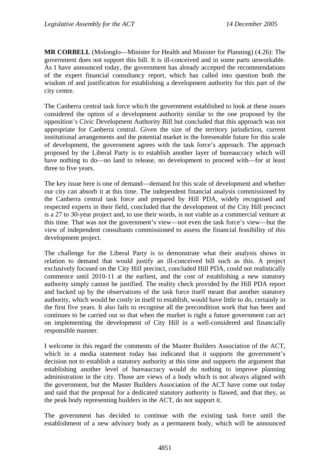**MR CORBELL** (Molonglo—Minister for Health and Minister for Planning) (4.26): The government does not support this bill. It is ill-conceived and in some parts unworkable. As I have announced today, the government has already accepted the recommendations of the expert financial consultancy report, which has called into question both the wisdom of and justification for establishing a development authority for this part of the city centre.

The Canberra central task force which the government established to look at these issues considered the option of a development authority similar to the one proposed by the opposition's Civic Development Authority Bill but concluded that this approach was not appropriate for Canberra central. Given the size of the territory jurisdiction, current institutional arrangements and the potential market in the foreseeable future for this scale of development, the government agrees with the task force's approach. The approach proposed by the Liberal Party is to establish another layer of bureaucracy which will have nothing to do—no land to release, no development to proceed with—for at least three to five years.

The key issue here is one of demand—demand for this scale of development and whether our city can absorb it at this time. The independent financial analysis commissioned by the Canberra central task force and prepared by Hill PDA, widely recognised and respected experts in their field, concluded that the development of the City Hill precinct is a 27 to 30-year project and, to use their words, is not viable as a commercial venture at this time. That was not the government's view—not even the task force's view—but the view of independent consultants commissioned to assess the financial feasibility of this development project.

The challenge for the Liberal Party is to demonstrate what their analysis shows in relation to demand that would justify an ill-conceived bill such as this. A project exclusively focused on the City Hill precinct, concluded Hill PDA, could not realistically commence until 2010-11 at the earliest, and the cost of establishing a new statutory authority simply cannot be justified. The reality check provided by the Hill PDA report and backed up by the observations of the task force itself meant that another statutory authority, which would be costly in itself to establish, would have little to do, certainly in the first five years. It also fails to recognise all the precondition work that has been and continues to be carried out so that when the market is right a future government can act on implementing the development of City Hill in a well-considered and financially responsible manner.

I welcome in this regard the comments of the Master Builders Association of the ACT, which in a media statement today has indicated that it supports the government's decision not to establish a statutory authority at this time and supports the argument that establishing another level of bureaucracy would do nothing to improve planning administration in the city. Those are views of a body which is not always aligned with the government, but the Master Builders Association of the ACT have come out today and said that the proposal for a dedicated statutory authority is flawed, and that they, as the peak body representing builders in the ACT, do not support it.

The government has decided to continue with the existing task force until the establishment of a new advisory body as a permanent body, which will be announced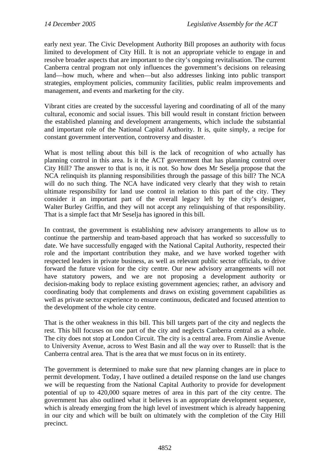early next year. The Civic Development Authority Bill proposes an authority with focus limited to development of City Hill. It is not an appropriate vehicle to engage in and resolve broader aspects that are important to the city's ongoing revitalisation. The current Canberra central program not only influences the government's decisions on releasing land—how much, where and when—but also addresses linking into public transport strategies, employment policies, community facilities, public realm improvements and management, and events and marketing for the city.

Vibrant cities are created by the successful layering and coordinating of all of the many cultural, economic and social issues. This bill would result in constant friction between the established planning and development arrangements, which include the substantial and important role of the National Capital Authority. It is, quite simply, a recipe for constant government intervention, controversy and disaster.

What is most telling about this bill is the lack of recognition of who actually has planning control in this area. Is it the ACT government that has planning control over City Hill? The answer to that is no, it is not. So how does Mr Seselja propose that the NCA relinquish its planning responsibilities through the passage of this bill? The NCA will do no such thing. The NCA have indicated very clearly that they wish to retain ultimate responsibility for land use control in relation to this part of the city. They consider it an important part of the overall legacy left by the city's designer, Walter Burley Griffin, and they will not accept any relinquishing of that responsibility. That is a simple fact that Mr Seselja has ignored in this bill.

In contrast, the government is establishing new advisory arrangements to allow us to continue the partnership and team-based approach that has worked so successfully to date. We have successfully engaged with the National Capital Authority, respected their role and the important contribution they make, and we have worked together with respected leaders in private business, as well as relevant public sector officials, to drive forward the future vision for the city centre. Our new advisory arrangements will not have statutory powers, and we are not proposing a development authority or decision-making body to replace existing government agencies; rather, an advisory and coordinating body that complements and draws on existing government capabilities as well as private sector experience to ensure continuous, dedicated and focused attention to the development of the whole city centre.

That is the other weakness in this bill. This bill targets part of the city and neglects the rest. This bill focuses on one part of the city and neglects Canberra central as a whole. The city does not stop at London Circuit. The city is a central area. From Ainslie Avenue to University Avenue, across to West Basin and all the way over to Russell: that is the Canberra central area. That is the area that we must focus on in its entirety.

The government is determined to make sure that new planning changes are in place to permit development. Today, I have outlined a detailed response on the land use changes we will be requesting from the National Capital Authority to provide for development potential of up to 420,000 square metres of area in this part of the city centre. The government has also outlined what it believes is an appropriate development sequence, which is already emerging from the high level of investment which is already happening in our city and which will be built on ultimately with the completion of the City Hill precinct.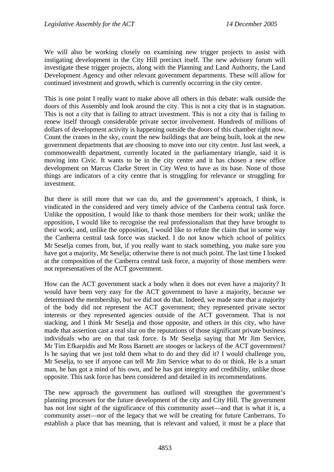We will also be working closely on examining new trigger projects to assist with instigating development in the City Hill precinct itself. The new advisory forum will investigate these trigger projects, along with the Planning and Land Authority, the Land Development Agency and other relevant government departments. These will allow for continued investment and growth, which is currently occurring in the city centre.

This is one point I really want to make above all others in this debate: walk outside the doors of this Assembly and look around the city. This is not a city that is in stagnation. This is not a city that is failing to attract investment. This is not a city that is failing to renew itself through considerable private sector involvement. Hundreds of millions of dollars of development activity is happening outside the doors of this chamber right now. Count the cranes in the sky, count the new buildings that are being built, look at the new government departments that are choosing to move into our city centre. Just last week, a commonwealth department, currently located in the parliamentary triangle, said it is moving into Civic. It wants to be in the city centre and it has chosen a new office development on Marcus Clarke Street in City West to have as its base. None of those things are indicators of a city centre that is struggling for relevance or struggling for investment.

But there is still more that we can do, and the government's approach, I think, is vindicated in the considered and very timely advice of the Canberra central task force. Unlike the opposition, I would like to thank those members for their work; unlike the opposition, I would like to recognise the real professionalism that they have brought to their work; and, unlike the opposition, I would like to refute the claim that in some way the Canberra central task force was stacked. I do not know which school of politics Mr Seselja comes from, but, if you really want to stack something, you make sure you have got a majority, Mr Seselja; otherwise there is not much point. The last time I looked at the composition of the Canberra central task force, a majority of those members were not representatives of the ACT government.

How can the ACT government stack a body when it does not even have a majority? It would have been very easy for the ACT government to have a majority, because we determined the membership, but we did not do that. Indeed, we made sure that a majority of the body did not represent the ACT government; they represented private sector interests or they represented agencies outside of the ACT government. That is not stacking, and I think Mr Seselja and those opposite, and others in this city, who have made that assertion cast a real slur on the reputations of those significant private business individuals who are on that task force. Is Mr Seselja saying that Mr Jim Service, Mr Tim Efkarpidis and Mr Ross Barnett are stooges or lackeys of the ACT government? Is he saying that we just told them what to do and they did it? I would challenge you, Mr Seselja, to see if anyone can tell Mr Jim Service what to do or think. He is a smart man, he has got a mind of his own, and he has got integrity and credibility, unlike those opposite. This task force has been considered and detailed in its recommendations.

The new approach the government has outlined will strengthen the government's planning processes for the future development of the city and City Hill. The government has not lost sight of the significance of this community asset—and that is what it is, a community asset—nor of the legacy that we will be creating for future Canberrans. To establish a place that has meaning, that is relevant and valued, it must be a place that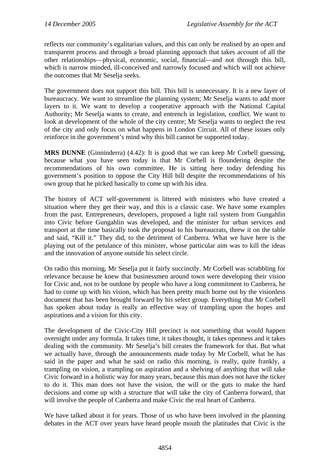reflects our community's egalitarian values, and this can only be realised by an open and transparent process and through a broad planning approach that takes account of all the other relationships—physical, economic, social, financial—and not through this bill, which is narrow minded, ill-conceived and narrowly focused and which will not achieve the outcomes that Mr Seselja seeks.

The government does not support this bill. This bill is unnecessary. It is a new layer of bureaucracy. We want to streamline the planning system; Mr Seselja wants to add more layers to it. We want to develop a cooperative approach with the National Capital Authority; Mr Seselja wants to create, and entrench in legislation, conflict. We want to look at development of the whole of the city centre; Mr Seselja wants to neglect the rest of the city and only focus on what happens in London Circuit. All of these issues only reinforce in the government's mind why this bill cannot be supported today.

**MRS DUNNE** (Ginninderra) (4.42): It is good that we can keep Mr Corbell guessing, because what you have seen today is that Mr Corbell is floundering despite the recommendations of his own committee. He is sitting here today defending his government's position to oppose the City Hill bill despite the recommendations of his own group that he picked basically to come up with his idea.

The history of ACT self-government is littered with ministers who have created a situation where they get their way, and this is a classic case. We have some examples from the past. Entrepreneurs, developers, proposed a light rail system from Gungahlin into Civic before Gungahlin was developed, and the minister for urban services and transport at the time basically took the proposal to his bureaucrats, threw it on the table and said, "Kill it." They did, to the detriment of Canberra. What we have here is the playing out of the petulance of this minister, whose particular aim was to kill the ideas and the innovation of anyone outside his select circle.

On radio this morning, Mr Seselja put it fairly succinctly. Mr Corbell was scrabbling for relevance because he knew that businessmen around town were developing their vision for Civic and, not to be outdone by people who have a long commitment to Canberra, he had to come up with his vision, which has been pretty much borne out by the visionless document that has been brought forward by his select group. Everything that Mr Corbell has spoken about today is really an effective way of trampling upon the hopes and aspirations and a vision for this city.

The development of the Civic-City Hill precinct is not something that would happen overnight under any formula. It takes time, it takes thought, it takes openness and it takes dealing with the community. Mr Seselja's bill creates the framework for that. But what we actually have, through the announcements made today by Mr Corbell, what he has said in the paper and what he said on radio this morning, is really, quite frankly, a trampling on vision, a trampling on aspiration and a shelving of anything that will take Civic forward in a holistic way for many years, because this man does not have the ticker to do it. This man does not have the vision, the will or the guts to make the hard decisions and come up with a structure that will take the city of Canberra forward, that will involve the people of Canberra and make Civic the real heart of Canberra.

We have talked about it for years. Those of us who have been involved in the planning debates in the ACT over years have heard people mouth the platitudes that Civic is the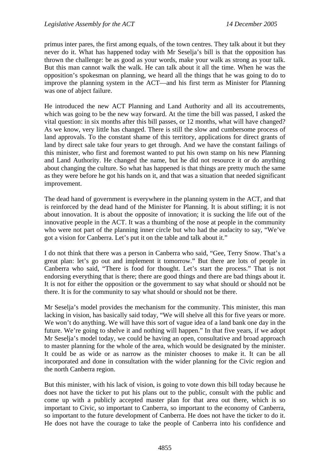primus inter pares, the first among equals, of the town centres. They talk about it but they never do it. What has happened today with Mr Seselja's bill is that the opposition has thrown the challenge: be as good as your words, make your walk as strong as your talk. But this man cannot walk the walk. He can talk about it all the time. When he was the opposition's spokesman on planning, we heard all the things that he was going to do to improve the planning system in the ACT—and his first term as Minister for Planning was one of abject failure.

He introduced the new ACT Planning and Land Authority and all its accoutrements, which was going to be the new way forward. At the time the bill was passed, I asked the vital question: in six months after this bill passes, or 12 months, what will have changed? As we know, very little has changed. There is still the slow and cumbersome process of land approvals. To the constant shame of this territory, applications for direct grants of land by direct sale take four years to get through. And we have the constant failings of this minister, who first and foremost wanted to put his own stamp on his new Planning and Land Authority. He changed the name, but he did not resource it or do anything about changing the culture. So what has happened is that things are pretty much the same as they were before he got his hands on it, and that was a situation that needed significant improvement.

The dead hand of government is everywhere in the planning system in the ACT, and that is reinforced by the dead hand of the Minister for Planning. It is about stifling; it is not about innovation. It is about the opposite of innovation; it is sucking the life out of the innovative people in the ACT. It was a thumbing of the nose at people in the community who were not part of the planning inner circle but who had the audacity to say, "We've got a vision for Canberra. Let's put it on the table and talk about it."

I do not think that there was a person in Canberra who said, "Gee, Terry Snow. That's a great plan: let's go out and implement it tomorrow." But there are lots of people in Canberra who said, "There is food for thought. Let's start the process." That is not endorsing everything that is there; there are good things and there are bad things about it. It is not for either the opposition or the government to say what should or should not be there. It is for the community to say what should or should not be there.

Mr Seselja's model provides the mechanism for the community. This minister, this man lacking in vision, has basically said today, "We will shelve all this for five years or more. We won't do anything. We will have this sort of vague idea of a land bank one day in the future. We're going to shelve it and nothing will happen." In that five years, if we adopt Mr Seselja's model today, we could be having an open, consultative and broad approach to master planning for the whole of the area, which would be designated by the minister. It could be as wide or as narrow as the minister chooses to make it. It can be all incorporated and done in consultation with the wider planning for the Civic region and the north Canberra region.

But this minister, with his lack of vision, is going to vote down this bill today because he does not have the ticker to put his plans out to the public, consult with the public and come up with a publicly accepted master plan for that area out there, which is so important to Civic, so important to Canberra, so important to the economy of Canberra, so important to the future development of Canberra. He does not have the ticker to do it. He does not have the courage to take the people of Canberra into his confidence and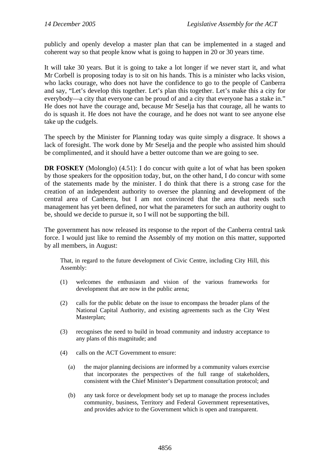publicly and openly develop a master plan that can be implemented in a staged and coherent way so that people know what is going to happen in 20 or 30 years time.

It will take 30 years. But it is going to take a lot longer if we never start it, and what Mr Corbell is proposing today is to sit on his hands. This is a minister who lacks vision, who lacks courage, who does not have the confidence to go to the people of Canberra and say, "Let's develop this together. Let's plan this together. Let's make this a city for everybody—a city that everyone can be proud of and a city that everyone has a stake in." He does not have the courage and, because Mr Seselja has that courage, all he wants to do is squash it. He does not have the courage, and he does not want to see anyone else take up the cudgels.

The speech by the Minister for Planning today was quite simply a disgrace. It shows a lack of foresight. The work done by Mr Seselja and the people who assisted him should be complimented, and it should have a better outcome than we are going to see.

**DR FOSKEY** (Molonglo) (4.51): I do concur with quite a lot of what has been spoken by those speakers for the opposition today, but, on the other hand, I do concur with some of the statements made by the minister. I do think that there is a strong case for the creation of an independent authority to oversee the planning and development of the central area of Canberra, but I am not convinced that the area that needs such management has yet been defined, nor what the parameters for such an authority ought to be, should we decide to pursue it, so I will not be supporting the bill.

The government has now released its response to the report of the Canberra central task force. I would just like to remind the Assembly of my motion on this matter, supported by all members, in August:

That, in regard to the future development of Civic Centre, including City Hill, this Assembly:

- (1) welcomes the enthusiasm and vision of the various frameworks for development that are now in the public arena;
- (2) calls for the public debate on the issue to encompass the broader plans of the National Capital Authority, and existing agreements such as the City West Masterplan;
- (3) recognises the need to build in broad community and industry acceptance to any plans of this magnitude; and
- (4) calls on the ACT Government to ensure:
	- (a) the major planning decisions are informed by a community values exercise that incorporates the perspectives of the full range of stakeholders, consistent with the Chief Minister's Department consultation protocol; and
	- (b) any task force or development body set up to manage the process includes community, business, Territory and Federal Government representatives, and provides advice to the Government which is open and transparent.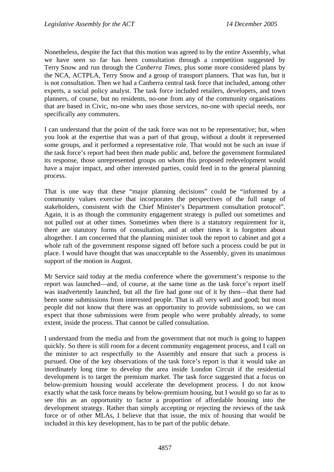Nonetheless, despite the fact that this motion was agreed to by the entire Assembly, what we have seen so far has been consultation through a competition suggested by Terry Snow and run through the *Canberra Times*, plus some more considered plans by the NCA, ACTPLA, Terry Snow and a group of transport planners. That was fun, but it is not consultation. Then we had a Canberra central task force that included, among other experts, a social policy analyst. The task force included retailers, developers, and town planners, of course, but no residents, no-one from any of the community organisations that are based in Civic, no-one who uses those services, no-one with special needs, nor specifically any commuters.

I can understand that the point of the task force was not to be representative; but, when you look at the expertise that was a part of that group, without a doubt it represented some groups, and it performed a representative role. That would not be such an issue if the task force's report had been then made public and, before the government formulated its response, those unrepresented groups on whom this proposed redevelopment would have a major impact, and other interested parties, could feed in to the general planning process.

That is one way that these "major planning decisions" could be "informed by a community values exercise that incorporates the perspectives of the full range of stakeholders, consistent with the Chief Minister's Department consultation protocol". Again, it is as though the community engagement strategy is pulled out sometimes and not pulled out at other times. Sometimes when there is a statutory requirement for it, there are statutory forms of consultation, and at other times it is forgotten about altogether. I am concerned that the planning minister took the report to cabinet and got a whole raft of the government response signed off before such a process could be put in place. I would have thought that was unacceptable to the Assembly, given its unanimous support of the motion in August.

Mr Service said today at the media conference where the government's response to the report was launched—and, of course, at the same time as the task force's report itself was inadvertently launched, but all the fire had gone out of it by then—that there had been some submissions from interested people. That is all very well and good; but most people did not know that there was an opportunity to provide submissions, so we can expect that those submissions were from people who were probably already, to some extent, inside the process. That cannot be called consultation.

I understand from the media and from the government that not much is going to happen quickly. So there is still room for a decent community engagement process, and I call on the minister to act respectfully to the Assembly and ensure that such a process is pursued. One of the key observations of the task force's report is that it would take an inordinately long time to develop the area inside London Circuit if the residential development is to target the premium market. The task force suggested that a focus on below-premium housing would accelerate the development process. I do not know exactly what the task force means by below-premium housing, but I would go so far as to see this as an opportunity to factor a proportion of affordable housing into the development strategy. Rather than simply accepting or rejecting the reviews of the task force or of other MLAs, I believe that that issue, the mix of housing that would be included in this key development, has to be part of the public debate.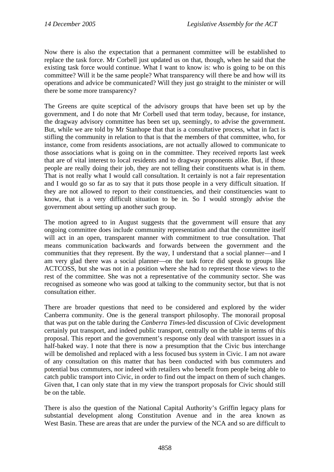Now there is also the expectation that a permanent committee will be established to replace the task force. Mr Corbell just updated us on that, though, when he said that the existing task force would continue. What I want to know is: who is going to be on this committee? Will it be the same people? What transparency will there be and how will its operations and advice be communicated? Will they just go straight to the minister or will there be some more transparency?

The Greens are quite sceptical of the advisory groups that have been set up by the government, and I do note that Mr Corbell used that term today, because, for instance, the dragway advisory committee has been set up, seemingly, to advise the government. But, while we are told by Mr Stanhope that that is a consultative process, what in fact is stifling the community in relation to that is that the members of that committee, who, for instance, come from residents associations, are not actually allowed to communicate to those associations what is going on in the committee. They received reports last week that are of vital interest to local residents and to dragway proponents alike. But, if those people are really doing their job, they are not telling their constituents what is in them. That is not really what I would call consultation. It certainly is not a fair representation and I would go so far as to say that it puts those people in a very difficult situation. If they are not allowed to report to their constituencies, and their constituencies want to know, that is a very difficult situation to be in. So I would strongly advise the government about setting up another such group.

The motion agreed to in August suggests that the government will ensure that any ongoing committee does include community representation and that the committee itself will act in an open, transparent manner with commitment to true consultation. That means communication backwards and forwards between the government and the communities that they represent. By the way, I understand that a social planner—and I am very glad there was a social planner—on the task force did speak to groups like ACTCOSS, but she was not in a position where she had to represent those views to the rest of the committee. She was not a representative of the community sector. She was recognised as someone who was good at talking to the community sector, but that is not consultation either.

There are broader questions that need to be considered and explored by the wider Canberra community. One is the general transport philosophy. The monorail proposal that was put on the table during the *Canberra Times*-led discussion of Civic development certainly put transport, and indeed public transport, centrally on the table in terms of this proposal. This report and the government's response only deal with transport issues in a half-baked way. I note that there is now a presumption that the Civic bus interchange will be demolished and replaced with a less focused bus system in Civic. I am not aware of any consultation on this matter that has been conducted with bus commuters and potential bus commuters, nor indeed with retailers who benefit from people being able to catch public transport into Civic, in order to find out the impact on them of such changes. Given that, I can only state that in my view the transport proposals for Civic should still be on the table.

There is also the question of the National Capital Authority's Griffin legacy plans for substantial development along Constitution Avenue and in the area known as West Basin. These are areas that are under the purview of the NCA and so are difficult to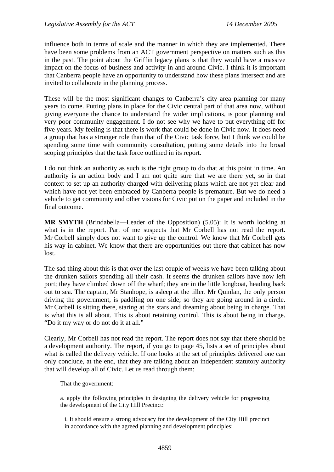influence both in terms of scale and the manner in which they are implemented. There have been some problems from an ACT government perspective on matters such as this in the past. The point about the Griffin legacy plans is that they would have a massive impact on the focus of business and activity in and around Civic. I think it is important that Canberra people have an opportunity to understand how these plans intersect and are invited to collaborate in the planning process.

These will be the most significant changes to Canberra's city area planning for many years to come. Putting plans in place for the Civic central part of that area now, without giving everyone the chance to understand the wider implications, is poor planning and very poor community engagement. I do not see why we have to put everything off for five years. My feeling is that there is work that could be done in Civic now. It does need a group that has a stronger role than that of the Civic task force, but I think we could be spending some time with community consultation, putting some details into the broad scoping principles that the task force outlined in its report.

I do not think an authority as such is the right group to do that at this point in time. An authority is an action body and I am not quite sure that we are there yet, so in that context to set up an authority charged with delivering plans which are not yet clear and which have not yet been embraced by Canberra people is premature. But we do need a vehicle to get community and other visions for Civic put on the paper and included in the final outcome.

**MR SMYTH** (Brindabella—Leader of the Opposition) (5.05): It is worth looking at what is in the report. Part of me suspects that Mr Corbell has not read the report. Mr Corbell simply does not want to give up the control. We know that Mr Corbell gets his way in cabinet. We know that there are opportunities out there that cabinet has now lost.

The sad thing about this is that over the last couple of weeks we have been talking about the drunken sailors spending all their cash. It seems the drunken sailors have now left port; they have climbed down off the wharf; they are in the little longboat, heading back out to sea. The captain, Mr Stanhope, is asleep at the tiller. Mr Quinlan, the only person driving the government, is paddling on one side; so they are going around in a circle. Mr Corbell is sitting there, staring at the stars and dreaming about being in charge. That is what this is all about. This is about retaining control. This is about being in charge. "Do it my way or do not do it at all."

Clearly, Mr Corbell has not read the report. The report does not say that there should be a development authority. The report, if you go to page 45, lists a set of principles about what is called the delivery vehicle. If one looks at the set of principles delivered one can only conclude, at the end, that they are talking about an independent statutory authority that will develop all of Civic. Let us read through them:

That the government:

a. apply the following principles in designing the delivery vehicle for progressing the development of the City Hill Precinct:

i. It should ensure a strong advocacy for the development of the City Hill precinct in accordance with the agreed planning and development principles;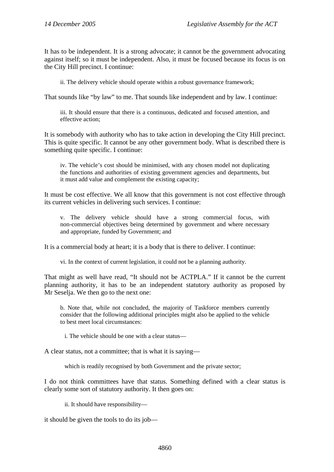It has to be independent. It is a strong advocate; it cannot be the government advocating against itself; so it must be independent. Also, it must be focused because its focus is on the City Hill precinct. I continue:

ii. The delivery vehicle should operate within a robust governance framework;

That sounds like "by law" to me. That sounds like independent and by law. I continue:

iii. It should ensure that there is a continuous, dedicated and focused attention, and effective action;

It is somebody with authority who has to take action in developing the City Hill precinct. This is quite specific. It cannot be any other government body. What is described there is something quite specific. I continue:

iv. The vehicle's cost should be minimised, with any chosen model not duplicating the functions and authorities of existing government agencies and departments, but it must add value and complement the existing capacity;

It must be cost effective. We all know that this government is not cost effective through its current vehicles in delivering such services. I continue:

v. The delivery vehicle should have a strong commercial focus, with non-commercial objectives being determined by government and where necessary and appropriate, funded by Government; and

It is a commercial body at heart; it is a body that is there to deliver. I continue:

vi. In the context of current legislation, it could not be a planning authority.

That might as well have read, "It should not be ACTPLA." If it cannot be the current planning authority, it has to be an independent statutory authority as proposed by Mr Seselja. We then go to the next one:

b. Note that, while not concluded, the majority of Taskforce members currently consider that the following additional principles might also be applied to the vehicle to best meet local circumstances:

i. The vehicle should be one with a clear status—

A clear status, not a committee; that is what it is saying—

which is readily recognised by both Government and the private sector:

I do not think committees have that status. Something defined with a clear status is clearly some sort of statutory authority. It then goes on:

ii. It should have responsibility—

it should be given the tools to do its job—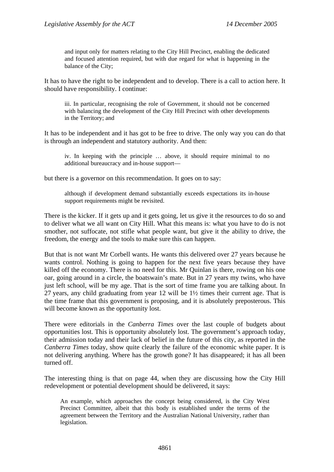and input only for matters relating to the City Hill Precinct, enabling the dedicated and focused attention required, but with due regard for what is happening in the balance of the City;

It has to have the right to be independent and to develop. There is a call to action here. It should have responsibility. I continue:

iii. In particular, recognising the role of Government, it should not be concerned with balancing the development of the City Hill Precinct with other developments in the Territory; and

It has to be independent and it has got to be free to drive. The only way you can do that is through an independent and statutory authority. And then:

iv. In keeping with the principle … above, it should require minimal to no additional bureaucracy and in-house support—

but there is a governor on this recommendation. It goes on to say:

although if development demand substantially exceeds expectations its in-house support requirements might be revisited.

There is the kicker. If it gets up and it gets going, let us give it the resources to do so and to deliver what we all want on City Hill. What this means is: what you have to do is not smother, not suffocate, not stifle what people want, but give it the ability to drive, the freedom, the energy and the tools to make sure this can happen.

But that is not want Mr Corbell wants. He wants this delivered over 27 years because he wants control. Nothing is going to happen for the next five years because they have killed off the economy. There is no need for this. Mr Quinlan is there, rowing on his one oar, going around in a circle, the boatswain's mate. But in 27 years my twins, who have just left school, will be my age. That is the sort of time frame you are talking about. In 27 years, any child graduating from year 12 will be 1½ times their current age. That is the time frame that this government is proposing, and it is absolutely preposterous. This will become known as the opportunity lost.

There were editorials in the *Canberra Times* over the last couple of budgets about opportunities lost. This is opportunity absolutely lost. The government's approach today, their admission today and their lack of belief in the future of this city, as reported in the *Canberra Times* today, show quite clearly the failure of the economic white paper. It is not delivering anything. Where has the growth gone? It has disappeared; it has all been turned off.

The interesting thing is that on page 44, when they are discussing how the City Hill redevelopment or potential development should be delivered, it says:

An example, which approaches the concept being considered, is the City West Precinct Committee, albeit that this body is established under the terms of the agreement between the Territory and the Australian National University, rather than legislation.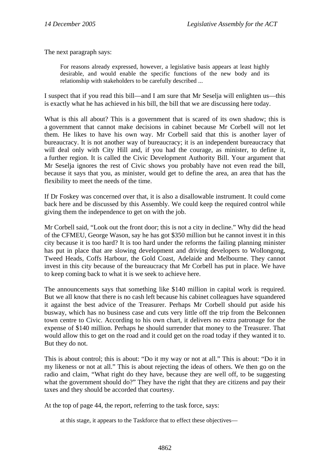The next paragraph says:

For reasons already expressed, however, a legislative basis appears at least highly desirable, and would enable the specific functions of the new body and its relationship with stakeholders to be carefully described ...

I suspect that if you read this bill—and I am sure that Mr Seselja will enlighten us—this is exactly what he has achieved in his bill, the bill that we are discussing here today.

What is this all about? This is a government that is scared of its own shadow; this is a government that cannot make decisions in cabinet because Mr Corbell will not let them. He likes to have his own way. Mr Corbell said that this is another layer of bureaucracy. It is not another way of bureaucracy; it is an independent bureaucracy that will deal only with City Hill and, if you had the courage, as minister, to define it, a further region. It is called the Civic Development Authority Bill. Your argument that Mr Seselja ignores the rest of Civic shows you probably have not even read the bill, because it says that you, as minister, would get to define the area, an area that has the flexibility to meet the needs of the time.

If Dr Foskey was concerned over that, it is also a disallowable instrument. It could come back here and be discussed by this Assembly. We could keep the required control while giving them the independence to get on with the job.

Mr Corbell said, "Look out the front door; this is not a city in decline." Why did the head of the CFMEU, George Wason, say he has got \$350 million but he cannot invest it in this city because it is too hard? It is too hard under the reforms the failing planning minister has put in place that are slowing development and driving developers to Wollongong, Tweed Heads, Coffs Harbour, the Gold Coast, Adelaide and Melbourne. They cannot invest in this city because of the bureaucracy that Mr Corbell has put in place. We have to keep coming back to what it is we seek to achieve here.

The announcements says that something like \$140 million in capital work is required. But we all know that there is no cash left because his cabinet colleagues have squandered it against the best advice of the Treasurer. Perhaps Mr Corbell should put aside his busway, which has no business case and cuts very little off the trip from the Belconnen town centre to Civic. According to his own chart, it delivers no extra patronage for the expense of \$140 million. Perhaps he should surrender that money to the Treasurer. That would allow this to get on the road and it could get on the road today if they wanted it to. But they do not.

This is about control; this is about: "Do it my way or not at all." This is about: "Do it in my likeness or not at all." This is about rejecting the ideas of others. We then go on the radio and claim, "What right do they have, because they are well off, to be suggesting what the government should do?" They have the right that they are citizens and pay their taxes and they should be accorded that courtesy.

At the top of page 44, the report, referring to the task force, says:

at this stage, it appears to the Taskforce that to effect these objectives—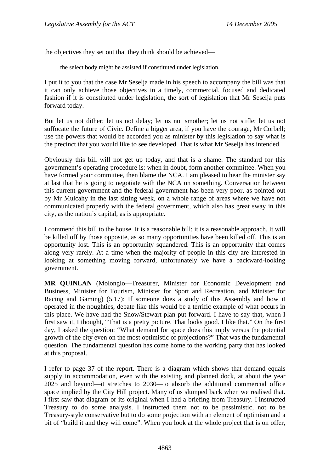the objectives they set out that they think should be achieved—

the select body might be assisted if constituted under legislation.

I put it to you that the case Mr Seselja made in his speech to accompany the bill was that it can only achieve those objectives in a timely, commercial, focused and dedicated fashion if it is constituted under legislation, the sort of legislation that Mr Seselja puts forward today.

But let us not dither; let us not delay; let us not smother; let us not stifle; let us not suffocate the future of Civic. Define a bigger area, if you have the courage, Mr Corbell; use the powers that would be accorded you as minister by this legislation to say what is the precinct that you would like to see developed. That is what Mr Seselja has intended.

Obviously this bill will not get up today, and that is a shame. The standard for this government's operating procedure is: when in doubt, form another committee. When you have formed your committee, then blame the NCA. I am pleased to hear the minister say at last that he is going to negotiate with the NCA on something. Conversation between this current government and the federal government has been very poor, as pointed out by Mr Mulcahy in the last sitting week, on a whole range of areas where we have not communicated properly with the federal government, which also has great sway in this city, as the nation's capital, as is appropriate.

I commend this bill to the house. It is a reasonable bill; it is a reasonable approach. It will be killed off by those opposite, as so many opportunities have been killed off. This is an opportunity lost. This is an opportunity squandered. This is an opportunity that comes along very rarely. At a time when the majority of people in this city are interested in looking at something moving forward, unfortunately we have a backward-looking government.

**MR QUINLAN** (Molonglo—Treasurer, Minister for Economic Development and Business, Minister for Tourism, Minister for Sport and Recreation, and Minister for Racing and Gaming) (5.17): If someone does a study of this Assembly and how it operated in the noughties, debate like this would be a terrific example of what occurs in this place. We have had the Snow/Stewart plan put forward. I have to say that, when I first saw it, I thought, "That is a pretty picture. That looks good. I like that." On the first day, I asked the question: "What demand for space does this imply versus the potential growth of the city even on the most optimistic of projections?" That was the fundamental question. The fundamental question has come home to the working party that has looked at this proposal.

I refer to page 37 of the report. There is a diagram which shows that demand equals supply in accommodation, even with the existing and planned dock, at about the year 2025 and beyond—it stretches to 2030—to absorb the additional commercial office space implied by the City Hill project. Many of us slumped back when we realised that. I first saw that diagram or its original when I had a briefing from Treasury. I instructed Treasury to do some analysis. I instructed them not to be pessimistic, not to be Treasury-style conservative but to do some projection with an element of optimism and a bit of "build it and they will come". When you look at the whole project that is on offer,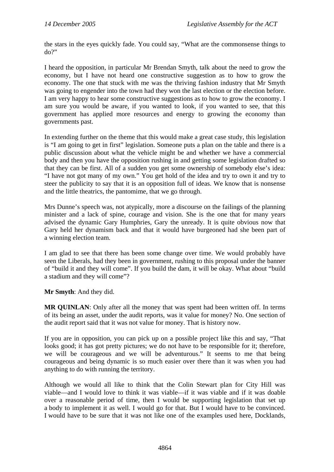the stars in the eyes quickly fade. You could say, "What are the commonsense things to do?"

I heard the opposition, in particular Mr Brendan Smyth, talk about the need to grow the economy, but I have not heard one constructive suggestion as to how to grow the economy. The one that stuck with me was the thriving fashion industry that Mr Smyth was going to engender into the town had they won the last election or the election before. I am very happy to hear some constructive suggestions as to how to grow the economy. I am sure you would be aware, if you wanted to look, if you wanted to see, that this government has applied more resources and energy to growing the economy than governments past.

In extending further on the theme that this would make a great case study, this legislation is "I am going to get in first" legislation. Someone puts a plan on the table and there is a public discussion about what the vehicle might be and whether we have a commercial body and then you have the opposition rushing in and getting some legislation drafted so that they can be first. All of a sudden you get some ownership of somebody else's idea: "I have not got many of my own." You get hold of the idea and try to own it and try to steer the publicity to say that it is an opposition full of ideas. We know that is nonsense and the little theatrics, the pantomime, that we go through.

Mrs Dunne's speech was, not atypically, more a discourse on the failings of the planning minister and a lack of spine, courage and vision. She is the one that for many years advised the dynamic Gary Humphries, Gary the unready. It is quite obvious now that Gary held her dynamism back and that it would have burgeoned had she been part of a winning election team.

I am glad to see that there has been some change over time. We would probably have seen the Liberals, had they been in government, rushing to this proposal under the banner of "build it and they will come". If you build the dam, it will be okay. What about "build a stadium and they will come"?

**Mr Smyth**: And they did.

**MR QUINLAN**: Only after all the money that was spent had been written off. In terms of its being an asset, under the audit reports, was it value for money? No. One section of the audit report said that it was not value for money. That is history now.

If you are in opposition, you can pick up on a possible project like this and say, "That looks good; it has got pretty pictures; we do not have to be responsible for it; therefore, we will be courageous and we will be adventurous." It seems to me that being courageous and being dynamic is so much easier over there than it was when you had anything to do with running the territory.

Although we would all like to think that the Colin Stewart plan for City Hill was viable—and I would love to think it was viable—if it was viable and if it was doable over a reasonable period of time, then I would be supporting legislation that set up a body to implement it as well. I would go for that. But I would have to be convinced. I would have to be sure that it was not like one of the examples used here, Docklands,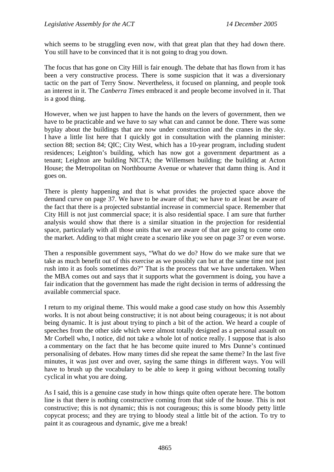which seems to be struggling even now, with that great plan that they had down there. You still have to be convinced that it is not going to drag you down.

The focus that has gone on City Hill is fair enough. The debate that has flown from it has been a very constructive process. There is some suspicion that it was a diversionary tactic on the part of Terry Snow. Nevertheless, it focused on planning, and people took an interest in it. The *Canberra Times* embraced it and people become involved in it. That is a good thing.

However, when we just happen to have the hands on the levers of government, then we have to be practicable and we have to say what can and cannot be done. There was some byplay about the buildings that are now under construction and the cranes in the sky. I have a little list here that I quickly got in consultation with the planning minister: section 88; section 84; QIC; City West, which has a 10-year program, including student residences; Leighton's building, which has now got a government department as a tenant; Leighton are building NICTA; the Willemsen building; the building at Acton House; the Metropolitan on Northbourne Avenue or whatever that damn thing is. And it goes on.

There is plenty happening and that is what provides the projected space above the demand curve on page 37. We have to be aware of that; we have to at least be aware of the fact that there is a projected substantial increase in commercial space. Remember that City Hill is not just commercial space; it is also residential space. I am sure that further analysis would show that there is a similar situation in the projection for residential space, particularly with all those units that we are aware of that are going to come onto the market. Adding to that might create a scenario like you see on page 37 or even worse.

Then a responsible government says, "What do we do? How do we make sure that we take as much benefit out of this exercise as we possibly can but at the same time not just rush into it as fools sometimes do?" That is the process that we have undertaken. When the MBA comes out and says that it supports what the government is doing, you have a fair indication that the government has made the right decision in terms of addressing the available commercial space.

I return to my original theme. This would make a good case study on how this Assembly works. It is not about being constructive; it is not about being courageous; it is not about being dynamic. It is just about trying to pinch a bit of the action. We heard a couple of speeches from the other side which were almost totally designed as a personal assault on Mr Corbell who, I notice, did not take a whole lot of notice really. I suppose that is also a commentary on the fact that he has become quite inured to Mrs Dunne's continued personalising of debates. How many times did she repeat the same theme? In the last five minutes, it was just over and over, saying the same things in different ways. You will have to brush up the vocabulary to be able to keep it going without becoming totally cyclical in what you are doing.

As I said, this is a genuine case study in how things quite often operate here. The bottom line is that there is nothing constructive coming from that side of the house. This is not constructive; this is not dynamic; this is not courageous; this is some bloody petty little copycat process; and they are trying to bloody steal a little bit of the action. To try to paint it as courageous and dynamic, give me a break!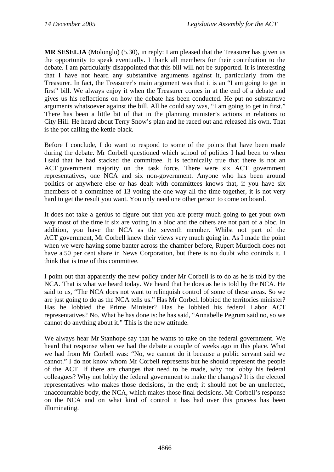**MR SESELJA** (Molonglo) (5.30), in reply: I am pleased that the Treasurer has given us the opportunity to speak eventually. I thank all members for their contribution to the debate. I am particularly disappointed that this bill will not be supported. It is interesting that I have not heard any substantive arguments against it, particularly from the Treasurer. In fact, the Treasurer's main argument was that it is an "I am going to get in first" bill. We always enjoy it when the Treasurer comes in at the end of a debate and gives us his reflections on how the debate has been conducted. He put no substantive arguments whatsoever against the bill. All he could say was, "I am going to get in first." There has been a little bit of that in the planning minister's actions in relations to City Hill. He heard about Terry Snow's plan and he raced out and released his own. That is the pot calling the kettle black.

Before I conclude, I do want to respond to some of the points that have been made during the debate. Mr Corbell questioned which school of politics I had been to when I said that he had stacked the committee. It is technically true that there is not an ACT government majority on the task force. There were six ACT government representatives, one NCA and six non-government. Anyone who has been around politics or anywhere else or has dealt with committees knows that, if you have six members of a committee of 13 voting the one way all the time together, it is not very hard to get the result you want. You only need one other person to come on board.

It does not take a genius to figure out that you are pretty much going to get your own way most of the time if six are voting in a bloc and the others are not part of a bloc. In addition, you have the NCA as the seventh member. Whilst not part of the ACT government, Mr Corbell knew their views very much going in. As I made the point when we were having some banter across the chamber before, Rupert Murdoch does not have a 50 per cent share in News Corporation, but there is no doubt who controls it. I think that is true of this committee.

I point out that apparently the new policy under Mr Corbell is to do as he is told by the NCA. That is what we heard today. We heard that he does as he is told by the NCA. He said to us, "The NCA does not want to relinquish control of some of these areas. So we are just going to do as the NCA tells us." Has Mr Corbell lobbied the territories minister? Has he lobbied the Prime Minister? Has he lobbied his federal Labor ACT representatives? No. What he has done is: he has said, "Annabelle Pegrum said no, so we cannot do anything about it." This is the new attitude.

We always hear Mr Stanhope say that he wants to take on the federal government. We heard that response when we had the debate a couple of weeks ago in this place. What we had from Mr Corbell was: "No, we cannot do it because a public servant said we cannot." I do not know whom Mr Corbell represents but he should represent the people of the ACT. If there are changes that need to be made, why not lobby his federal colleagues? Why not lobby the federal government to make the changes? It is the elected representatives who makes those decisions, in the end; it should not be an unelected, unaccountable body, the NCA, which makes those final decisions. Mr Corbell's response on the NCA and on what kind of control it has had over this process has been illuminating.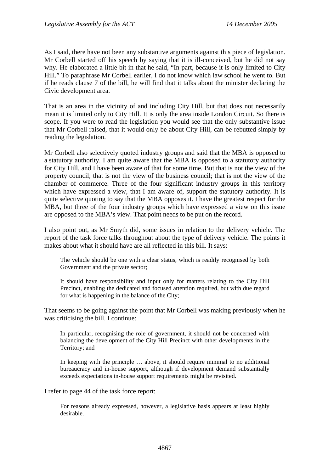As I said, there have not been any substantive arguments against this piece of legislation. Mr Corbell started off his speech by saying that it is ill-conceived, but he did not say why. He elaborated a little bit in that he said, "In part, because it is only limited to City Hill." To paraphrase Mr Corbell earlier, I do not know which law school he went to. But if he reads clause 7 of the bill, he will find that it talks about the minister declaring the Civic development area.

That is an area in the vicinity of and including City Hill, but that does not necessarily mean it is limited only to City Hill. It is only the area inside London Circuit. So there is scope. If you were to read the legislation you would see that the only substantive issue that Mr Corbell raised, that it would only be about City Hill, can be rebutted simply by reading the legislation.

Mr Corbell also selectively quoted industry groups and said that the MBA is opposed to a statutory authority. I am quite aware that the MBA is opposed to a statutory authority for City Hill, and I have been aware of that for some time. But that is not the view of the property council; that is not the view of the business council; that is not the view of the chamber of commerce. Three of the four significant industry groups in this territory which have expressed a view, that I am aware of, support the statutory authority. It is quite selective quoting to say that the MBA opposes it. I have the greatest respect for the MBA, but three of the four industry groups which have expressed a view on this issue are opposed to the MBA's view. That point needs to be put on the record.

I also point out, as Mr Smyth did, some issues in relation to the delivery vehicle. The report of the task force talks throughout about the type of delivery vehicle. The points it makes about what it should have are all reflected in this bill. It says:

The vehicle should be one with a clear status, which is readily recognised by both Government and the private sector;

It should have responsibility and input only for matters relating to the City Hill Precinct, enabling the dedicated and focused attention required, but with due regard for what is happening in the balance of the City;

That seems to be going against the point that Mr Corbell was making previously when he was criticising the bill. I continue:

In particular, recognising the role of government, it should not be concerned with balancing the development of the City Hill Precinct with other developments in the Territory; and

In keeping with the principle … above, it should require minimal to no additional bureaucracy and in-house support, although if development demand substantially exceeds expectations in-house support requirements might be revisited.

I refer to page 44 of the task force report:

For reasons already expressed, however, a legislative basis appears at least highly desirable.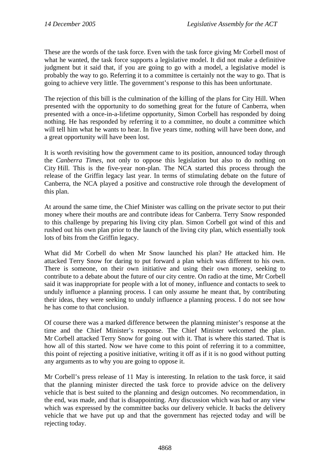These are the words of the task force. Even with the task force giving Mr Corbell most of what he wanted, the task force supports a legislative model. It did not make a definitive judgment but it said that, if you are going to go with a model, a legislative model is probably the way to go. Referring it to a committee is certainly not the way to go. That is going to achieve very little. The government's response to this has been unfortunate.

The rejection of this bill is the culmination of the killing of the plans for City Hill. When presented with the opportunity to do something great for the future of Canberra, when presented with a once-in-a-lifetime opportunity, Simon Corbell has responded by doing nothing. He has responded by referring it to a committee, no doubt a committee which will tell him what he wants to hear. In five years time, nothing will have been done, and a great opportunity will have been lost.

It is worth revisiting how the government came to its position, announced today through the *Canberra Times*, not only to oppose this legislation but also to do nothing on City Hill. This is the five-year non-plan. The NCA started this process through the release of the Griffin legacy last year. In terms of stimulating debate on the future of Canberra, the NCA played a positive and constructive role through the development of this plan.

At around the same time, the Chief Minister was calling on the private sector to put their money where their mouths are and contribute ideas for Canberra. Terry Snow responded to this challenge by preparing his living city plan. Simon Corbell got wind of this and rushed out his own plan prior to the launch of the living city plan, which essentially took lots of bits from the Griffin legacy.

What did Mr Corbell do when Mr Snow launched his plan? He attacked him. He attacked Terry Snow for daring to put forward a plan which was different to his own. There is someone, on their own initiative and using their own money, seeking to contribute to a debate about the future of our city centre. On radio at the time, Mr Corbell said it was inappropriate for people with a lot of money, influence and contacts to seek to unduly influence a planning process. I can only assume he meant that, by contributing their ideas, they were seeking to unduly influence a planning process. I do not see how he has come to that conclusion.

Of course there was a marked difference between the planning minister's response at the time and the Chief Minister's response. The Chief Minister welcomed the plan. Mr Corbell attacked Terry Snow for going out with it. That is where this started. That is how all of this started. Now we have come to this point of referring it to a committee, this point of rejecting a positive initiative, writing it off as if it is no good without putting any arguments as to why you are going to oppose it.

Mr Corbell's press release of 11 May is interesting. In relation to the task force, it said that the planning minister directed the task force to provide advice on the delivery vehicle that is best suited to the planning and design outcomes. No recommendation, in the end, was made, and that is disappointing. Any discussion which was had or any view which was expressed by the committee backs our delivery vehicle. It backs the delivery vehicle that we have put up and that the government has rejected today and will be rejecting today.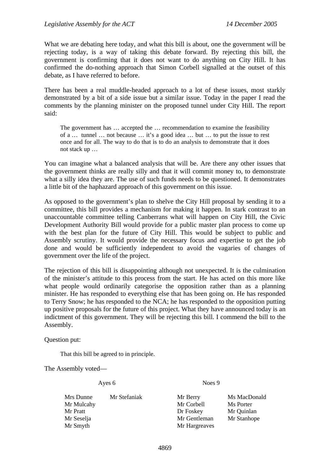What we are debating here today, and what this bill is about, one the government will be rejecting today, is a way of taking this debate forward. By rejecting this bill, the government is confirming that it does not want to do anything on City Hill. It has confirmed the do-nothing approach that Simon Corbell signalled at the outset of this debate, as I have referred to before.

There has been a real muddle-headed approach to a lot of these issues, most starkly demonstrated by a bit of a side issue but a similar issue. Today in the paper I read the comments by the planning minister on the proposed tunnel under City Hill. The report said:

The government has … accepted the … recommendation to examine the feasibility of a … tunnel … not because … it's a good idea … but … to put the issue to rest once and for all. The way to do that is to do an analysis to demonstrate that it does not stack up …

You can imagine what a balanced analysis that will be. Are there any other issues that the government thinks are really silly and that it will commit money to, to demonstrate what a silly idea they are. The use of such funds needs to be questioned. It demonstrates a little bit of the haphazard approach of this government on this issue.

As opposed to the government's plan to shelve the City Hill proposal by sending it to a committee, this bill provides a mechanism for making it happen. In stark contrast to an unaccountable committee telling Canberrans what will happen on City Hill, the Civic Development Authority Bill would provide for a public master plan process to come up with the best plan for the future of City Hill. This would be subject to public and Assembly scrutiny. It would provide the necessary focus and expertise to get the job done and would be sufficiently independent to avoid the vagaries of changes of government over the life of the project.

The rejection of this bill is disappointing although not unexpected. It is the culmination of the minister's attitude to this process from the start. He has acted on this more like what people would ordinarily categorise the opposition rather than as a planning minister. He has responded to everything else that has been going on. He has responded to Terry Snow; he has responded to the NCA; he has responded to the opposition putting up positive proposals for the future of this project. What they have announced today is an indictment of this government. They will be rejecting this bill. I commend the bill to the Assembly.

Question put:

That this bill be agreed to in principle.

The Assembly voted—

Ayes 6 Noes 9

| Mrs Dunne  | Mr Stefaniak | Mr Berry      | Ms MacDonald |
|------------|--------------|---------------|--------------|
| Mr Mulcahy |              | Mr Corbell    | Ms Porter    |
| Mr Pratt   |              | Dr Foskey     | Mr Quinlan   |
| Mr Seselja |              | Mr Gentleman  | Mr Stanhope  |
| Mr Smyth   |              | Mr Hargreaves |              |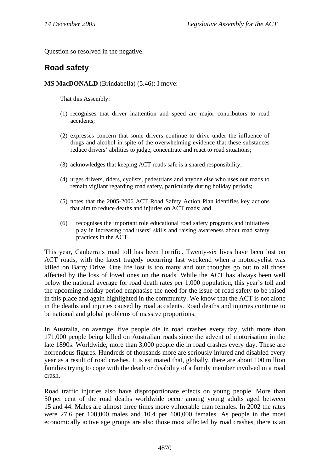Question so resolved in the negative.

# **Road safety**

## **MS MacDONALD** (Brindabella) (5.46): I move:

That this Assembly:

- (1) recognises that driver inattention and speed are major contributors to road accidents;
- (2) expresses concern that some drivers continue to drive under the influence of drugs and alcohol in spite of the overwhelming evidence that these substances reduce drivers' abilities to judge, concentrate and react to road situations;
- (3) acknowledges that keeping ACT roads safe is a shared responsibility;
- (4) urges drivers, riders, cyclists, pedestrians and anyone else who uses our roads to remain vigilant regarding road safety, particularly during holiday periods;
- (5) notes that the 2005-2006 ACT Road Safety Action Plan identifies key actions that aim to reduce deaths and injuries on ACT roads; and
- (6) recognises the important role educational road safety programs and initiatives play in increasing road users' skills and raising awareness about road safety practices in the ACT.

This year, Canberra's road toll has been horrific. Twenty-six lives have been lost on ACT roads, with the latest tragedy occurring last weekend when a motorcyclist was killed on Barry Drive. One life lost is too many and our thoughts go out to all those affected by the loss of loved ones on the roads. While the ACT has always been well below the national average for road death rates per 1,000 population, this year's toll and the upcoming holiday period emphasise the need for the issue of road safety to be raised in this place and again highlighted in the community. We know that the ACT is not alone in the deaths and injuries caused by road accidents. Road deaths and injuries continue to be national and global problems of massive proportions.

In Australia, on average, five people die in road crashes every day, with more than 171,000 people being killed on Australian roads since the advent of motorisation in the late 1890s. Worldwide, more than 3,000 people die in road crashes every day. These are horrendous figures. Hundreds of thousands more are seriously injured and disabled every year as a result of road crashes. It is estimated that, globally, there are about 100 million families trying to cope with the death or disability of a family member involved in a road crash.

Road traffic injuries also have disproportionate effects on young people. More than 50 per cent of the road deaths worldwide occur among young adults aged between 15 and 44. Males are almost three times more vulnerable than females. In 2002 the rates were 27.6 per 100,000 males and 10.4 per 100,000 females. As people in the most economically active age groups are also those most affected by road crashes, there is an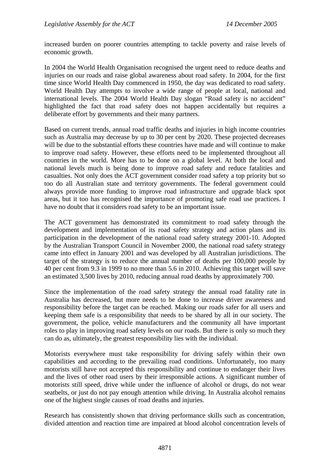increased burden on poorer countries attempting to tackle poverty and raise levels of economic growth.

In 2004 the World Health Organisation recognised the urgent need to reduce deaths and injuries on our roads and raise global awareness about road safety. In 2004, for the first time since World Health Day commenced in 1950, the day was dedicated to road safety. World Health Day attempts to involve a wide range of people at local, national and international levels. The 2004 World Health Day slogan "Road safety is no accident" highlighted the fact that road safety does not happen accidentally but requires a deliberate effort by governments and their many partners.

Based on current trends, annual road traffic deaths and injuries in high income countries such as Australia may decrease by up to 30 per cent by 2020. These projected decreases will be due to the substantial efforts these countries have made and will continue to make to improve road safety. However, these efforts need to be implemented throughout all countries in the world. More has to be done on a global level. At both the local and national levels much is being done to improve road safety and reduce fatalities and casualties. Not only does the ACT government consider road safety a top priority but so too do all Australian state and territory governments. The federal government could always provide more funding to improve road infrastructure and upgrade black spot areas, but it too has recognised the importance of promoting safe road use practices. I have no doubt that it considers road safety to be an important issue.

The ACT government has demonstrated its commitment to road safety through the development and implementation of its road safety strategy and action plans and its participation in the development of the national road safety strategy 2001-10. Adopted by the Australian Transport Council in November 2000, the national road safety strategy came into effect in January 2001 and was developed by all Australian jurisdictions. The target of the strategy is to reduce the annual number of deaths per 100,000 people by 40 per cent from 9.3 in 1999 to no more than 5.6 in 2010. Achieving this target will save an estimated 3,500 lives by 2010, reducing annual road deaths by approximately 700.

Since the implementation of the road safety strategy the annual road fatality rate in Australia has decreased, but more needs to be done to increase driver awareness and responsibility before the target can be reached. Making our roads safer for all users and keeping them safe is a responsibility that needs to be shared by all in our society. The government, the police, vehicle manufacturers and the community all have important roles to play in improving road safety levels on our roads. But there is only so much they can do as, ultimately, the greatest responsibility lies with the individual.

Motorists everywhere must take responsibility for driving safely within their own capabilities and according to the prevailing road conditions. Unfortunately, too many motorists still have not accepted this responsibility and continue to endanger their lives and the lives of other road users by their irresponsible actions. A significant number of motorists still speed, drive while under the influence of alcohol or drugs, do not wear seatbelts, or just do not pay enough attention while driving. In Australia alcohol remains one of the highest single causes of road deaths and injuries.

Research has consistently shown that driving performance skills such as concentration, divided attention and reaction time are impaired at blood alcohol concentration levels of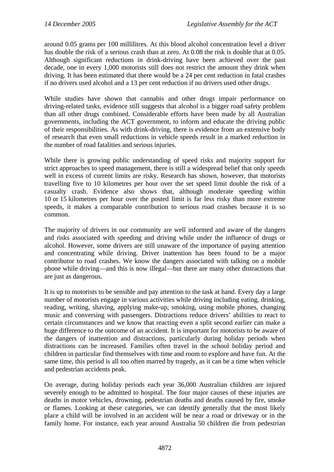around 0.05 grams per 100 millilitres. At this blood alcohol concentration level a driver has double the risk of a serious crash than at zero. At 0.08 the risk is double that at 0.05. Although significant reductions in drink-driving have been achieved over the past decade, one in every 1,000 motorists still does not restrict the amount they drink when driving. It has been estimated that there would be a 24 per cent reduction in fatal crashes if no drivers used alcohol and a 13 per cent reduction if no drivers used other drugs.

While studies have shown that cannabis and other drugs impair performance on driving-related tasks, evidence still suggests that alcohol is a bigger road safety problem than all other drugs combined. Considerable efforts have been made by all Australian governments, including the ACT government, to inform and educate the driving public of their responsibilities. As with drink-driving, there is evidence from an extensive body of research that even small reductions in vehicle speeds result in a marked reduction in the number of road fatalities and serious injuries.

While there is growing public understanding of speed risks and majority support for strict approaches to speed management, there is still a widespread belief that only speeds well in excess of current limits are risky. Research has shown, however, that motorists travelling five to 10 kilometres per hour over the set speed limit double the risk of a casualty crash. Evidence also shows that, although moderate speeding within 10 or 15 kilometres per hour over the posted limit is far less risky than more extreme speeds, it makes a comparable contribution to serious road crashes because it is so common.

The majority of drivers in our community are well informed and aware of the dangers and risks associated with speeding and driving while under the influence of drugs or alcohol. However, some drivers are still unaware of the importance of paying attention and concentrating while driving. Driver inattention has been found to be a major contributor to road crashes. We know the dangers associated with talking on a mobile phone while driving—and this is now illegal—but there are many other distractions that are just as dangerous.

It is up to motorists to be sensible and pay attention to the task at hand. Every day a large number of motorists engage in various activities while driving including eating, drinking, reading, writing, shaving, applying make-up, smoking, using mobile phones, changing music and conversing with passengers. Distractions reduce drivers' abilities to react to certain circumstances and we know that reacting even a split second earlier can make a huge difference to the outcome of an accident. It is important for motorists to be aware of the dangers of inattention and distractions, particularly during holiday periods when distractions can be increased. Families often travel in the school holiday period and children in particular find themselves with time and room to explore and have fun. At the same time, this period is all too often marred by tragedy, as it can be a time when vehicle and pedestrian accidents peak.

On average, during holiday periods each year 36,000 Australian children are injured severely enough to be admitted to hospital. The four major causes of these injuries are deaths in motor vehicles, drowning, pedestrian deaths and deaths caused by fire, smoke or flames. Looking at these categories, we can identify generally that the most likely place a child will be involved in an accident will be near a road or driveway or in the family home. For instance, each year around Australia 50 children die from pedestrian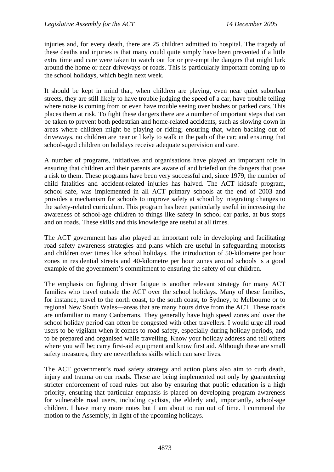injuries and, for every death, there are 25 children admitted to hospital. The tragedy of these deaths and injuries is that many could quite simply have been prevented if a little extra time and care were taken to watch out for or pre-empt the dangers that might lurk around the home or near driveways or roads. This is particularly important coming up to the school holidays, which begin next week.

It should be kept in mind that, when children are playing, even near quiet suburban streets, they are still likely to have trouble judging the speed of a car, have trouble telling where noise is coming from or even have trouble seeing over bushes or parked cars. This places them at risk. To fight these dangers there are a number of important steps that can be taken to prevent both pedestrian and home-related accidents, such as slowing down in areas where children might be playing or riding; ensuring that, when backing out of driveways, no children are near or likely to walk in the path of the car; and ensuring that school-aged children on holidays receive adequate supervision and care.

A number of programs, initiatives and organisations have played an important role in ensuring that children and their parents are aware of and briefed on the dangers that pose a risk to them. These programs have been very successful and, since 1979, the number of child fatalities and accident-related injuries has halved. The ACT kidsafe program, school safe, was implemented in all ACT primary schools at the end of 2003 and provides a mechanism for schools to improve safety at school by integrating changes to the safety-related curriculum. This program has been particularly useful in increasing the awareness of school-age children to things like safety in school car parks, at bus stops and on roads. These skills and this knowledge are useful at all times.

The ACT government has also played an important role in developing and facilitating road safety awareness strategies and plans which are useful in safeguarding motorists and children over times like school holidays. The introduction of 50-kilometre per hour zones in residential streets and 40-kilometre per hour zones around schools is a good example of the government's commitment to ensuring the safety of our children.

The emphasis on fighting driver fatigue is another relevant strategy for many ACT families who travel outside the ACT over the school holidays. Many of these families, for instance, travel to the north coast, to the south coast, to Sydney, to Melbourne or to regional New South Wales—areas that are many hours drive from the ACT. These roads are unfamiliar to many Canberrans. They generally have high speed zones and over the school holiday period can often be congested with other travellers. I would urge all road users to be vigilant when it comes to road safety, especially during holiday periods, and to be prepared and organised while travelling. Know your holiday address and tell others where you will be; carry first-aid equipment and know first aid. Although these are small safety measures, they are nevertheless skills which can save lives.

The ACT government's road safety strategy and action plans also aim to curb death, injury and trauma on our roads. These are being implemented not only by guaranteeing stricter enforcement of road rules but also by ensuring that public education is a high priority, ensuring that particular emphasis is placed on developing program awareness for vulnerable road users, including cyclists, the elderly and, importantly, school-age children. I have many more notes but I am about to run out of time. I commend the motion to the Assembly, in light of the upcoming holidays.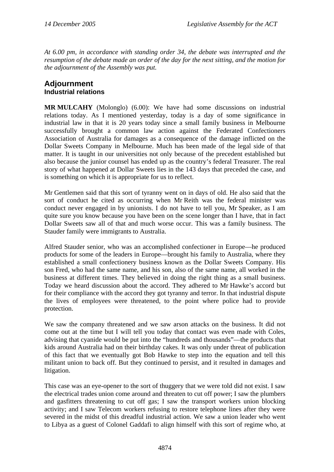*At 6.00 pm, in accordance with standing order 34, the debate was interrupted and the resumption of the debate made an order of the day for the next sitting, and the motion for the adjournment of the Assembly was put.* 

## **Adjournment Industrial relations**

**MR MULCAHY** (Molonglo) (6.00): We have had some discussions on industrial relations today. As I mentioned yesterday, today is a day of some significance in industrial law in that it is 20 years today since a small family business in Melbourne successfully brought a common law action against the Federated Confectioners Association of Australia for damages as a consequence of the damage inflicted on the Dollar Sweets Company in Melbourne. Much has been made of the legal side of that matter. It is taught in our universities not only because of the precedent established but also because the junior counsel has ended up as the country's federal Treasurer. The real story of what happened at Dollar Sweets lies in the 143 days that preceded the case, and is something on which it is appropriate for us to reflect.

Mr Gentlemen said that this sort of tyranny went on in days of old. He also said that the sort of conduct he cited as occurring when Mr Reith was the federal minister was conduct never engaged in by unionists. I do not have to tell you, Mr Speaker, as I am quite sure you know because you have been on the scene longer than I have, that in fact Dollar Sweets saw all of that and much worse occur. This was a family business. The Stauder family were immigrants to Australia.

Alfred Stauder senior, who was an accomplished confectioner in Europe—he produced products for some of the leaders in Europe—brought his family to Australia, where they established a small confectionery business known as the Dollar Sweets Company. His son Fred, who had the same name, and his son, also of the same name, all worked in the business at different times. They believed in doing the right thing as a small business. Today we heard discussion about the accord. They adhered to Mr Hawke's accord but for their compliance with the accord they got tyranny and terror. In that industrial dispute the lives of employees were threatened, to the point where police had to provide protection.

We saw the company threatened and we saw arson attacks on the business. It did not come out at the time but I will tell you today that contact was even made with Coles, advising that cyanide would be put into the "hundreds and thousands"—the products that kids around Australia had on their birthday cakes. It was only under threat of publication of this fact that we eventually got Bob Hawke to step into the equation and tell this militant union to back off. But they continued to persist, and it resulted in damages and litigation.

This case was an eye-opener to the sort of thuggery that we were told did not exist. I saw the electrical trades union come around and threaten to cut off power; I saw the plumbers and gasfitters threatening to cut off gas; I saw the transport workers union blocking activity; and I saw Telecom workers refusing to restore telephone lines after they were severed in the midst of this dreadful industrial action. We saw a union leader who went to Libya as a guest of Colonel Gaddafi to align himself with this sort of regime who, at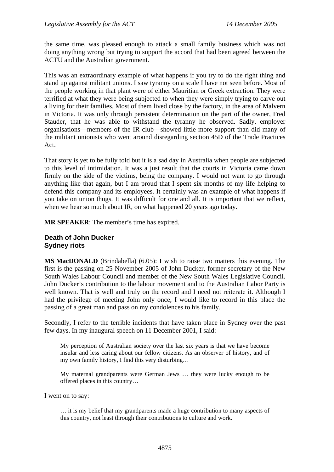the same time, was pleased enough to attack a small family business which was not doing anything wrong but trying to support the accord that had been agreed between the ACTU and the Australian government.

This was an extraordinary example of what happens if you try to do the right thing and stand up against militant unions. I saw tyranny on a scale I have not seen before. Most of the people working in that plant were of either Mauritian or Greek extraction. They were terrified at what they were being subjected to when they were simply trying to carve out a living for their families. Most of them lived close by the factory, in the area of Malvern in Victoria. It was only through persistent determination on the part of the owner, Fred Stauder, that he was able to withstand the tyranny he observed. Sadly, employer organisations—members of the IR club—showed little more support than did many of the militant unionists who went around disregarding section 45D of the Trade Practices Act.

That story is yet to be fully told but it is a sad day in Australia when people are subjected to this level of intimidation. It was a just result that the courts in Victoria came down firmly on the side of the victims, being the company. I would not want to go through anything like that again, but I am proud that I spent six months of my life helping to defend this company and its employees. It certainly was an example of what happens if you take on union thugs. It was difficult for one and all. It is important that we reflect, when we hear so much about IR, on what happened 20 years ago today.

**MR SPEAKER**: The member's time has expired.

#### **Death of John Ducker Sydney riots**

**MS MacDONALD** (Brindabella) (6.05): I wish to raise two matters this evening. The first is the passing on 25 November 2005 of John Ducker, former secretary of the New South Wales Labour Council and member of the New South Wales Legislative Council. John Ducker's contribution to the labour movement and to the Australian Labor Party is well known. That is well and truly on the record and I need not reiterate it. Although I had the privilege of meeting John only once, I would like to record in this place the passing of a great man and pass on my condolences to his family.

Secondly, I refer to the terrible incidents that have taken place in Sydney over the past few days. In my inaugural speech on 11 December 2001, I said:

My perception of Australian society over the last six years is that we have become insular and less caring about our fellow citizens. As an observer of history, and of my own family history, I find this very disturbing…

My maternal grandparents were German Jews … they were lucky enough to be offered places in this country…

I went on to say:

… it is my belief that my grandparents made a huge contribution to many aspects of this country, not least through their contributions to culture and work.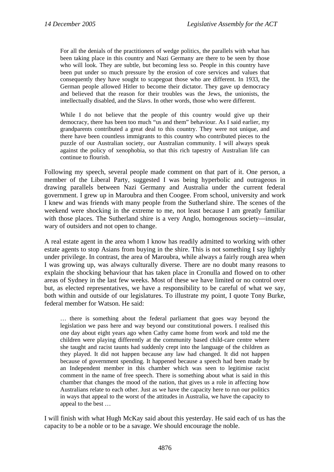For all the denials of the practitioners of wedge politics, the parallels with what has been taking place in this country and Nazi Germany are there to be seen by those who will look. They are subtle, but becoming less so. People in this country have been put under so much pressure by the erosion of core services and values that consequently they have sought to scapegoat those who are different. In 1933, the German people allowed Hitler to become their dictator. They gave up democracy and believed that the reason for their troubles was the Jews, the unionists, the intellectually disabled, and the Slavs. In other words, those who were different.

While I do not believe that the people of this country would give up their democracy, there has been too much "us and them" behaviour. As I said earlier, my grandparents contributed a great deal to this country. They were not unique, and there have been countless immigrants to this country who contributed pieces to the puzzle of our Australian society, our Australian community. I will always speak against the policy of xenophobia, so that this rich tapestry of Australian life can continue to flourish.

Following my speech, several people made comment on that part of it. One person, a member of the Liberal Party, suggested I was being hyperbolic and outrageous in drawing parallels between Nazi Germany and Australia under the current federal government. I grew up in Maroubra and then Coogee. From school, university and work I knew and was friends with many people from the Sutherland shire. The scenes of the weekend were shocking in the extreme to me, not least because I am greatly familiar with those places. The Sutherland shire is a very Anglo, homogenous society—insular, wary of outsiders and not open to change.

A real estate agent in the area whom I know has readily admitted to working with other estate agents to stop Asians from buying in the shire. This is not something I say lightly under privilege. In contrast, the area of Maroubra, while always a fairly rough area when I was growing up, was always culturally diverse. There are no doubt many reasons to explain the shocking behaviour that has taken place in Cronulla and flowed on to other areas of Sydney in the last few weeks. Most of these we have limited or no control over but, as elected representatives, we have a responsibility to be careful of what we say, both within and outside of our legislatures. To illustrate my point, I quote Tony Burke, federal member for Watson. He said:

… there is something about the federal parliament that goes way beyond the legislation we pass here and way beyond our constitutional powers. I realised this one day about eight years ago when Cathy came home from work and told me the children were playing differently at the community based child-care centre where she taught and racist taunts had suddenly crept into the language of the children as they played. It did not happen because any law had changed. It did not happen because of government spending. It happened because a speech had been made by an Independent member in this chamber which was seen to legitimise racist comment in the name of free speech. There is something about what is said in this chamber that changes the mood of the nation, that gives us a role in affecting how Australians relate to each other. Just as we have the capacity here to run our politics in ways that appeal to the worst of the attitudes in Australia, we have the capacity to appeal to the best …

I will finish with what Hugh McKay said about this yesterday. He said each of us has the capacity to be a noble or to be a savage. We should encourage the noble.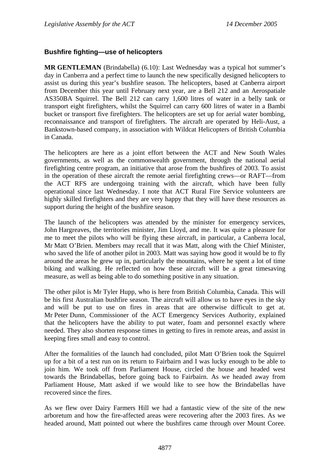## **Bushfire fighting—use of helicopters**

**MR GENTLEMAN** (Brindabella) (6.10): Last Wednesday was a typical hot summer's day in Canberra and a perfect time to launch the new specifically designed helicopters to assist us during this year's bushfire season. The helicopters, based at Canberra airport from December this year until February next year, are a Bell 212 and an Aerospatiale AS350BA Squirrel. The Bell 212 can carry 1,600 litres of water in a belly tank or transport eight firefighters, whilst the Squirrel can carry 600 litres of water in a Bambi bucket or transport five firefighters. The helicopters are set up for aerial water bombing, reconnaissance and transport of firefighters. The aircraft are operated by Heli-Aust, a Bankstown-based company, in association with Wildcat Helicopters of British Columbia in Canada.

The helicopters are here as a joint effort between the ACT and New South Wales governments, as well as the commonwealth government, through the national aerial firefighting centre program, an initiative that arose from the bushfires of 2003. To assist in the operation of these aircraft the remote aerial firefighting crews—or RAFT—from the ACT RFS are undergoing training with the aircraft, which have been fully operational since last Wednesday. I note that ACT Rural Fire Service volunteers are highly skilled firefighters and they are very happy that they will have these resources as support during the height of the bushfire season.

The launch of the helicopters was attended by the minister for emergency services, John Hargreaves, the territories minister, Jim Lloyd, and me. It was quite a pleasure for me to meet the pilots who will be flying these aircraft, in particular, a Canberra local, Mr Matt O'Brien. Members may recall that it was Matt, along with the Chief Minister, who saved the life of another pilot in 2003. Matt was saying how good it would be to fly around the areas he grew up in, particularly the mountains, where he spent a lot of time biking and walking. He reflected on how these aircraft will be a great timesaving measure, as well as being able to do something positive in any situation.

The other pilot is Mr Tyler Hupp, who is here from British Columbia, Canada. This will be his first Australian bushfire season. The aircraft will allow us to have eyes in the sky and will be put to use on fires in areas that are otherwise difficult to get at. Mr Peter Dunn, Commissioner of the ACT Emergency Services Authority, explained that the helicopters have the ability to put water, foam and personnel exactly where needed. They also shorten response times in getting to fires in remote areas, and assist in keeping fires small and easy to control.

After the formalities of the launch had concluded, pilot Matt O'Brien took the Squirrel up for a bit of a test run on its return to Fairbairn and I was lucky enough to be able to join him. We took off from Parliament House, circled the house and headed west towards the Brindabellas, before going back to Fairbairn. As we headed away from Parliament House, Matt asked if we would like to see how the Brindabellas have recovered since the fires.

As we flew over Dairy Farmers Hill we had a fantastic view of the site of the new arboretum and how the fire-affected areas were recovering after the 2003 fires. As we headed around, Matt pointed out where the bushfires came through over Mount Coree.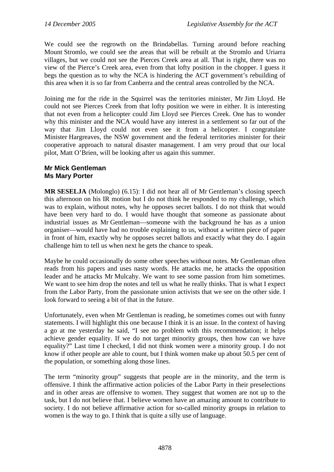We could see the regrowth on the Brindabellas. Turning around before reaching Mount Stromlo, we could see the areas that will be rebuilt at the Stromlo and Uriarra villages, but we could not see the Pierces Creek area at all. That is right, there was no view of the Pierce's Creek area, even from that lofty position in the chopper. I guess it begs the question as to why the NCA is hindering the ACT government's rebuilding of this area when it is so far from Canberra and the central areas controlled by the NCA.

Joining me for the ride in the Squirrel was the territories minister, Mr Jim Lloyd. He could not see Pierces Creek from that lofty position we were in either. It is interesting that not even from a helicopter could Jim Lloyd see Pierces Creek. One has to wonder why this minister and the NCA would have any interest in a settlement so far out of the way that Jim Lloyd could not even see it from a helicopter. I congratulate Minister Hargreaves, the NSW government and the federal territories minister for their cooperative approach to natural disaster management. I am very proud that our local pilot, Matt O'Brien, will be looking after us again this summer.

## **Mr Mick Gentleman Ms Mary Porter**

**MR SESELJA** (Molonglo) (6.15): I did not hear all of Mr Gentleman's closing speech this afternoon on his IR motion but I do not think he responded to my challenge, which was to explain, without notes, why he opposes secret ballots. I do not think that would have been very hard to do. I would have thought that someone as passionate about industrial issues as Mr Gentleman—someone with the background he has as a union organiser—would have had no trouble explaining to us, without a written piece of paper in front of him, exactly why he opposes secret ballots and exactly what they do. I again challenge him to tell us when next he gets the chance to speak.

Maybe he could occasionally do some other speeches without notes. Mr Gentleman often reads from his papers and uses nasty words. He attacks me, he attacks the opposition leader and he attacks Mr Mulcahy. We want to see some passion from him sometimes. We want to see him drop the notes and tell us what he really thinks. That is what I expect from the Labor Party, from the passionate union activists that we see on the other side. I look forward to seeing a bit of that in the future.

Unfortunately, even when Mr Gentleman is reading, he sometimes comes out with funny statements. I will highlight this one because I think it is an issue. In the context of having a go at me yesterday he said, "I see no problem with this recommendation; it helps achieve gender equality. If we do not target minority groups, then how can we have equality?" Last time I checked, I did not think women were a minority group. I do not know if other people are able to count, but I think women make up about 50.5 per cent of the population, or something along those lines.

The term "minority group" suggests that people are in the minority, and the term is offensive. I think the affirmative action policies of the Labor Party in their preselections and in other areas are offensive to women. They suggest that women are not up to the task, but I do not believe that. I believe women have an amazing amount to contribute to society. I do not believe affirmative action for so-called minority groups in relation to women is the way to go. I think that is quite a silly use of language.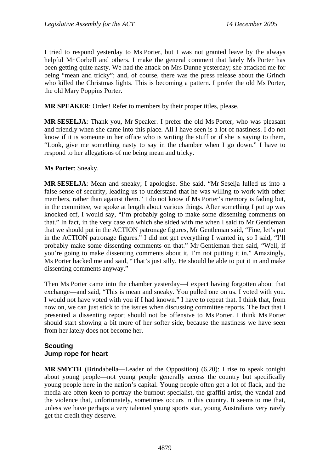I tried to respond yesterday to Ms Porter, but I was not granted leave by the always helpful Mr Corbell and others. I make the general comment that lately Ms Porter has been getting quite nasty. We had the attack on Mrs Dunne yesterday; she attacked me for being "mean and tricky"; and, of course, there was the press release about the Grinch who killed the Christmas lights. This is becoming a pattern. I prefer the old Ms Porter, the old Mary Poppins Porter.

**MR SPEAKER**: Order! Refer to members by their proper titles, please.

**MR SESELJA**: Thank you, Mr Speaker. I prefer the old Ms Porter, who was pleasant and friendly when she came into this place. All I have seen is a lot of nastiness. I do not know if it is someone in her office who is writing the stuff or if she is saying to them, "Look, give me something nasty to say in the chamber when I go down." I have to respond to her allegations of me being mean and tricky.

#### **Ms Porter**: Sneaky.

**MR SESELJA**: Mean and sneaky; I apologise. She said, "Mr Seselja lulled us into a false sense of security, leading us to understand that he was willing to work with other members, rather than against them." I do not know if Ms Porter's memory is fading but, in the committee, we spoke at length about various things. After something I put up was knocked off, I would say, "I'm probably going to make some dissenting comments on that." In fact, in the very case on which she sided with me when I said to Mr Gentleman that we should put in the ACTION patronage figures, Mr Gentleman said, "Fine, let's put in the ACTION patronage figures." I did not get everything I wanted in, so I said, "I'll probably make some dissenting comments on that." Mr Gentleman then said, "Well, if you're going to make dissenting comments about it, I'm not putting it in." Amazingly, Ms Porter backed me and said, "That's just silly. He should be able to put it in and make dissenting comments anyway."

Then Ms Porter came into the chamber yesterday—I expect having forgotten about that exchange—and said, "This is mean and sneaky. You pulled one on us. I voted with you. I would not have voted with you if I had known." I have to repeat that. I think that, from now on, we can just stick to the issues when discussing committee reports. The fact that I presented a dissenting report should not be offensive to Ms Porter. I think Ms Porter should start showing a bit more of her softer side, because the nastiness we have seen from her lately does not become her.

## **Scouting Jump rope for heart**

**MR SMYTH** (Brindabella—Leader of the Opposition) (6.20): I rise to speak tonight about young people—not young people generally across the country but specifically young people here in the nation's capital. Young people often get a lot of flack, and the media are often keen to portray the burnout specialist, the graffiti artist, the vandal and the violence that, unfortunately, sometimes occurs in this country. It seems to me that, unless we have perhaps a very talented young sports star, young Australians very rarely get the credit they deserve.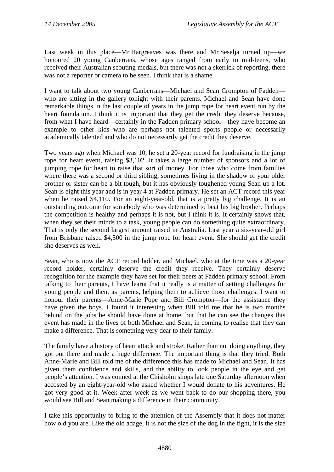Last week in this place—Mr Hargreaves was there and Mr Seselja turned up—we honoured 20 young Canberrans, whose ages ranged from early to mid-teens, who received their Australian scouting medals, but there was not a skerrick of reporting, there was not a reporter or camera to be seen. I think that is a shame.

I want to talk about two young Canberrans—Michael and Sean Crompton of Fadden who are sitting in the gallery tonight with their parents. Michael and Sean have done remarkable things in the last couple of years in the jump rope for heart event run by the heart foundation. I think it is important that they get the credit they deserve because, from what I have heard—certainly in the Fadden primary school—they have become an example to other kids who are perhaps not talented sports people or necessarily academically talented and who do not necessarily get the credit they deserve.

Two years ago when Michael was 10, he set a 20-year record for fundraising in the jump rope for heart event, raising \$3,102. It takes a large number of sponsors and a lot of jumping rope for heart to raise that sort of money. For those who come from families where there was a second or third sibling, sometimes living in the shadow of your older brother or sister can be a bit tough, but it has obviously toughened young Sean up a lot. Sean is eight this year and is in year 4 at Fadden primary. He set an ACT record this year when he raised \$4,110. For an eight-year-old, that is a pretty big challenge. It is an outstanding outcome for somebody who was determined to beat his big brother. Perhaps the competition is healthy and perhaps it is not, but I think it is. It certainly shows that, when they set their minds to a task, young people can do something quite extraordinary. That is only the second largest amount raised in Australia. Last year a six-year-old girl from Brisbane raised \$4,500 in the jump rope for heart event. She should get the credit she deserves as well.

Sean, who is now the ACT record holder, and Michael, who at the time was a 20-year record holder, certainly deserve the credit they receive. They certainly deserve recognition for the example they have set for their peers at Fadden primary school. From talking to their parents, I have learnt that it really is a matter of setting challenges for young people and then, as parents, helping them to achieve those challenges. I want to honour their parents—Anne-Marie Pope and Bill Crompton—for the assistance they have given the boys. I found it interesting when Bill told me that he is two months behind on the jobs he should have done at home, but that he can see the changes this event has made in the lives of both Michael and Sean, in coming to realise that they can make a difference. That is something very dear to their family.

The family have a history of heart attack and stroke. Rather than not doing anything, they got out there and made a huge difference. The important thing is that they tried. Both Anne-Marie and Bill told me of the difference this has made to Michael and Sean. It has given them confidence and skills, and the ability to look people in the eye and get people's attention. I was conned at the Chisholm shops late one Saturday afternoon when accosted by an eight-year-old who asked whether I would donate to his adventures. He got very good at it. Week after week as we went back to do our shopping there, you would see Bill and Sean making a difference in their community.

I take this opportunity to bring to the attention of the Assembly that it does not matter how old you are. Like the old adage, it is not the size of the dog in the fight, it is the size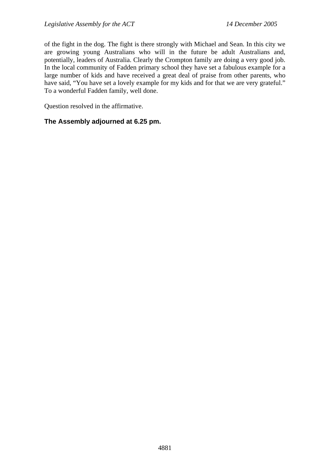of the fight in the dog. The fight is there strongly with Michael and Sean. In this city we are growing young Australians who will in the future be adult Australians and, potentially, leaders of Australia. Clearly the Crompton family are doing a very good job. In the local community of Fadden primary school they have set a fabulous example for a large number of kids and have received a great deal of praise from other parents, who have said, "You have set a lovely example for my kids and for that we are very grateful." To a wonderful Fadden family, well done.

Question resolved in the affirmative.

## **The Assembly adjourned at 6.25 pm.**